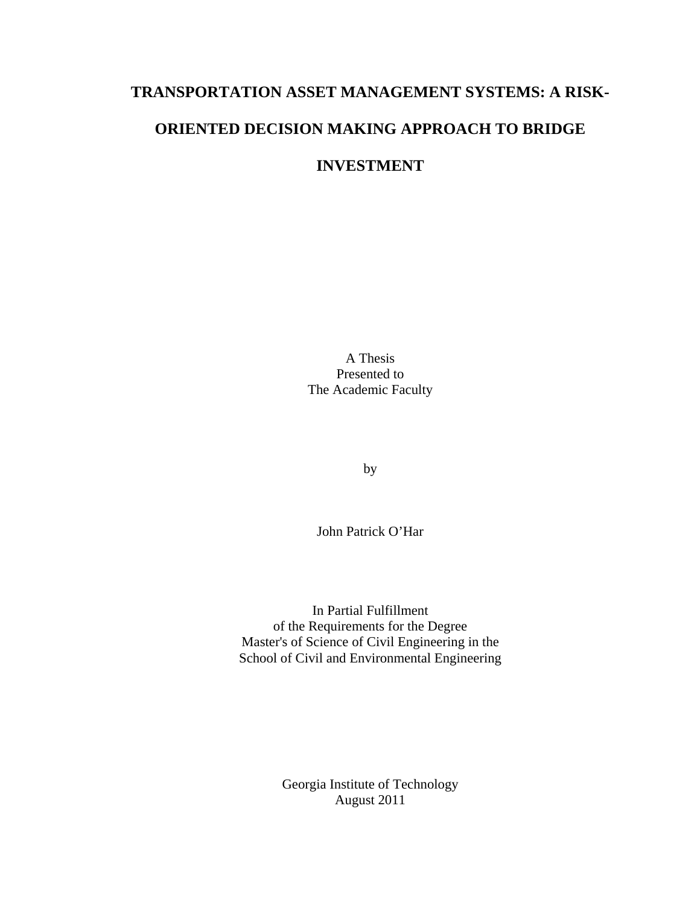# **TRANSPORTATION ASSET MANAGEMENT SYSTEMS: A RISK-ORIENTED DECISION MAKING APPROACH TO BRIDGE**

## **INVESTMENT**

A Thesis Presented to The Academic Faculty

by

John Patrick O'Har

In Partial Fulfillment of the Requirements for the Degree Master's of Science of Civil Engineering in the School of Civil and Environmental Engineering

> Georgia Institute of Technology August 2011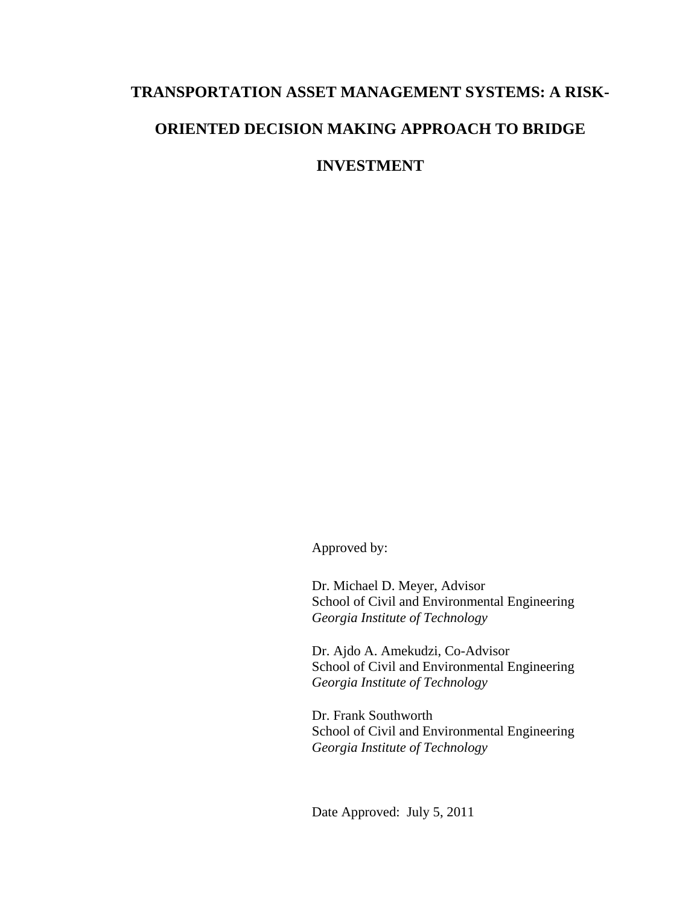# **TRANSPORTATION ASSET MANAGEMENT SYSTEMS: A RISK-ORIENTED DECISION MAKING APPROACH TO BRIDGE**

**INVESTMENT** 

Approved by:

Dr. Michael D. Meyer, Advisor School of Civil and Environmental Engineering *Georgia Institute of Technology* 

Dr. Ajdo A. Amekudzi, Co-Advisor School of Civil and Environmental Engineering *Georgia Institute of Technology*

Dr. Frank Southworth School of Civil and Environmental Engineering *Georgia Institute of Technology*

Date Approved: July 5, 2011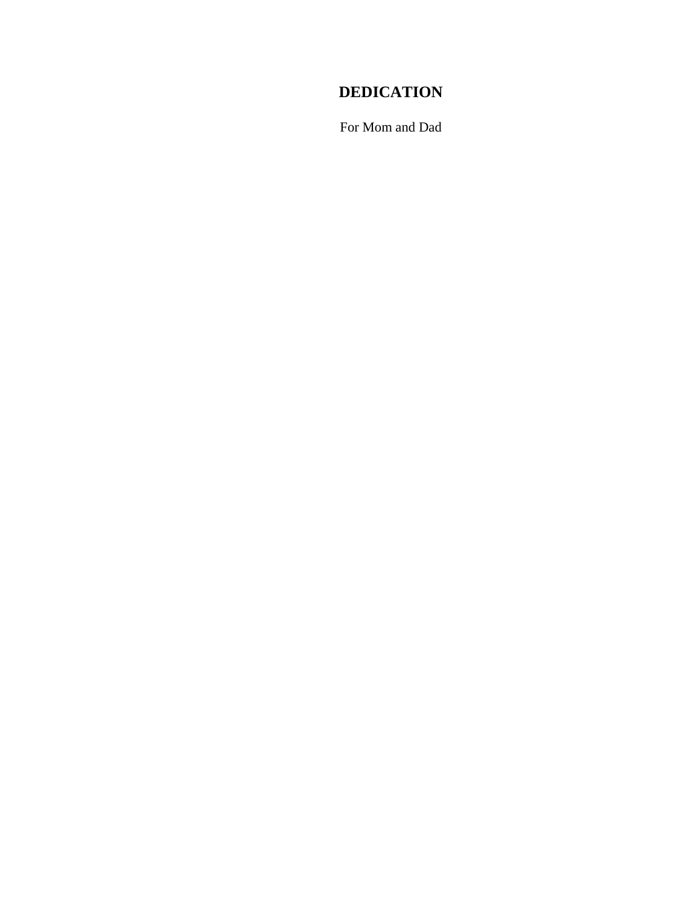# **DEDICATION**

For Mom and Dad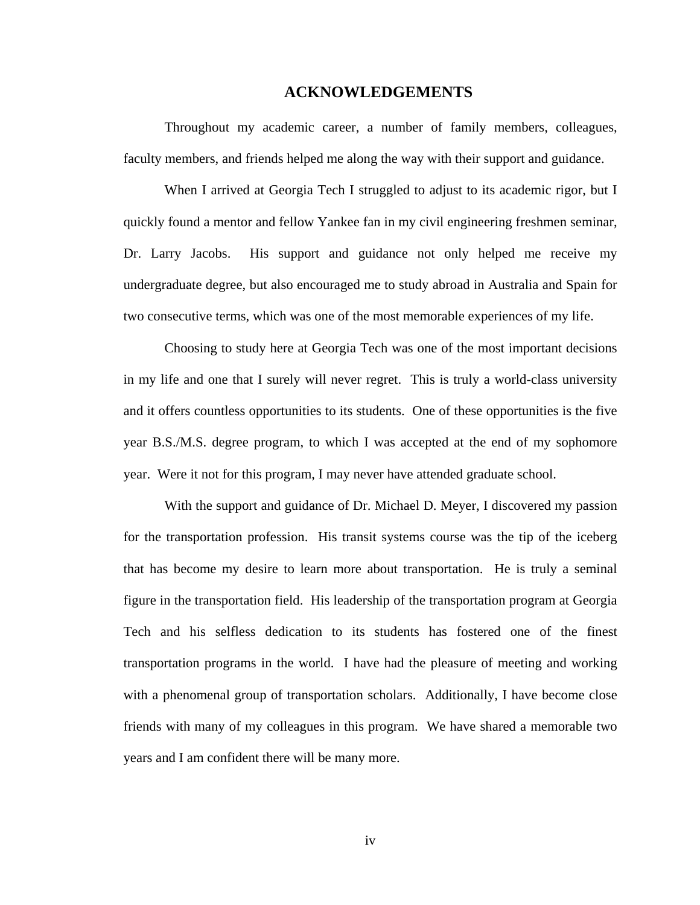#### **ACKNOWLEDGEMENTS**

Throughout my academic career, a number of family members, colleagues, faculty members, and friends helped me along the way with their support and guidance.

When I arrived at Georgia Tech I struggled to adjust to its academic rigor, but I quickly found a mentor and fellow Yankee fan in my civil engineering freshmen seminar, Dr. Larry Jacobs. His support and guidance not only helped me receive my undergraduate degree, but also encouraged me to study abroad in Australia and Spain for two consecutive terms, which was one of the most memorable experiences of my life.

Choosing to study here at Georgia Tech was one of the most important decisions in my life and one that I surely will never regret. This is truly a world-class university and it offers countless opportunities to its students. One of these opportunities is the five year B.S./M.S. degree program, to which I was accepted at the end of my sophomore year. Were it not for this program, I may never have attended graduate school.

With the support and guidance of Dr. Michael D. Meyer, I discovered my passion for the transportation profession. His transit systems course was the tip of the iceberg that has become my desire to learn more about transportation. He is truly a seminal figure in the transportation field. His leadership of the transportation program at Georgia Tech and his selfless dedication to its students has fostered one of the finest transportation programs in the world. I have had the pleasure of meeting and working with a phenomenal group of transportation scholars. Additionally, I have become close friends with many of my colleagues in this program. We have shared a memorable two years and I am confident there will be many more.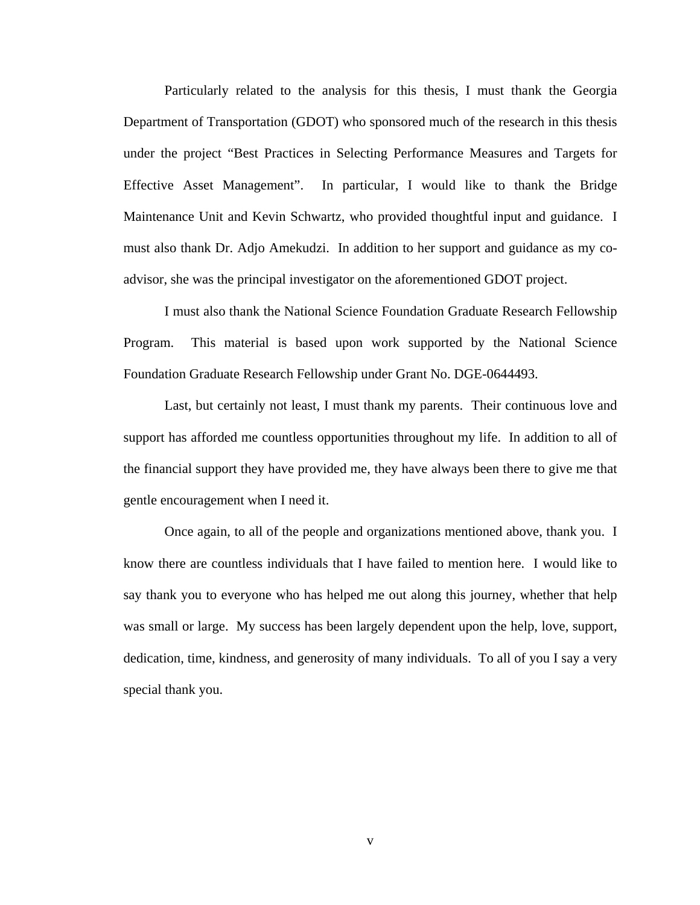Particularly related to the analysis for this thesis, I must thank the Georgia Department of Transportation (GDOT) who sponsored much of the research in this thesis under the project "Best Practices in Selecting Performance Measures and Targets for Effective Asset Management". In particular, I would like to thank the Bridge Maintenance Unit and Kevin Schwartz, who provided thoughtful input and guidance. I must also thank Dr. Adjo Amekudzi. In addition to her support and guidance as my coadvisor, she was the principal investigator on the aforementioned GDOT project.

 I must also thank the National Science Foundation Graduate Research Fellowship Program. This material is based upon work supported by the National Science Foundation Graduate Research Fellowship under Grant No. DGE-0644493.

 Last, but certainly not least, I must thank my parents. Their continuous love and support has afforded me countless opportunities throughout my life. In addition to all of the financial support they have provided me, they have always been there to give me that gentle encouragement when I need it.

 Once again, to all of the people and organizations mentioned above, thank you. I know there are countless individuals that I have failed to mention here. I would like to say thank you to everyone who has helped me out along this journey, whether that help was small or large. My success has been largely dependent upon the help, love, support, dedication, time, kindness, and generosity of many individuals. To all of you I say a very special thank you.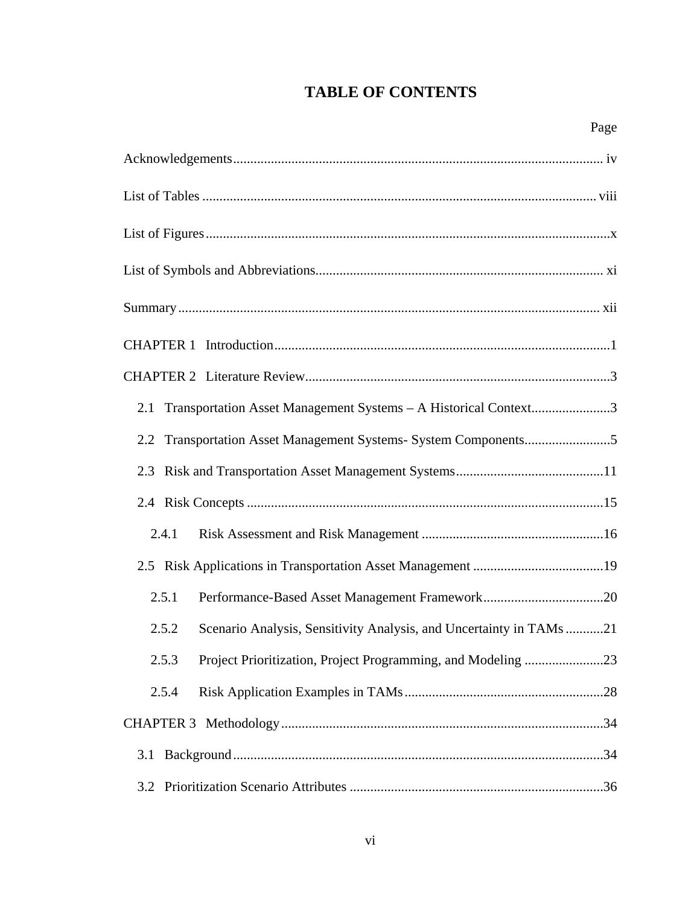# **TABLE OF CONTENTS**

| Transportation Asset Management Systems - A Historical Context3<br>2.1       |  |
|------------------------------------------------------------------------------|--|
|                                                                              |  |
| 2.3                                                                          |  |
|                                                                              |  |
| 2.4.1                                                                        |  |
|                                                                              |  |
| 2.5.1                                                                        |  |
| Scenario Analysis, Sensitivity Analysis, and Uncertainty in TAMs 21<br>2.5.2 |  |
| 2.5.3 Project Prioritization, Project Programming, and Modeling 23           |  |
| 2.5.4                                                                        |  |
|                                                                              |  |
| 3.1                                                                          |  |
| 3.2                                                                          |  |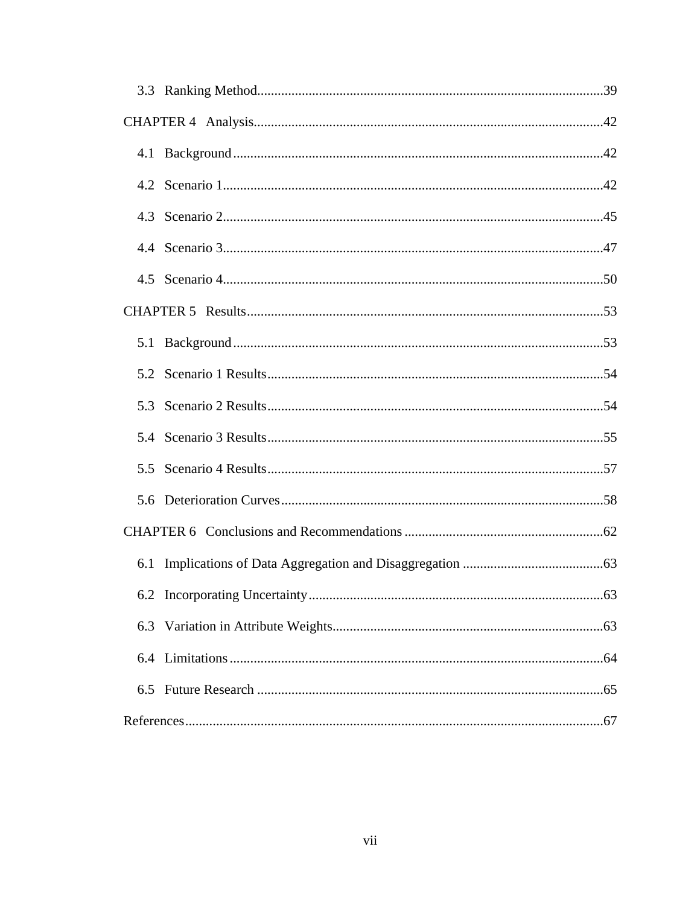| 6.1 |  |
|-----|--|
|     |  |
| 6.3 |  |
|     |  |
|     |  |
|     |  |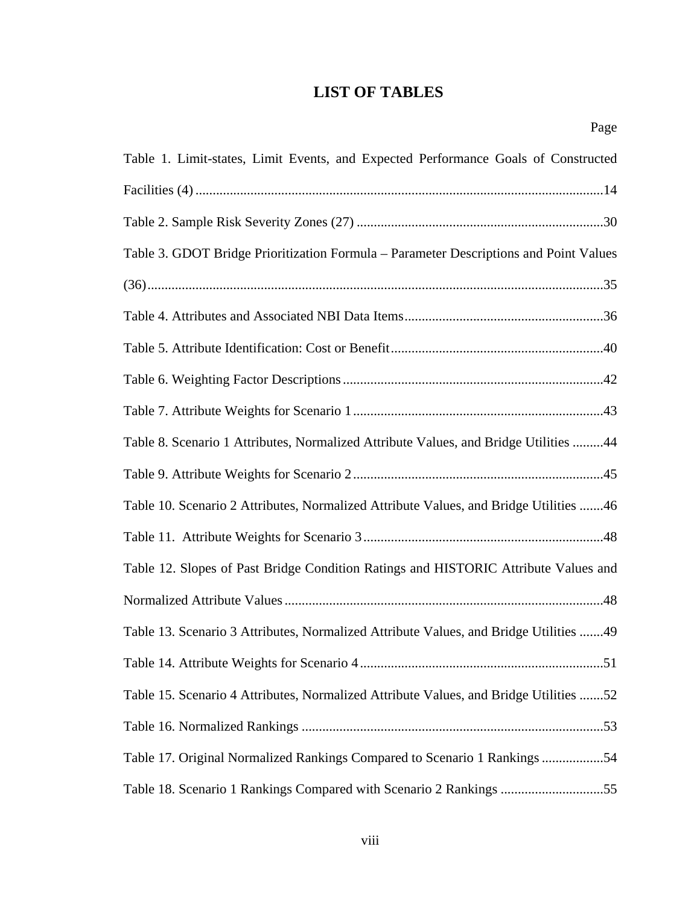## **LIST OF TABLES**

| Table 1. Limit-states, Limit Events, and Expected Performance Goals of Constructed    |
|---------------------------------------------------------------------------------------|
|                                                                                       |
|                                                                                       |
| Table 3. GDOT Bridge Prioritization Formula – Parameter Descriptions and Point Values |
|                                                                                       |
|                                                                                       |
|                                                                                       |
|                                                                                       |
|                                                                                       |
| Table 8. Scenario 1 Attributes, Normalized Attribute Values, and Bridge Utilities 44  |
|                                                                                       |
| Table 10. Scenario 2 Attributes, Normalized Attribute Values, and Bridge Utilities 46 |
|                                                                                       |
| Table 12. Slopes of Past Bridge Condition Ratings and HISTORIC Attribute Values and   |
|                                                                                       |
| Table 13. Scenario 3 Attributes, Normalized Attribute Values, and Bridge Utilities 49 |
|                                                                                       |
| Table 15. Scenario 4 Attributes, Normalized Attribute Values, and Bridge Utilities 52 |
|                                                                                       |
| Table 17. Original Normalized Rankings Compared to Scenario 1 Rankings 54             |
| Table 18. Scenario 1 Rankings Compared with Scenario 2 Rankings 55                    |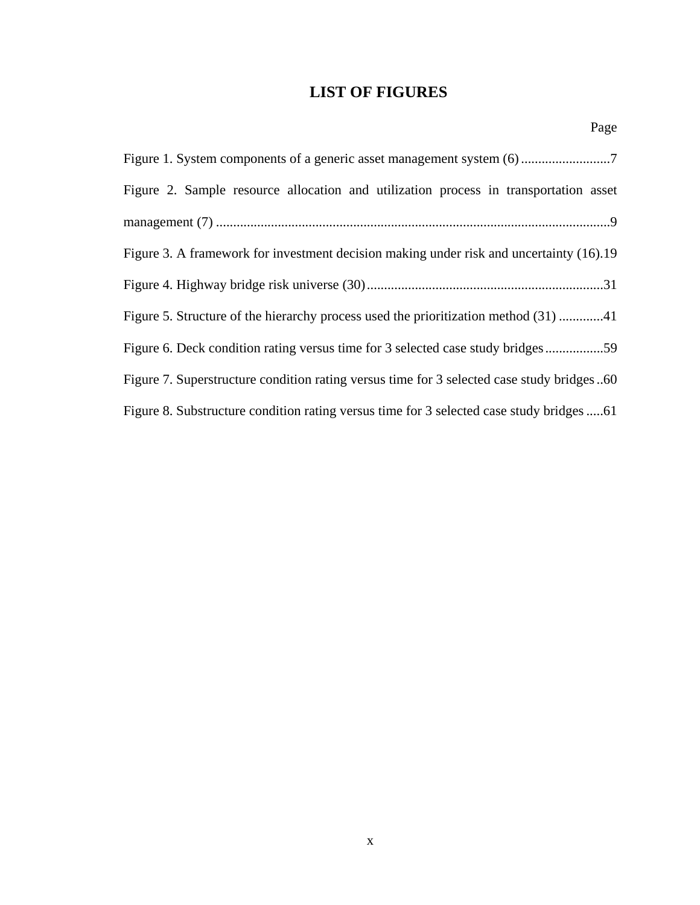## **LIST OF FIGURES**

| Figure 2. Sample resource allocation and utilization process in transportation asset      |
|-------------------------------------------------------------------------------------------|
|                                                                                           |
| Figure 3. A framework for investment decision making under risk and uncertainty (16).19   |
|                                                                                           |
| Figure 5. Structure of the hierarchy process used the prioritization method (31) 41       |
| Figure 6. Deck condition rating versus time for 3 selected case study bridges59           |
| Figure 7. Superstructure condition rating versus time for 3 selected case study bridges60 |
|                                                                                           |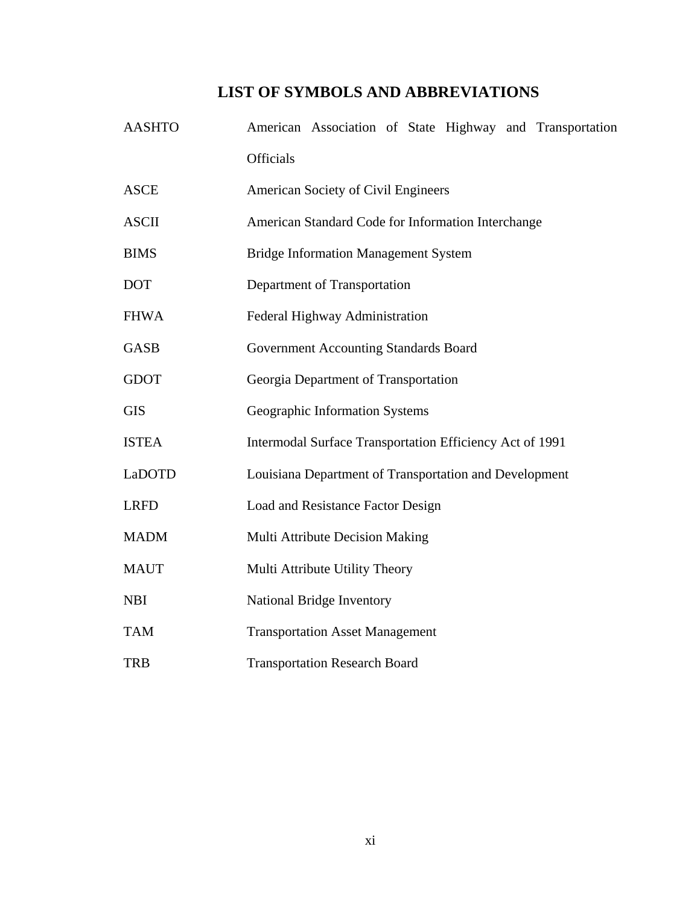## **LIST OF SYMBOLS AND ABBREVIATIONS**

| <b>AASHTO</b> | American Association of State Highway and Transportation |  |  |  |  |  |  |  |
|---------------|----------------------------------------------------------|--|--|--|--|--|--|--|
|               | <b>Officials</b>                                         |  |  |  |  |  |  |  |
| <b>ASCE</b>   | American Society of Civil Engineers                      |  |  |  |  |  |  |  |
| <b>ASCII</b>  | American Standard Code for Information Interchange       |  |  |  |  |  |  |  |
| <b>BIMS</b>   | <b>Bridge Information Management System</b>              |  |  |  |  |  |  |  |
| <b>DOT</b>    | Department of Transportation                             |  |  |  |  |  |  |  |
| <b>FHWA</b>   | Federal Highway Administration                           |  |  |  |  |  |  |  |
| <b>GASB</b>   | Government Accounting Standards Board                    |  |  |  |  |  |  |  |
| <b>GDOT</b>   | Georgia Department of Transportation                     |  |  |  |  |  |  |  |
| <b>GIS</b>    | Geographic Information Systems                           |  |  |  |  |  |  |  |
| <b>ISTEA</b>  | Intermodal Surface Transportation Efficiency Act of 1991 |  |  |  |  |  |  |  |
| LaDOTD        | Louisiana Department of Transportation and Development   |  |  |  |  |  |  |  |
| <b>LRFD</b>   | Load and Resistance Factor Design                        |  |  |  |  |  |  |  |
| <b>MADM</b>   | Multi Attribute Decision Making                          |  |  |  |  |  |  |  |
| <b>MAUT</b>   | Multi Attribute Utility Theory                           |  |  |  |  |  |  |  |
| <b>NBI</b>    | National Bridge Inventory                                |  |  |  |  |  |  |  |
| <b>TAM</b>    | <b>Transportation Asset Management</b>                   |  |  |  |  |  |  |  |
| <b>TRB</b>    | <b>Transportation Research Board</b>                     |  |  |  |  |  |  |  |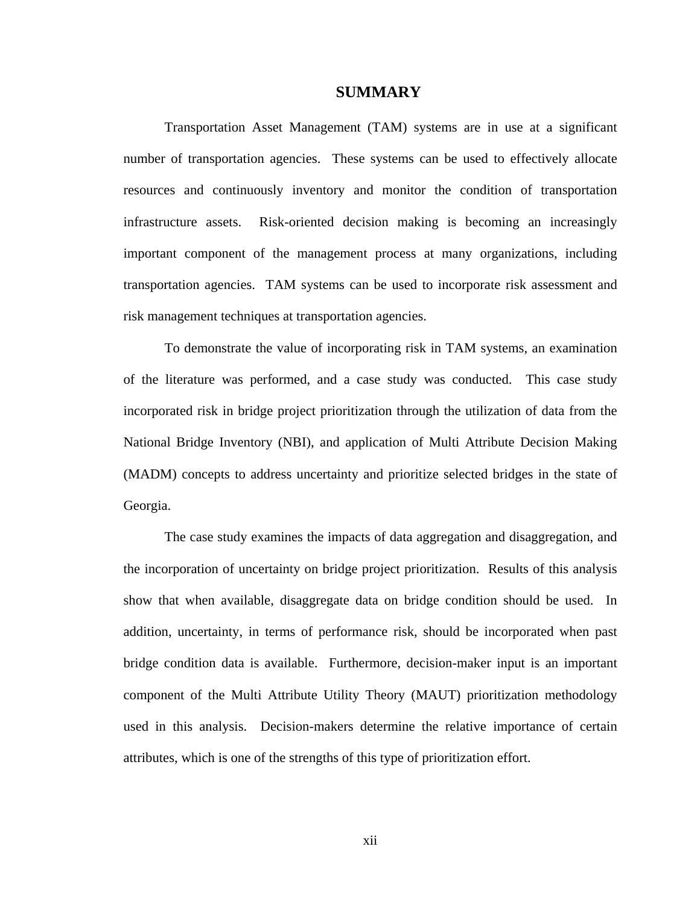#### **SUMMARY**

Transportation Asset Management (TAM) systems are in use at a significant number of transportation agencies. These systems can be used to effectively allocate resources and continuously inventory and monitor the condition of transportation infrastructure assets. Risk-oriented decision making is becoming an increasingly important component of the management process at many organizations, including transportation agencies. TAM systems can be used to incorporate risk assessment and risk management techniques at transportation agencies.

To demonstrate the value of incorporating risk in TAM systems, an examination of the literature was performed, and a case study was conducted. This case study incorporated risk in bridge project prioritization through the utilization of data from the National Bridge Inventory (NBI), and application of Multi Attribute Decision Making (MADM) concepts to address uncertainty and prioritize selected bridges in the state of Georgia.

The case study examines the impacts of data aggregation and disaggregation, and the incorporation of uncertainty on bridge project prioritization. Results of this analysis show that when available, disaggregate data on bridge condition should be used. In addition, uncertainty, in terms of performance risk, should be incorporated when past bridge condition data is available. Furthermore, decision-maker input is an important component of the Multi Attribute Utility Theory (MAUT) prioritization methodology used in this analysis. Decision-makers determine the relative importance of certain attributes, which is one of the strengths of this type of prioritization effort.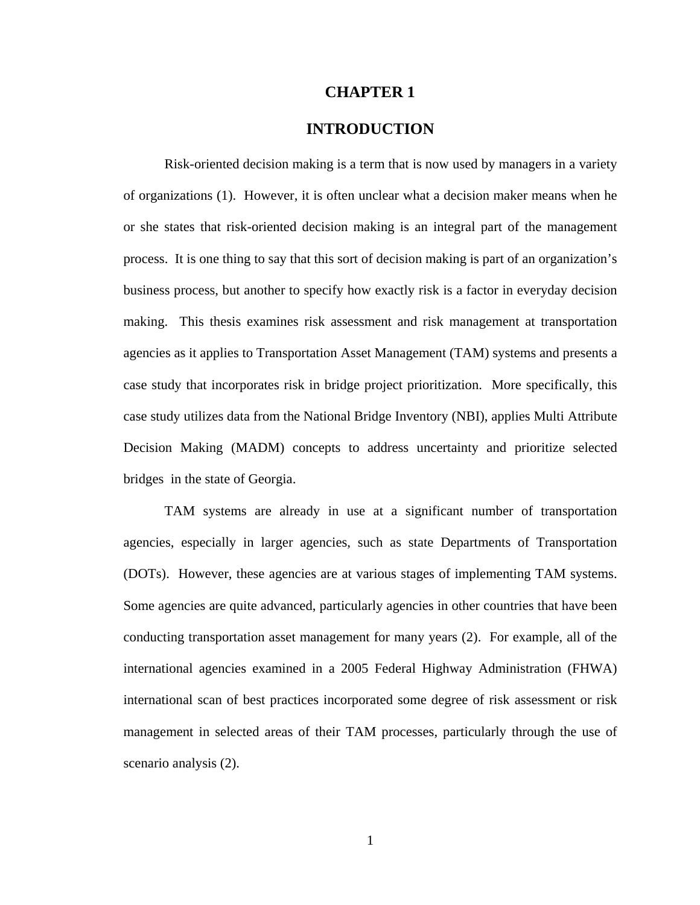#### **CHAPTER 1**

## **INTRODUCTION**

Risk-oriented decision making is a term that is now used by managers in a variety of organizations (1). However, it is often unclear what a decision maker means when he or she states that risk-oriented decision making is an integral part of the management process. It is one thing to say that this sort of decision making is part of an organization's business process, but another to specify how exactly risk is a factor in everyday decision making. This thesis examines risk assessment and risk management at transportation agencies as it applies to Transportation Asset Management (TAM) systems and presents a case study that incorporates risk in bridge project prioritization. More specifically, this case study utilizes data from the National Bridge Inventory (NBI), applies Multi Attribute Decision Making (MADM) concepts to address uncertainty and prioritize selected bridges in the state of Georgia.

 TAM systems are already in use at a significant number of transportation agencies, especially in larger agencies, such as state Departments of Transportation (DOTs). However, these agencies are at various stages of implementing TAM systems. Some agencies are quite advanced, particularly agencies in other countries that have been conducting transportation asset management for many years (2). For example, all of the international agencies examined in a 2005 Federal Highway Administration (FHWA) international scan of best practices incorporated some degree of risk assessment or risk management in selected areas of their TAM processes, particularly through the use of scenario analysis (2).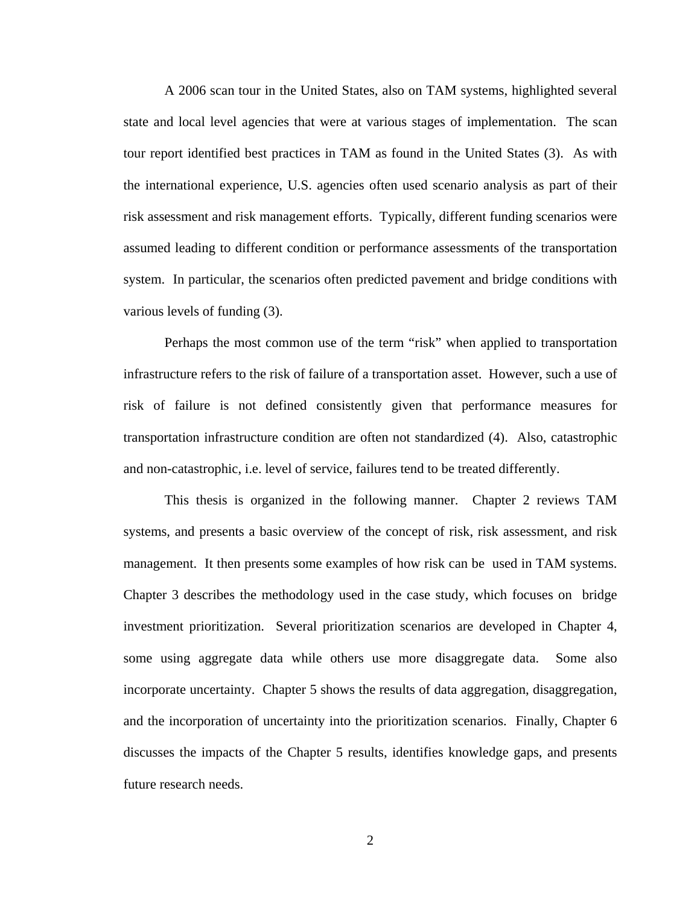A 2006 scan tour in the United States, also on TAM systems, highlighted several state and local level agencies that were at various stages of implementation. The scan tour report identified best practices in TAM as found in the United States (3). As with the international experience, U.S. agencies often used scenario analysis as part of their risk assessment and risk management efforts. Typically, different funding scenarios were assumed leading to different condition or performance assessments of the transportation system. In particular, the scenarios often predicted pavement and bridge conditions with various levels of funding (3).

 Perhaps the most common use of the term "risk" when applied to transportation infrastructure refers to the risk of failure of a transportation asset. However, such a use of risk of failure is not defined consistently given that performance measures for transportation infrastructure condition are often not standardized (4). Also, catastrophic and non-catastrophic, i.e. level of service, failures tend to be treated differently.

 This thesis is organized in the following manner. Chapter 2 reviews TAM systems, and presents a basic overview of the concept of risk, risk assessment, and risk management. It then presents some examples of how risk can be used in TAM systems. Chapter 3 describes the methodology used in the case study, which focuses on bridge investment prioritization. Several prioritization scenarios are developed in Chapter 4, some using aggregate data while others use more disaggregate data. Some also incorporate uncertainty. Chapter 5 shows the results of data aggregation, disaggregation, and the incorporation of uncertainty into the prioritization scenarios. Finally, Chapter 6 discusses the impacts of the Chapter 5 results, identifies knowledge gaps, and presents future research needs.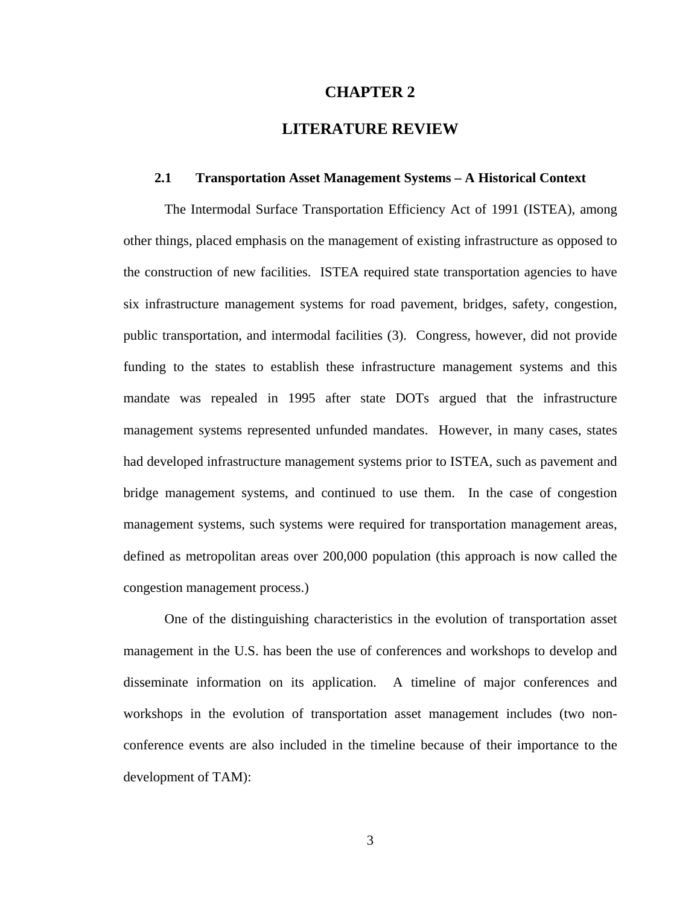#### **CHAPTER 2**

## **LITERATURE REVIEW**

#### **2.1 Transportation Asset Management Systems – A Historical Context**

The Intermodal Surface Transportation Efficiency Act of 1991 (ISTEA), among other things, placed emphasis on the management of existing infrastructure as opposed to the construction of new facilities. ISTEA required state transportation agencies to have six infrastructure management systems for road pavement, bridges, safety, congestion, public transportation, and intermodal facilities (3). Congress, however, did not provide funding to the states to establish these infrastructure management systems and this mandate was repealed in 1995 after state DOTs argued that the infrastructure management systems represented unfunded mandates. However, in many cases, states had developed infrastructure management systems prior to ISTEA, such as pavement and bridge management systems, and continued to use them. In the case of congestion management systems, such systems were required for transportation management areas, defined as metropolitan areas over 200,000 population (this approach is now called the congestion management process.)

One of the distinguishing characteristics in the evolution of transportation asset management in the U.S. has been the use of conferences and workshops to develop and disseminate information on its application. A timeline of major conferences and workshops in the evolution of transportation asset management includes (two nonconference events are also included in the timeline because of their importance to the development of TAM):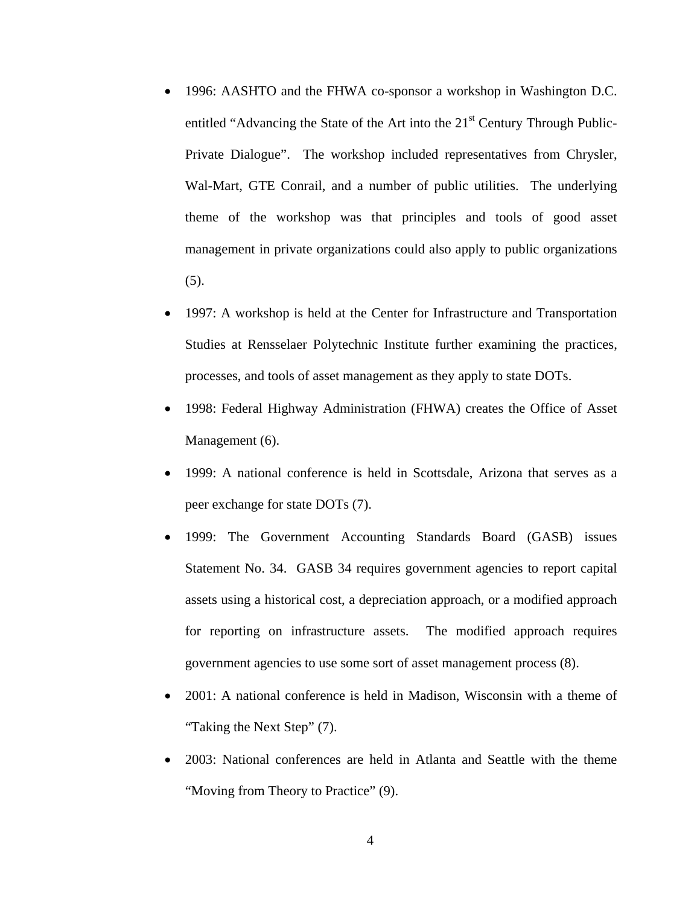- 1996: AASHTO and the FHWA co-sponsor a workshop in Washington D.C. entitled "Advancing the State of the Art into the  $21<sup>st</sup>$  Century Through Public-Private Dialogue". The workshop included representatives from Chrysler, Wal-Mart, GTE Conrail, and a number of public utilities. The underlying theme of the workshop was that principles and tools of good asset management in private organizations could also apply to public organizations (5).
- 1997: A workshop is held at the Center for Infrastructure and Transportation Studies at Rensselaer Polytechnic Institute further examining the practices, processes, and tools of asset management as they apply to state DOTs.
- 1998: Federal Highway Administration (FHWA) creates the Office of Asset Management (6).
- 1999: A national conference is held in Scottsdale, Arizona that serves as a peer exchange for state DOTs (7).
- 1999: The Government Accounting Standards Board (GASB) issues Statement No. 34. GASB 34 requires government agencies to report capital assets using a historical cost, a depreciation approach, or a modified approach for reporting on infrastructure assets. The modified approach requires government agencies to use some sort of asset management process (8).
- 2001: A national conference is held in Madison, Wisconsin with a theme of "Taking the Next Step" (7).
- 2003: National conferences are held in Atlanta and Seattle with the theme "Moving from Theory to Practice" (9).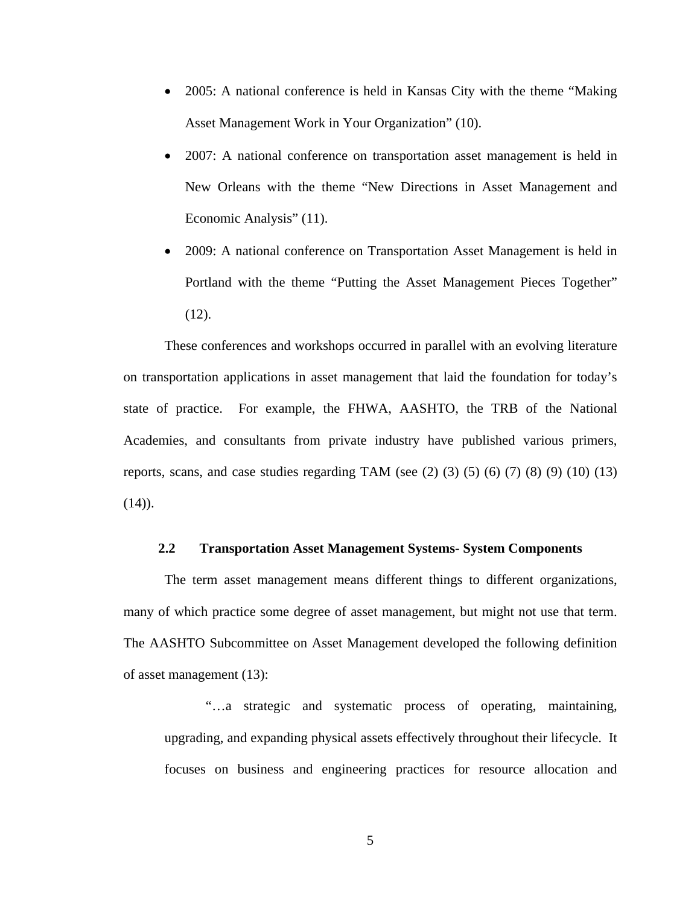- 2005: A national conference is held in Kansas City with the theme "Making Asset Management Work in Your Organization" (10).
- 2007: A national conference on transportation asset management is held in New Orleans with the theme "New Directions in Asset Management and Economic Analysis" (11).
- 2009: A national conference on Transportation Asset Management is held in Portland with the theme "Putting the Asset Management Pieces Together" (12).

These conferences and workshops occurred in parallel with an evolving literature on transportation applications in asset management that laid the foundation for today's state of practice. For example, the FHWA, AASHTO, the TRB of the National Academies, and consultants from private industry have published various primers, reports, scans, and case studies regarding TAM (see  $(2)$   $(3)$   $(5)$   $(6)$   $(7)$   $(8)$   $(9)$   $(10)$   $(13)$  $(14)$ .

### **2.2 Transportation Asset Management Systems- System Components**

The term asset management means different things to different organizations, many of which practice some degree of asset management, but might not use that term. The AASHTO Subcommittee on Asset Management developed the following definition of asset management (13):

"…a strategic and systematic process of operating, maintaining, upgrading, and expanding physical assets effectively throughout their lifecycle. It focuses on business and engineering practices for resource allocation and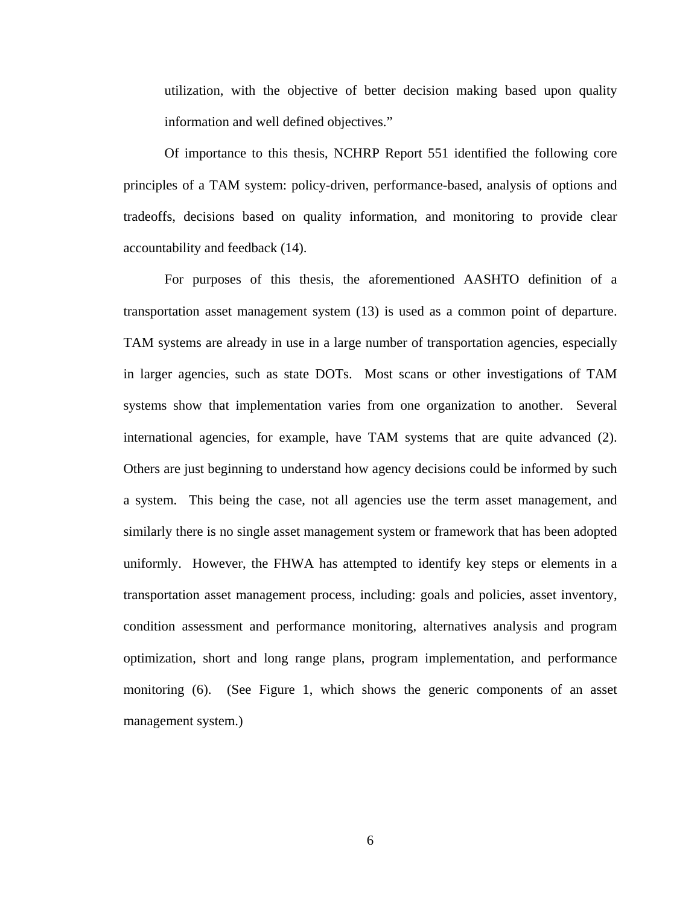utilization, with the objective of better decision making based upon quality information and well defined objectives."

Of importance to this thesis, NCHRP Report 551 identified the following core principles of a TAM system: policy-driven, performance-based, analysis of options and tradeoffs, decisions based on quality information, and monitoring to provide clear accountability and feedback (14).

For purposes of this thesis, the aforementioned AASHTO definition of a transportation asset management system (13) is used as a common point of departure. TAM systems are already in use in a large number of transportation agencies, especially in larger agencies, such as state DOTs. Most scans or other investigations of TAM systems show that implementation varies from one organization to another. Several international agencies, for example, have TAM systems that are quite advanced (2). Others are just beginning to understand how agency decisions could be informed by such a system. This being the case, not all agencies use the term asset management, and similarly there is no single asset management system or framework that has been adopted uniformly. However, the FHWA has attempted to identify key steps or elements in a transportation asset management process, including: goals and policies, asset inventory, condition assessment and performance monitoring, alternatives analysis and program optimization, short and long range plans, program implementation, and performance monitoring (6). (See Figure 1, which shows the generic components of an asset management system.)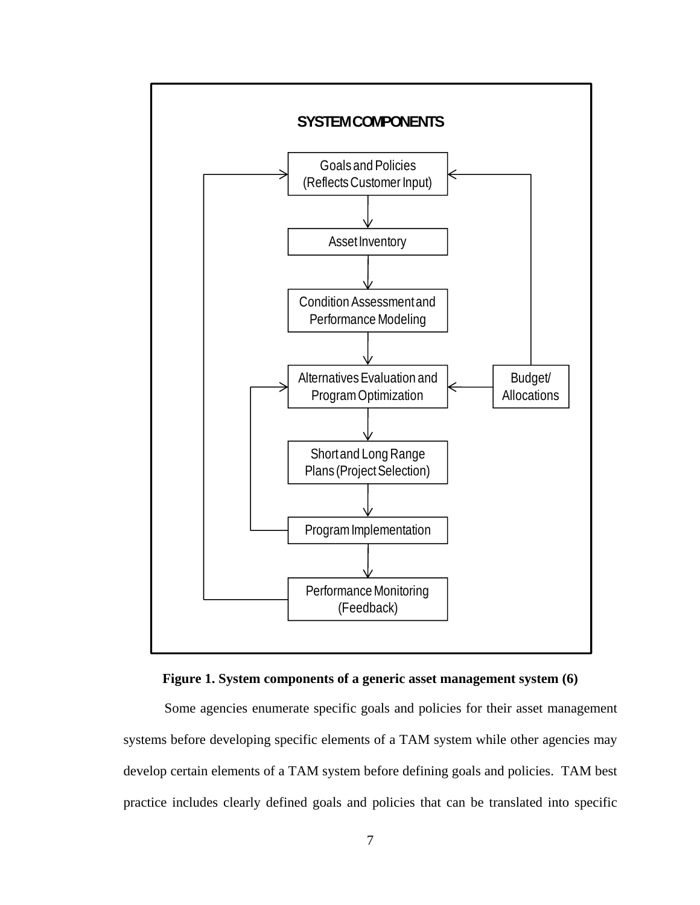

**Figure 1. System components of a generic asset management system (6)** 

Some agencies enumerate specific goals and policies for their asset management systems before developing specific elements of a TAM system while other agencies may develop certain elements of a TAM system before defining goals and policies. TAM best practice includes clearly defined goals and policies that can be translated into specific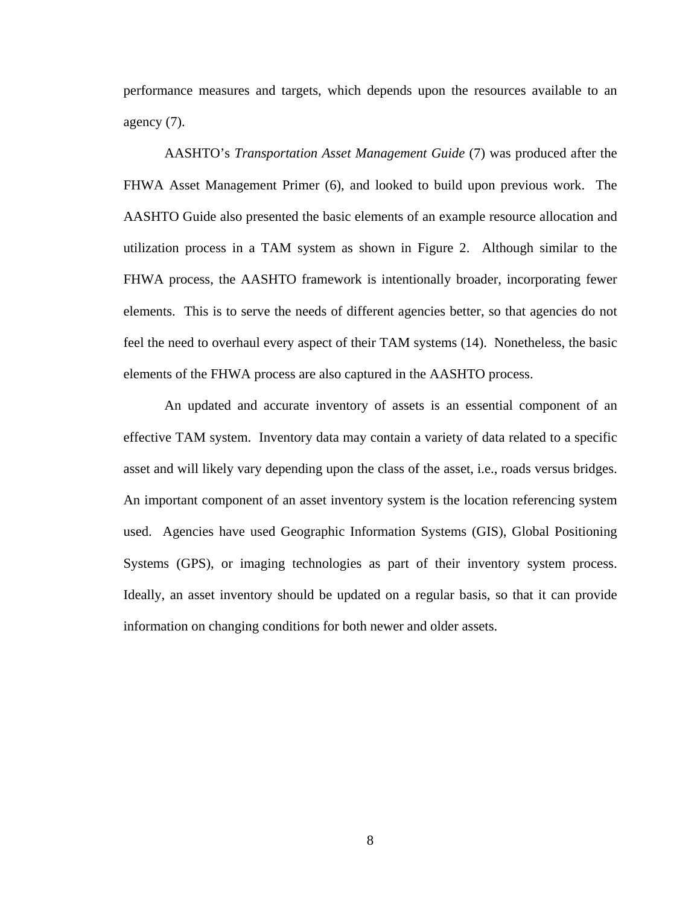performance measures and targets, which depends upon the resources available to an agency (7).

AASHTO's *Transportation Asset Management Guide* (7) was produced after the FHWA Asset Management Primer (6), and looked to build upon previous work. The AASHTO Guide also presented the basic elements of an example resource allocation and utilization process in a TAM system as shown in Figure 2. Although similar to the FHWA process, the AASHTO framework is intentionally broader, incorporating fewer elements. This is to serve the needs of different agencies better, so that agencies do not feel the need to overhaul every aspect of their TAM systems (14). Nonetheless, the basic elements of the FHWA process are also captured in the AASHTO process.

An updated and accurate inventory of assets is an essential component of an effective TAM system. Inventory data may contain a variety of data related to a specific asset and will likely vary depending upon the class of the asset, i.e., roads versus bridges. An important component of an asset inventory system is the location referencing system used. Agencies have used Geographic Information Systems (GIS), Global Positioning Systems (GPS), or imaging technologies as part of their inventory system process. Ideally, an asset inventory should be updated on a regular basis, so that it can provide information on changing conditions for both newer and older assets.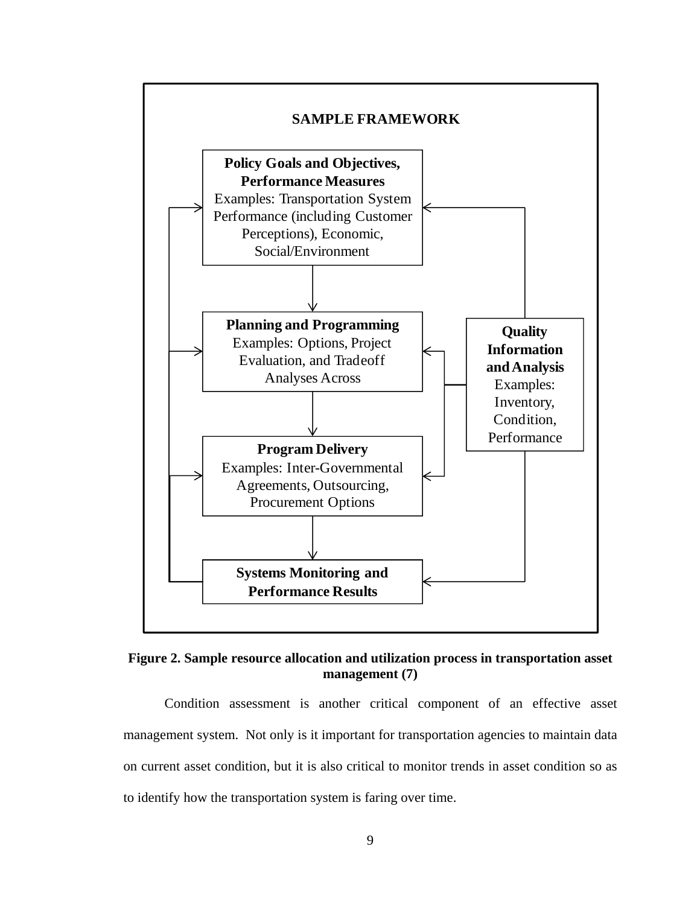

**Figure 2. Sample resource allocation and utilization process in transportation asset management (7)** 

Condition assessment is another critical component of an effective asset management system. Not only is it important for transportation agencies to maintain data on current asset condition, but it is also critical to monitor trends in asset condition so as to identify how the transportation system is faring over time.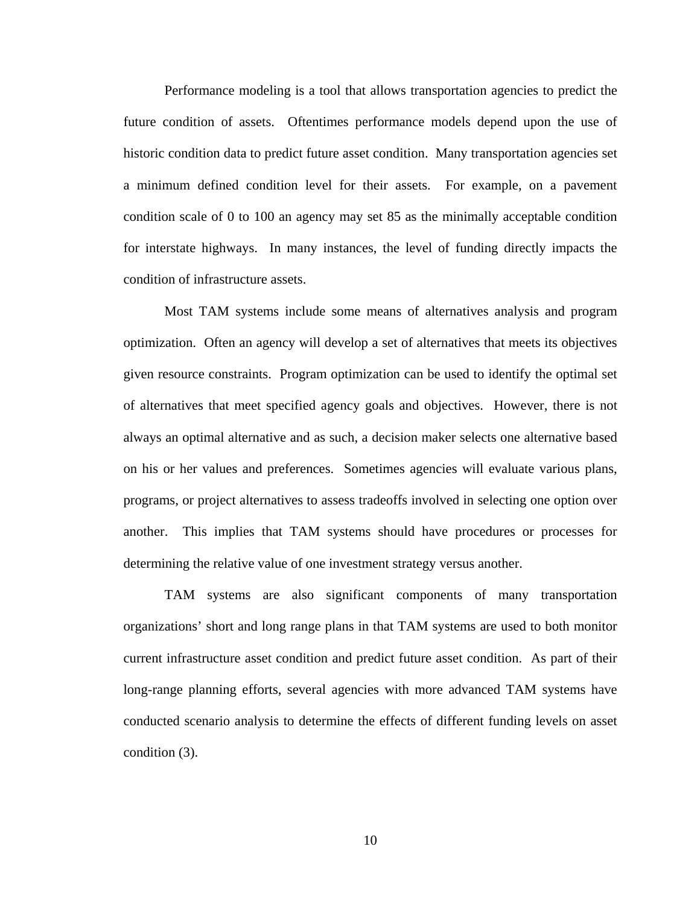Performance modeling is a tool that allows transportation agencies to predict the future condition of assets. Oftentimes performance models depend upon the use of historic condition data to predict future asset condition. Many transportation agencies set a minimum defined condition level for their assets. For example, on a pavement condition scale of 0 to 100 an agency may set 85 as the minimally acceptable condition for interstate highways. In many instances, the level of funding directly impacts the condition of infrastructure assets.

 Most TAM systems include some means of alternatives analysis and program optimization. Often an agency will develop a set of alternatives that meets its objectives given resource constraints. Program optimization can be used to identify the optimal set of alternatives that meet specified agency goals and objectives. However, there is not always an optimal alternative and as such, a decision maker selects one alternative based on his or her values and preferences. Sometimes agencies will evaluate various plans, programs, or project alternatives to assess tradeoffs involved in selecting one option over another. This implies that TAM systems should have procedures or processes for determining the relative value of one investment strategy versus another.

TAM systems are also significant components of many transportation organizations' short and long range plans in that TAM systems are used to both monitor current infrastructure asset condition and predict future asset condition. As part of their long-range planning efforts, several agencies with more advanced TAM systems have conducted scenario analysis to determine the effects of different funding levels on asset condition (3).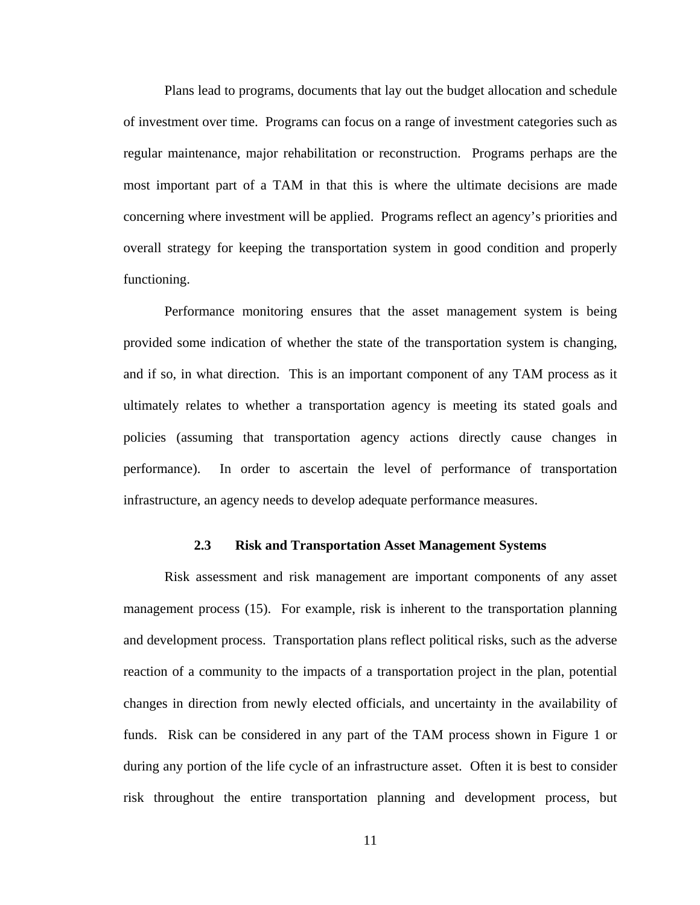Plans lead to programs, documents that lay out the budget allocation and schedule of investment over time. Programs can focus on a range of investment categories such as regular maintenance, major rehabilitation or reconstruction. Programs perhaps are the most important part of a TAM in that this is where the ultimate decisions are made concerning where investment will be applied. Programs reflect an agency's priorities and overall strategy for keeping the transportation system in good condition and properly functioning.

Performance monitoring ensures that the asset management system is being provided some indication of whether the state of the transportation system is changing, and if so, in what direction. This is an important component of any TAM process as it ultimately relates to whether a transportation agency is meeting its stated goals and policies (assuming that transportation agency actions directly cause changes in performance). In order to ascertain the level of performance of transportation infrastructure, an agency needs to develop adequate performance measures.

#### **2.3 Risk and Transportation Asset Management Systems**

Risk assessment and risk management are important components of any asset management process (15). For example, risk is inherent to the transportation planning and development process. Transportation plans reflect political risks, such as the adverse reaction of a community to the impacts of a transportation project in the plan, potential changes in direction from newly elected officials, and uncertainty in the availability of funds. Risk can be considered in any part of the TAM process shown in Figure 1 or during any portion of the life cycle of an infrastructure asset. Often it is best to consider risk throughout the entire transportation planning and development process, but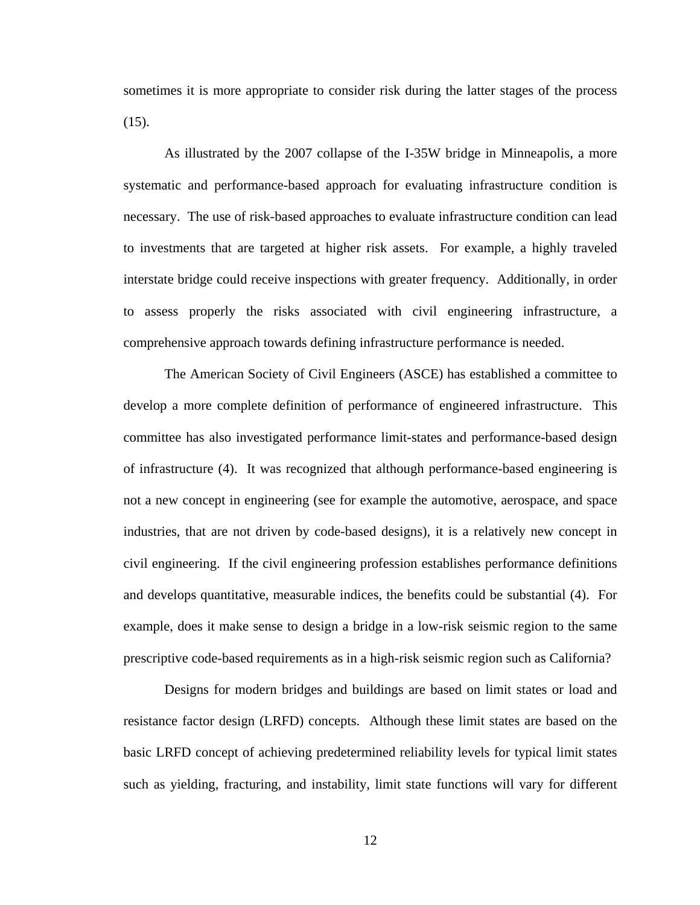sometimes it is more appropriate to consider risk during the latter stages of the process  $(15)$ .

As illustrated by the 2007 collapse of the I-35W bridge in Minneapolis, a more systematic and performance-based approach for evaluating infrastructure condition is necessary. The use of risk-based approaches to evaluate infrastructure condition can lead to investments that are targeted at higher risk assets. For example, a highly traveled interstate bridge could receive inspections with greater frequency. Additionally, in order to assess properly the risks associated with civil engineering infrastructure, a comprehensive approach towards defining infrastructure performance is needed.

The American Society of Civil Engineers (ASCE) has established a committee to develop a more complete definition of performance of engineered infrastructure. This committee has also investigated performance limit-states and performance-based design of infrastructure (4). It was recognized that although performance-based engineering is not a new concept in engineering (see for example the automotive, aerospace, and space industries, that are not driven by code-based designs), it is a relatively new concept in civil engineering. If the civil engineering profession establishes performance definitions and develops quantitative, measurable indices, the benefits could be substantial (4). For example, does it make sense to design a bridge in a low-risk seismic region to the same prescriptive code-based requirements as in a high-risk seismic region such as California?

Designs for modern bridges and buildings are based on limit states or load and resistance factor design (LRFD) concepts. Although these limit states are based on the basic LRFD concept of achieving predetermined reliability levels for typical limit states such as yielding, fracturing, and instability, limit state functions will vary for different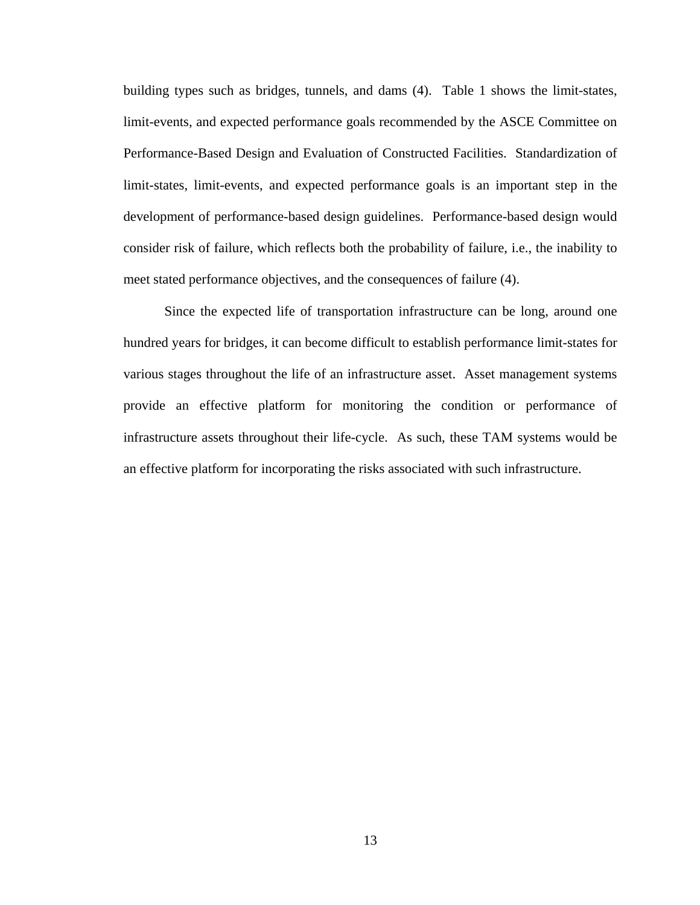building types such as bridges, tunnels, and dams (4). Table 1 shows the limit-states, limit-events, and expected performance goals recommended by the ASCE Committee on Performance-Based Design and Evaluation of Constructed Facilities. Standardization of limit-states, limit-events, and expected performance goals is an important step in the development of performance-based design guidelines. Performance-based design would consider risk of failure, which reflects both the probability of failure, i.e., the inability to meet stated performance objectives, and the consequences of failure (4).

Since the expected life of transportation infrastructure can be long, around one hundred years for bridges, it can become difficult to establish performance limit-states for various stages throughout the life of an infrastructure asset. Asset management systems provide an effective platform for monitoring the condition or performance of infrastructure assets throughout their life-cycle. As such, these TAM systems would be an effective platform for incorporating the risks associated with such infrastructure.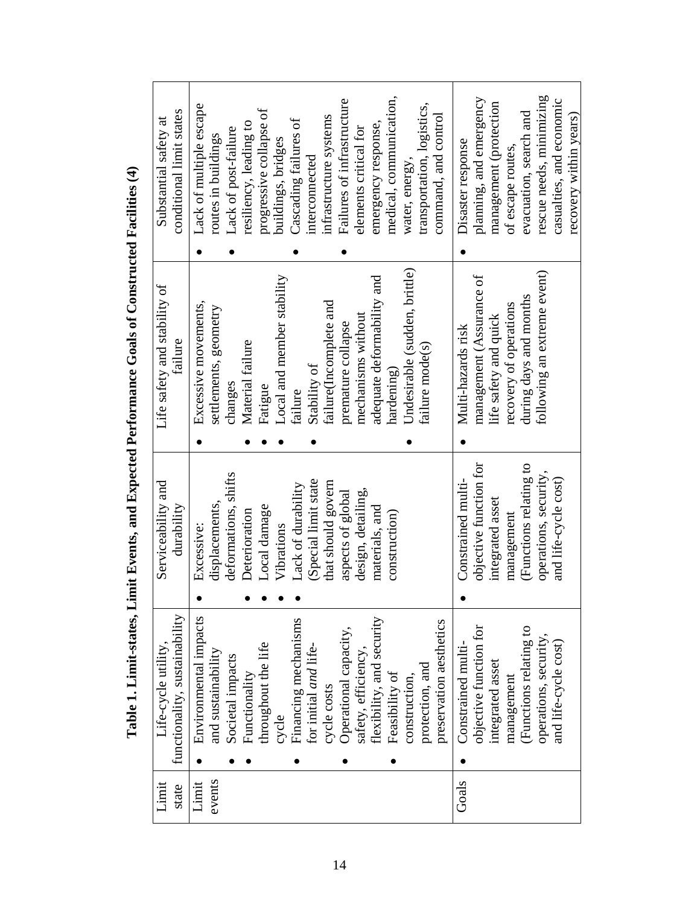| conditional limit states<br>Substantial safety at    | Lack of multiple escape<br>Lack of post-failure<br>routes in buildings | progressive collapse of<br>resiliency, leading to | Cascading failures of<br>buildings, bridges<br>interconnected | Failures of infrastructure<br>infrastructure systems | medical, communication,<br>emergency response,<br>elements critical for | transportation, logistics,<br>command, and control<br>water, energy, | planning, and emergency<br>management (protection<br>Disaster response<br>of escape routes,       | rescue needs, minimizing<br>casualties, and economic<br>evacuation, search and<br>recovery within years) |
|------------------------------------------------------|------------------------------------------------------------------------|---------------------------------------------------|---------------------------------------------------------------|------------------------------------------------------|-------------------------------------------------------------------------|----------------------------------------------------------------------|---------------------------------------------------------------------------------------------------|----------------------------------------------------------------------------------------------------------|
|                                                      |                                                                        |                                                   |                                                               |                                                      |                                                                         |                                                                      |                                                                                                   |                                                                                                          |
| Life safety and stability of<br>failure              | Excessive movements,<br>settlements, geometry<br>changes               | Material failure<br>Fatigue                       | Local and member stability<br>Stability of<br>failure         | failure(Incomplete and<br>premature collapse         | adequate deformability and<br>mechanisms without<br>hardening)          | Undesirable (sudden, brittle)<br>failure mode(s)                     | management (Assurance of<br>recovery of operations<br>life safety and quick<br>Multi-hazards risk | following an extreme event)<br>during days and months                                                    |
|                                                      |                                                                        |                                                   |                                                               |                                                      |                                                                         |                                                                      |                                                                                                   |                                                                                                          |
| Serviceability and<br>durability                     | deformations, shifts<br>displacements,<br>Excessive:                   | Local damage<br>Deterioration                     | (Special limit state<br>Lack of durability<br>Vibrations      | that should govern<br>aspects of global              | design, detailing,<br>materials, and<br>construction)                   |                                                                      | objective function for<br>Constrained multi<br>integrated asset<br>management                     | (Functions relating to<br>operations, security,<br>and life-cycle cost)                                  |
|                                                      |                                                                        |                                                   |                                                               |                                                      |                                                                         |                                                                      |                                                                                                   |                                                                                                          |
| functionality, sustainability<br>Life-cycle utility, | Environmental impacts<br>and sustainability<br>Societal impacts        | throughout the life<br>Functionality              | Financing mechanisms<br>for initial and life-<br>cycle        | Operational capacity,<br>cycle costs                 | safety, efficiency,<br>flexibility, and security<br>Feasibility of      | preservation aesthetics<br>protection, and<br>construction,          | objective function for<br>Constrained multi-<br>integrated asset<br>management                    | Functions relating to<br>operations, security,<br>and life-cycle cost)                                   |
| Limit<br>state                                       | events<br>Limit                                                        |                                                   |                                                               |                                                      |                                                                         |                                                                      | Goals                                                                                             |                                                                                                          |

Table 1. Limit-states, Limit Events, and Expected Performance Goals of Constructed Facilities (4) **Table 1. Limit-states, Limit Events, and Expected Performance Goals of Constructed Facilities (4)**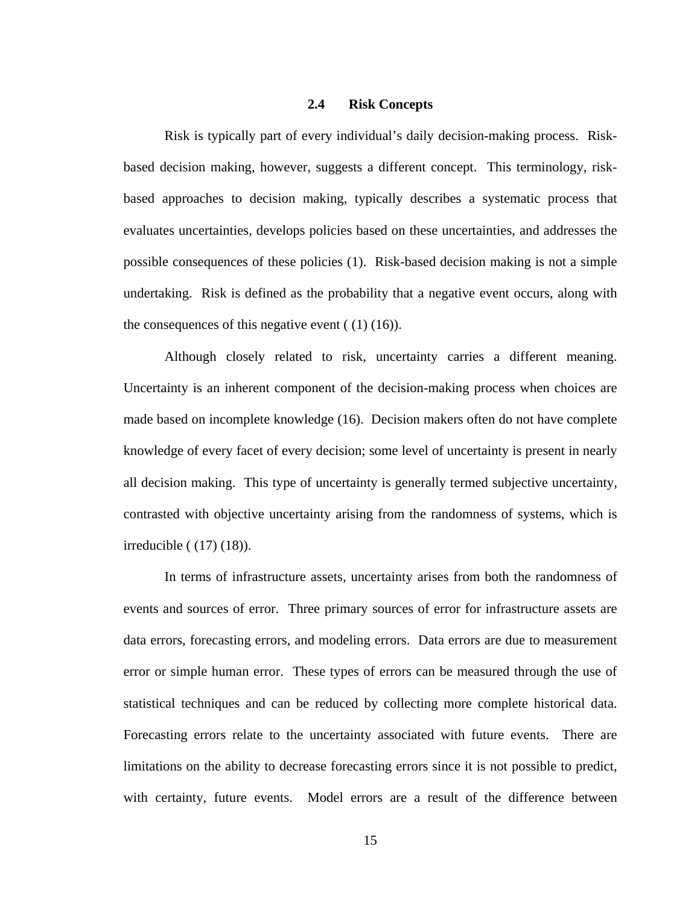#### **2.4 Risk Concepts**

Risk is typically part of every individual's daily decision-making process. Riskbased decision making, however, suggests a different concept. This terminology, riskbased approaches to decision making, typically describes a systematic process that evaluates uncertainties, develops policies based on these uncertainties, and addresses the possible consequences of these policies (1). Risk-based decision making is not a simple undertaking. Risk is defined as the probability that a negative event occurs, along with the consequences of this negative event  $(1)(16)$ .

Although closely related to risk, uncertainty carries a different meaning. Uncertainty is an inherent component of the decision-making process when choices are made based on incomplete knowledge (16). Decision makers often do not have complete knowledge of every facet of every decision; some level of uncertainty is present in nearly all decision making. This type of uncertainty is generally termed subjective uncertainty, contrasted with objective uncertainty arising from the randomness of systems, which is irreducible ( (17) (18)).

In terms of infrastructure assets, uncertainty arises from both the randomness of events and sources of error. Three primary sources of error for infrastructure assets are data errors, forecasting errors, and modeling errors. Data errors are due to measurement error or simple human error. These types of errors can be measured through the use of statistical techniques and can be reduced by collecting more complete historical data. Forecasting errors relate to the uncertainty associated with future events. There are limitations on the ability to decrease forecasting errors since it is not possible to predict, with certainty, future events. Model errors are a result of the difference between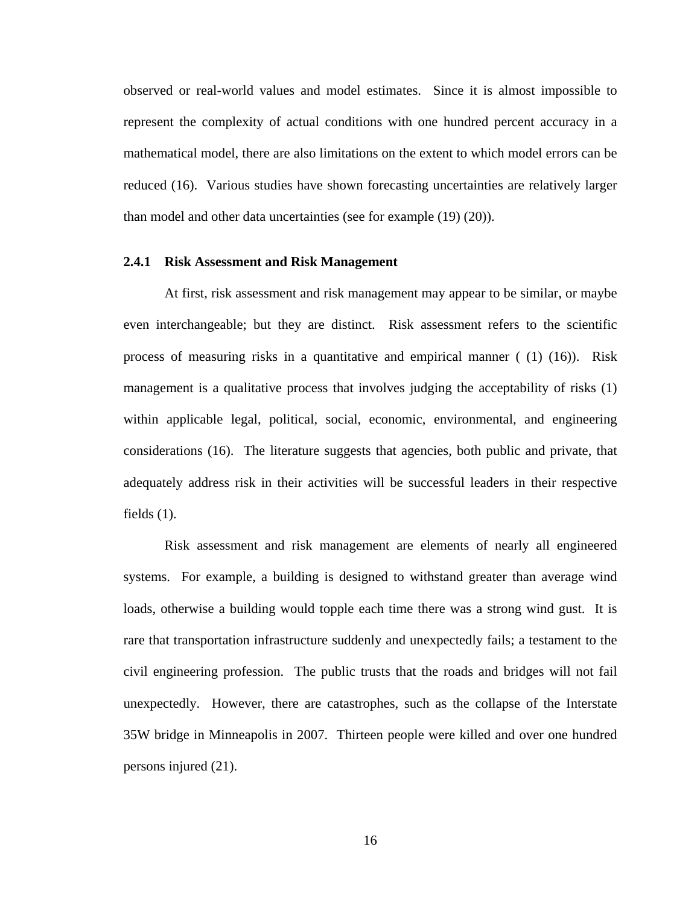observed or real-world values and model estimates. Since it is almost impossible to represent the complexity of actual conditions with one hundred percent accuracy in a mathematical model, there are also limitations on the extent to which model errors can be reduced (16). Various studies have shown forecasting uncertainties are relatively larger than model and other data uncertainties (see for example (19) (20)).

#### **2.4.1 Risk Assessment and Risk Management**

At first, risk assessment and risk management may appear to be similar, or maybe even interchangeable; but they are distinct. Risk assessment refers to the scientific process of measuring risks in a quantitative and empirical manner  $(1)(16)$ . Risk management is a qualitative process that involves judging the acceptability of risks (1) within applicable legal, political, social, economic, environmental, and engineering considerations (16). The literature suggests that agencies, both public and private, that adequately address risk in their activities will be successful leaders in their respective fields (1).

Risk assessment and risk management are elements of nearly all engineered systems. For example, a building is designed to withstand greater than average wind loads, otherwise a building would topple each time there was a strong wind gust. It is rare that transportation infrastructure suddenly and unexpectedly fails; a testament to the civil engineering profession. The public trusts that the roads and bridges will not fail unexpectedly. However, there are catastrophes, such as the collapse of the Interstate 35W bridge in Minneapolis in 2007. Thirteen people were killed and over one hundred persons injured (21).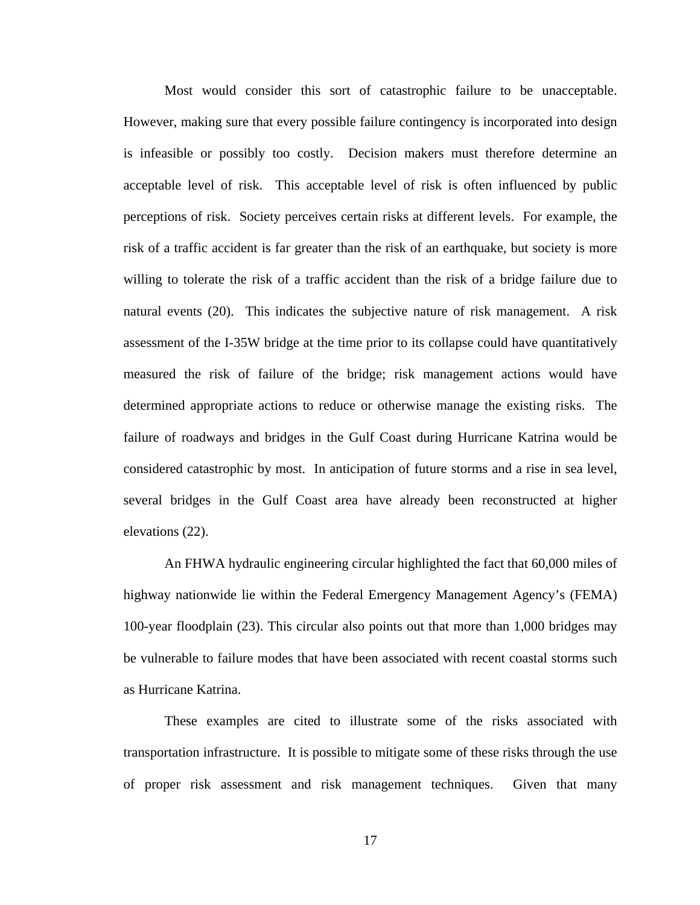Most would consider this sort of catastrophic failure to be unacceptable. However, making sure that every possible failure contingency is incorporated into design is infeasible or possibly too costly. Decision makers must therefore determine an acceptable level of risk. This acceptable level of risk is often influenced by public perceptions of risk. Society perceives certain risks at different levels. For example, the risk of a traffic accident is far greater than the risk of an earthquake, but society is more willing to tolerate the risk of a traffic accident than the risk of a bridge failure due to natural events (20). This indicates the subjective nature of risk management. A risk assessment of the I-35W bridge at the time prior to its collapse could have quantitatively measured the risk of failure of the bridge; risk management actions would have determined appropriate actions to reduce or otherwise manage the existing risks. The failure of roadways and bridges in the Gulf Coast during Hurricane Katrina would be considered catastrophic by most. In anticipation of future storms and a rise in sea level, several bridges in the Gulf Coast area have already been reconstructed at higher elevations (22).

An FHWA hydraulic engineering circular highlighted the fact that 60,000 miles of highway nationwide lie within the Federal Emergency Management Agency's (FEMA) 100-year floodplain (23). This circular also points out that more than 1,000 bridges may be vulnerable to failure modes that have been associated with recent coastal storms such as Hurricane Katrina.

These examples are cited to illustrate some of the risks associated with transportation infrastructure. It is possible to mitigate some of these risks through the use of proper risk assessment and risk management techniques. Given that many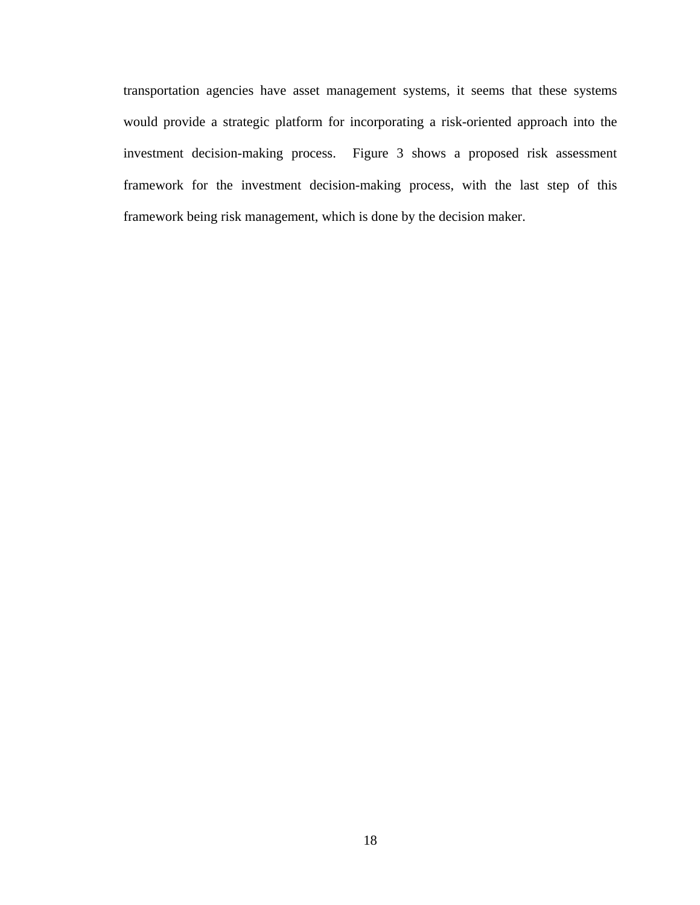transportation agencies have asset management systems, it seems that these systems would provide a strategic platform for incorporating a risk-oriented approach into the investment decision-making process. Figure 3 shows a proposed risk assessment framework for the investment decision-making process, with the last step of this framework being risk management, which is done by the decision maker.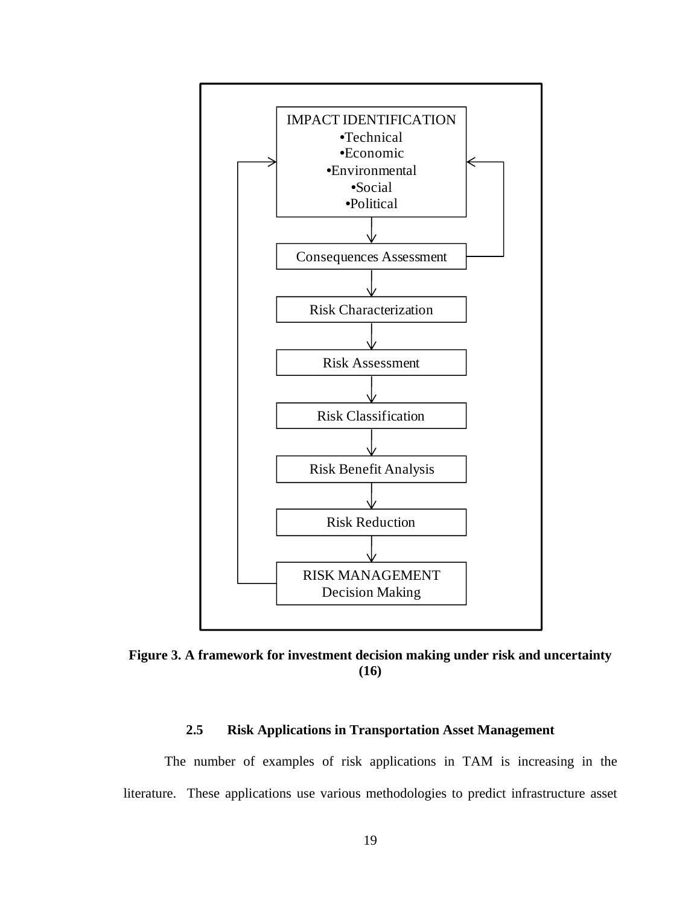

**Figure 3. A framework for investment decision making under risk and uncertainty (16)** 

## **2.5 Risk Applications in Transportation Asset Management**

The number of examples of risk applications in TAM is increasing in the literature. These applications use various methodologies to predict infrastructure asset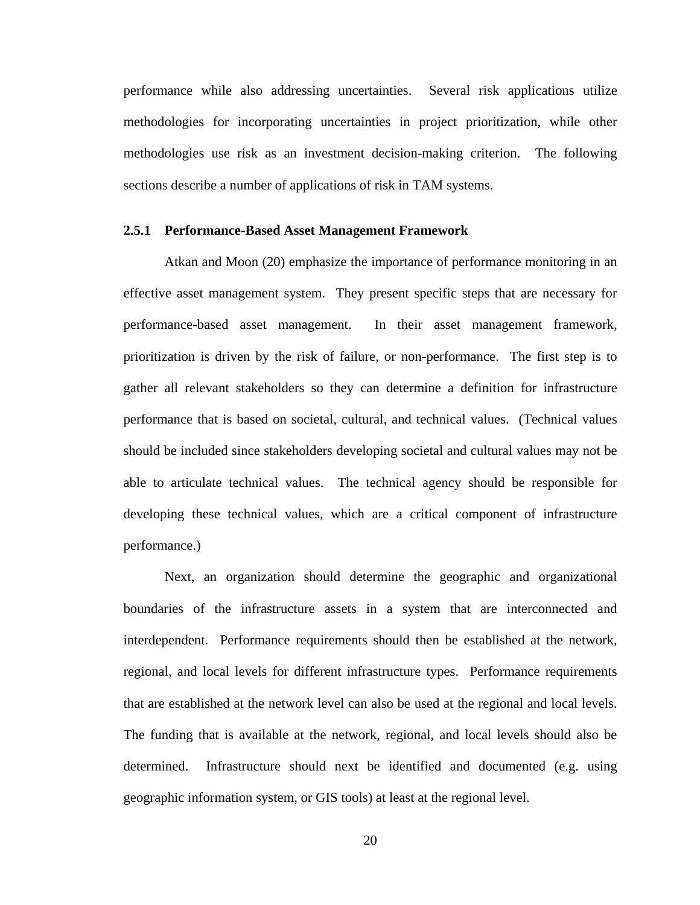performance while also addressing uncertainties. Several risk applications utilize methodologies for incorporating uncertainties in project prioritization, while other methodologies use risk as an investment decision-making criterion. The following sections describe a number of applications of risk in TAM systems.

#### **2.5.1 Performance-Based Asset Management Framework**

Atkan and Moon (20) emphasize the importance of performance monitoring in an effective asset management system. They present specific steps that are necessary for performance-based asset management. In their asset management framework, prioritization is driven by the risk of failure, or non-performance. The first step is to gather all relevant stakeholders so they can determine a definition for infrastructure performance that is based on societal, cultural, and technical values. (Technical values should be included since stakeholders developing societal and cultural values may not be able to articulate technical values. The technical agency should be responsible for developing these technical values, which are a critical component of infrastructure performance.)

Next, an organization should determine the geographic and organizational boundaries of the infrastructure assets in a system that are interconnected and interdependent. Performance requirements should then be established at the network, regional, and local levels for different infrastructure types. Performance requirements that are established at the network level can also be used at the regional and local levels. The funding that is available at the network, regional, and local levels should also be determined. Infrastructure should next be identified and documented (e.g. using geographic information system, or GIS tools) at least at the regional level.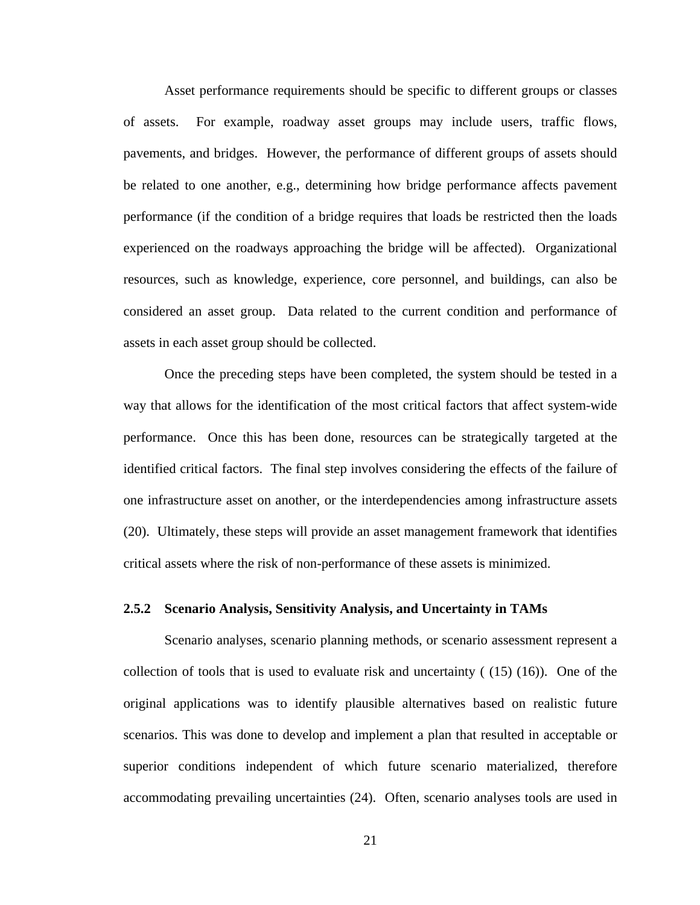Asset performance requirements should be specific to different groups or classes of assets. For example, roadway asset groups may include users, traffic flows, pavements, and bridges. However, the performance of different groups of assets should be related to one another, e.g., determining how bridge performance affects pavement performance (if the condition of a bridge requires that loads be restricted then the loads experienced on the roadways approaching the bridge will be affected). Organizational resources, such as knowledge, experience, core personnel, and buildings, can also be considered an asset group. Data related to the current condition and performance of assets in each asset group should be collected.

Once the preceding steps have been completed, the system should be tested in a way that allows for the identification of the most critical factors that affect system-wide performance. Once this has been done, resources can be strategically targeted at the identified critical factors. The final step involves considering the effects of the failure of one infrastructure asset on another, or the interdependencies among infrastructure assets (20). Ultimately, these steps will provide an asset management framework that identifies critical assets where the risk of non-performance of these assets is minimized.

#### **2.5.2 Scenario Analysis, Sensitivity Analysis, and Uncertainty in TAMs**

Scenario analyses, scenario planning methods, or scenario assessment represent a collection of tools that is used to evaluate risk and uncertainty ( (15) (16)). One of the original applications was to identify plausible alternatives based on realistic future scenarios. This was done to develop and implement a plan that resulted in acceptable or superior conditions independent of which future scenario materialized, therefore accommodating prevailing uncertainties (24). Often, scenario analyses tools are used in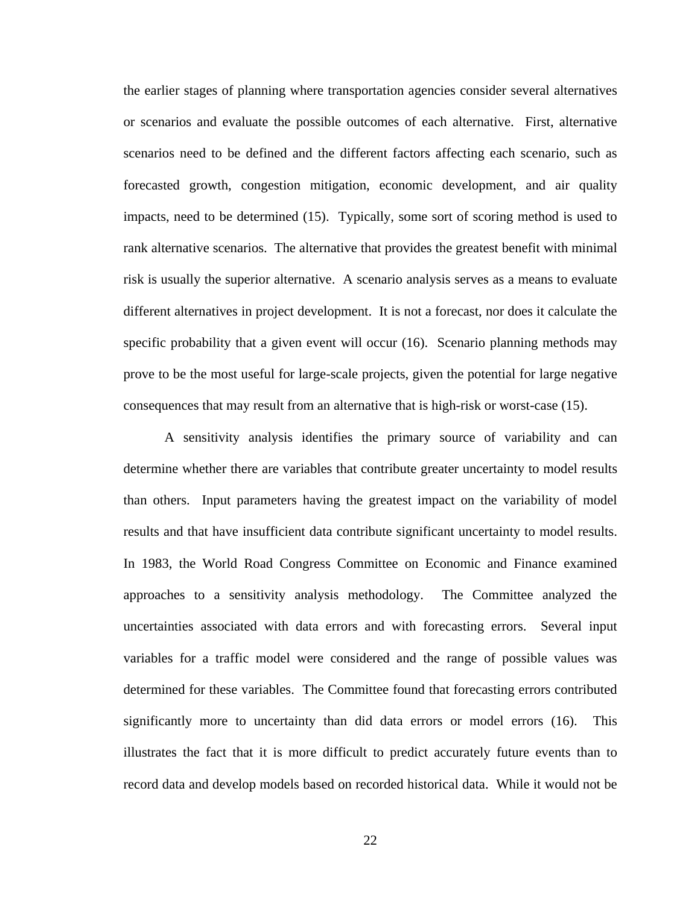the earlier stages of planning where transportation agencies consider several alternatives or scenarios and evaluate the possible outcomes of each alternative. First, alternative scenarios need to be defined and the different factors affecting each scenario, such as forecasted growth, congestion mitigation, economic development, and air quality impacts, need to be determined (15). Typically, some sort of scoring method is used to rank alternative scenarios. The alternative that provides the greatest benefit with minimal risk is usually the superior alternative. A scenario analysis serves as a means to evaluate different alternatives in project development. It is not a forecast, nor does it calculate the specific probability that a given event will occur (16). Scenario planning methods may prove to be the most useful for large-scale projects, given the potential for large negative consequences that may result from an alternative that is high-risk or worst-case (15).

A sensitivity analysis identifies the primary source of variability and can determine whether there are variables that contribute greater uncertainty to model results than others. Input parameters having the greatest impact on the variability of model results and that have insufficient data contribute significant uncertainty to model results. In 1983, the World Road Congress Committee on Economic and Finance examined approaches to a sensitivity analysis methodology. The Committee analyzed the uncertainties associated with data errors and with forecasting errors. Several input variables for a traffic model were considered and the range of possible values was determined for these variables. The Committee found that forecasting errors contributed significantly more to uncertainty than did data errors or model errors (16). This illustrates the fact that it is more difficult to predict accurately future events than to record data and develop models based on recorded historical data. While it would not be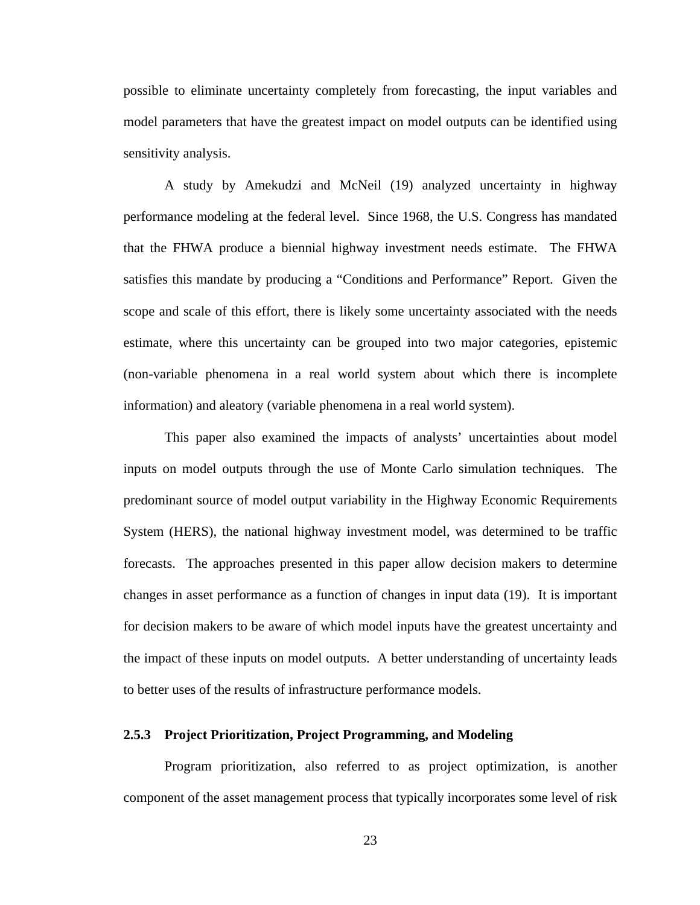possible to eliminate uncertainty completely from forecasting, the input variables and model parameters that have the greatest impact on model outputs can be identified using sensitivity analysis.

A study by Amekudzi and McNeil (19) analyzed uncertainty in highway performance modeling at the federal level. Since 1968, the U.S. Congress has mandated that the FHWA produce a biennial highway investment needs estimate. The FHWA satisfies this mandate by producing a "Conditions and Performance" Report. Given the scope and scale of this effort, there is likely some uncertainty associated with the needs estimate, where this uncertainty can be grouped into two major categories, epistemic (non-variable phenomena in a real world system about which there is incomplete information) and aleatory (variable phenomena in a real world system).

This paper also examined the impacts of analysts' uncertainties about model inputs on model outputs through the use of Monte Carlo simulation techniques. The predominant source of model output variability in the Highway Economic Requirements System (HERS), the national highway investment model, was determined to be traffic forecasts. The approaches presented in this paper allow decision makers to determine changes in asset performance as a function of changes in input data (19). It is important for decision makers to be aware of which model inputs have the greatest uncertainty and the impact of these inputs on model outputs. A better understanding of uncertainty leads to better uses of the results of infrastructure performance models.

#### **2.5.3 Project Prioritization, Project Programming, and Modeling**

Program prioritization, also referred to as project optimization, is another component of the asset management process that typically incorporates some level of risk

23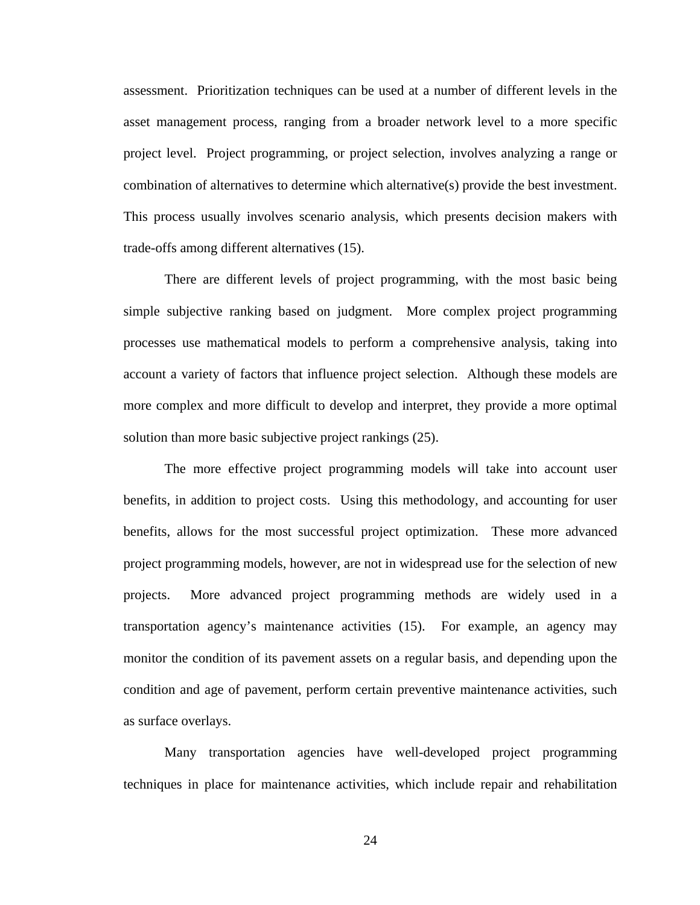assessment. Prioritization techniques can be used at a number of different levels in the asset management process, ranging from a broader network level to a more specific project level. Project programming, or project selection, involves analyzing a range or combination of alternatives to determine which alternative(s) provide the best investment. This process usually involves scenario analysis, which presents decision makers with trade-offs among different alternatives (15).

There are different levels of project programming, with the most basic being simple subjective ranking based on judgment. More complex project programming processes use mathematical models to perform a comprehensive analysis, taking into account a variety of factors that influence project selection. Although these models are more complex and more difficult to develop and interpret, they provide a more optimal solution than more basic subjective project rankings  $(25)$ .

The more effective project programming models will take into account user benefits, in addition to project costs. Using this methodology, and accounting for user benefits, allows for the most successful project optimization. These more advanced project programming models, however, are not in widespread use for the selection of new projects. More advanced project programming methods are widely used in a transportation agency's maintenance activities (15). For example, an agency may monitor the condition of its pavement assets on a regular basis, and depending upon the condition and age of pavement, perform certain preventive maintenance activities, such as surface overlays.

Many transportation agencies have well-developed project programming techniques in place for maintenance activities, which include repair and rehabilitation

24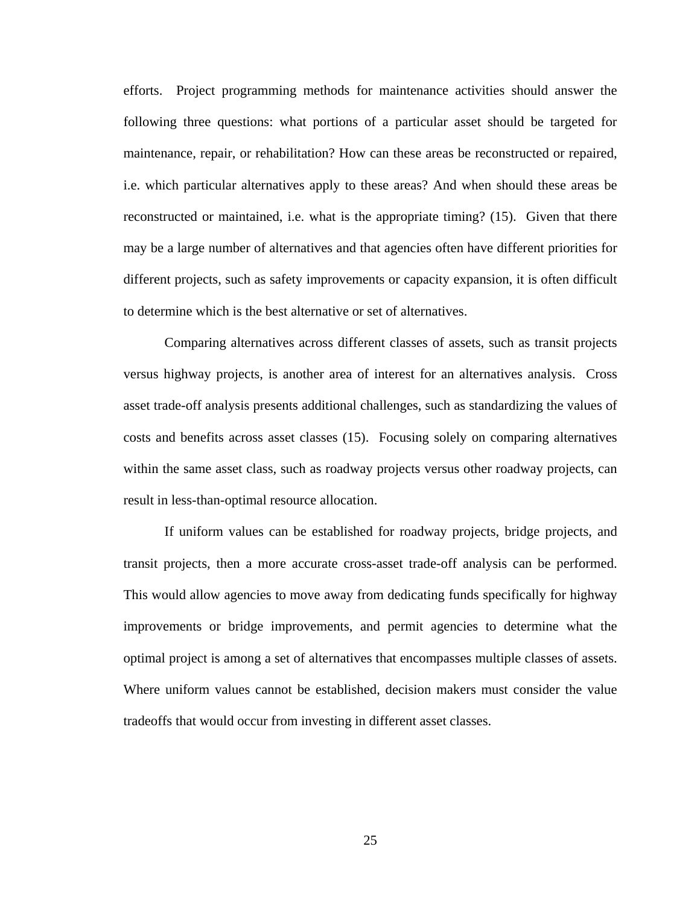efforts. Project programming methods for maintenance activities should answer the following three questions: what portions of a particular asset should be targeted for maintenance, repair, or rehabilitation? How can these areas be reconstructed or repaired, i.e. which particular alternatives apply to these areas? And when should these areas be reconstructed or maintained, i.e. what is the appropriate timing? (15). Given that there may be a large number of alternatives and that agencies often have different priorities for different projects, such as safety improvements or capacity expansion, it is often difficult to determine which is the best alternative or set of alternatives.

Comparing alternatives across different classes of assets, such as transit projects versus highway projects, is another area of interest for an alternatives analysis. Cross asset trade-off analysis presents additional challenges, such as standardizing the values of costs and benefits across asset classes (15). Focusing solely on comparing alternatives within the same asset class, such as roadway projects versus other roadway projects, can result in less-than-optimal resource allocation.

If uniform values can be established for roadway projects, bridge projects, and transit projects, then a more accurate cross-asset trade-off analysis can be performed. This would allow agencies to move away from dedicating funds specifically for highway improvements or bridge improvements, and permit agencies to determine what the optimal project is among a set of alternatives that encompasses multiple classes of assets. Where uniform values cannot be established, decision makers must consider the value tradeoffs that would occur from investing in different asset classes.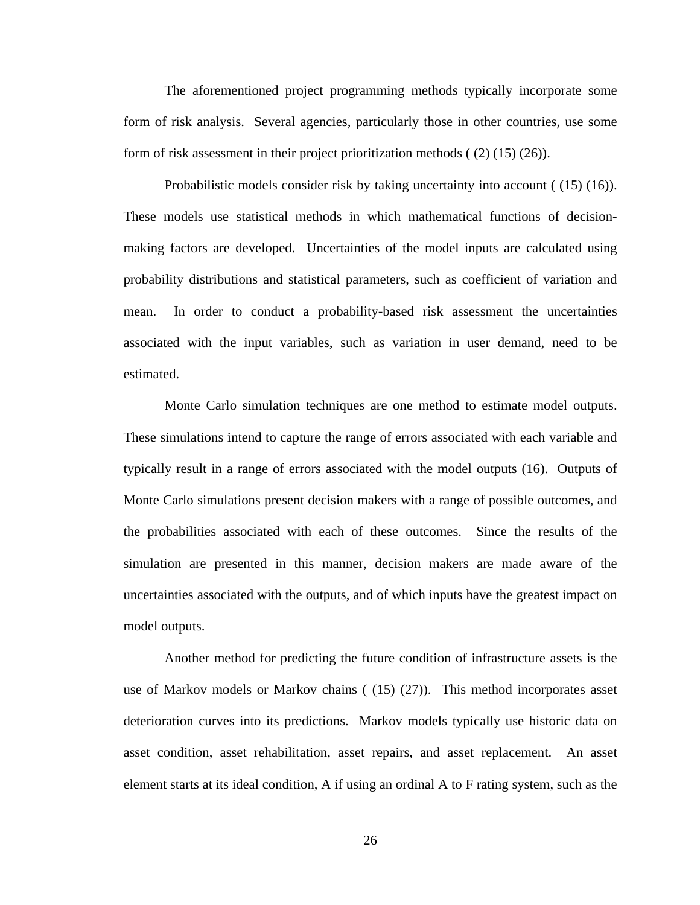The aforementioned project programming methods typically incorporate some form of risk analysis. Several agencies, particularly those in other countries, use some form of risk assessment in their project prioritization methods ( (2) (15) (26)).

Probabilistic models consider risk by taking uncertainty into account ( (15) (16)). These models use statistical methods in which mathematical functions of decisionmaking factors are developed. Uncertainties of the model inputs are calculated using probability distributions and statistical parameters, such as coefficient of variation and mean. In order to conduct a probability-based risk assessment the uncertainties associated with the input variables, such as variation in user demand, need to be estimated.

Monte Carlo simulation techniques are one method to estimate model outputs. These simulations intend to capture the range of errors associated with each variable and typically result in a range of errors associated with the model outputs (16). Outputs of Monte Carlo simulations present decision makers with a range of possible outcomes, and the probabilities associated with each of these outcomes. Since the results of the simulation are presented in this manner, decision makers are made aware of the uncertainties associated with the outputs, and of which inputs have the greatest impact on model outputs.

Another method for predicting the future condition of infrastructure assets is the use of Markov models or Markov chains ( (15) (27)). This method incorporates asset deterioration curves into its predictions. Markov models typically use historic data on asset condition, asset rehabilitation, asset repairs, and asset replacement. An asset element starts at its ideal condition, A if using an ordinal A to F rating system, such as the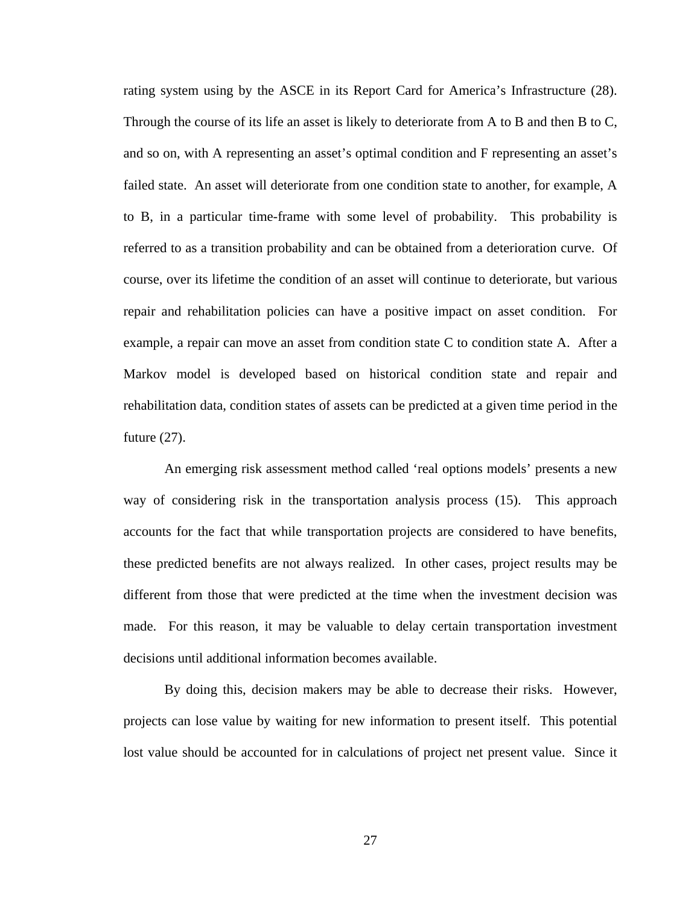rating system using by the ASCE in its Report Card for America's Infrastructure (28). Through the course of its life an asset is likely to deteriorate from A to B and then B to C, and so on, with A representing an asset's optimal condition and F representing an asset's failed state. An asset will deteriorate from one condition state to another, for example, A to B, in a particular time-frame with some level of probability. This probability is referred to as a transition probability and can be obtained from a deterioration curve. Of course, over its lifetime the condition of an asset will continue to deteriorate, but various repair and rehabilitation policies can have a positive impact on asset condition. For example, a repair can move an asset from condition state C to condition state A. After a Markov model is developed based on historical condition state and repair and rehabilitation data, condition states of assets can be predicted at a given time period in the future (27).

An emerging risk assessment method called 'real options models' presents a new way of considering risk in the transportation analysis process (15). This approach accounts for the fact that while transportation projects are considered to have benefits, these predicted benefits are not always realized. In other cases, project results may be different from those that were predicted at the time when the investment decision was made. For this reason, it may be valuable to delay certain transportation investment decisions until additional information becomes available.

By doing this, decision makers may be able to decrease their risks. However, projects can lose value by waiting for new information to present itself. This potential lost value should be accounted for in calculations of project net present value. Since it

27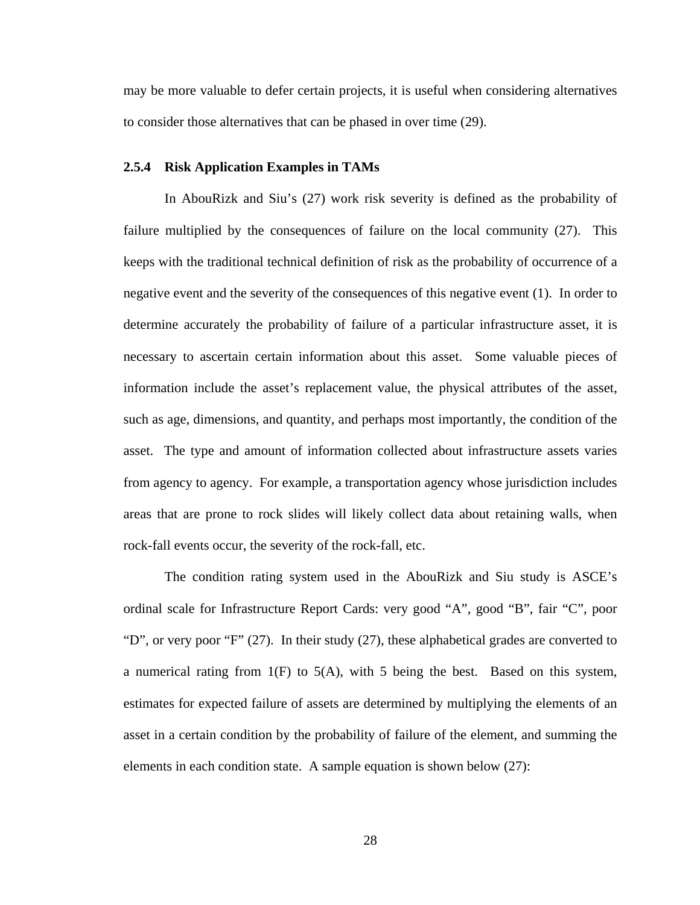may be more valuable to defer certain projects, it is useful when considering alternatives to consider those alternatives that can be phased in over time (29).

#### **2.5.4 Risk Application Examples in TAMs**

In AbouRizk and Siu's (27) work risk severity is defined as the probability of failure multiplied by the consequences of failure on the local community (27). This keeps with the traditional technical definition of risk as the probability of occurrence of a negative event and the severity of the consequences of this negative event (1). In order to determine accurately the probability of failure of a particular infrastructure asset, it is necessary to ascertain certain information about this asset. Some valuable pieces of information include the asset's replacement value, the physical attributes of the asset, such as age, dimensions, and quantity, and perhaps most importantly, the condition of the asset. The type and amount of information collected about infrastructure assets varies from agency to agency. For example, a transportation agency whose jurisdiction includes areas that are prone to rock slides will likely collect data about retaining walls, when rock-fall events occur, the severity of the rock-fall, etc.

The condition rating system used in the AbouRizk and Siu study is ASCE's ordinal scale for Infrastructure Report Cards: very good "A", good "B", fair "C", poor "D", or very poor "F" (27). In their study (27), these alphabetical grades are converted to a numerical rating from  $1(F)$  to  $5(A)$ , with 5 being the best. Based on this system, estimates for expected failure of assets are determined by multiplying the elements of an asset in a certain condition by the probability of failure of the element, and summing the elements in each condition state. A sample equation is shown below (27):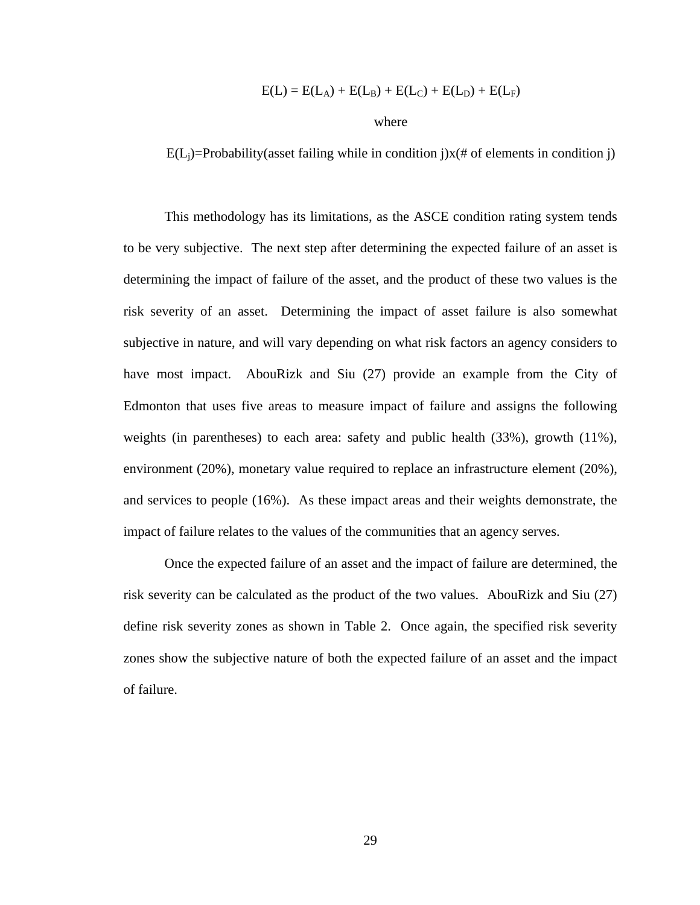$$
E(L) = E(L_A) + E(L_B) + E(L_C) + E(L_D) + E(L_F)
$$

where

 $E(L_i)$ =Probability(asset failing while in condition j) $x$ (# of elements in condition j)

This methodology has its limitations, as the ASCE condition rating system tends to be very subjective. The next step after determining the expected failure of an asset is determining the impact of failure of the asset, and the product of these two values is the risk severity of an asset. Determining the impact of asset failure is also somewhat subjective in nature, and will vary depending on what risk factors an agency considers to have most impact. AbouRizk and Siu (27) provide an example from the City of Edmonton that uses five areas to measure impact of failure and assigns the following weights (in parentheses) to each area: safety and public health (33%), growth (11%), environment (20%), monetary value required to replace an infrastructure element (20%), and services to people (16%). As these impact areas and their weights demonstrate, the impact of failure relates to the values of the communities that an agency serves.

Once the expected failure of an asset and the impact of failure are determined, the risk severity can be calculated as the product of the two values. AbouRizk and Siu (27) define risk severity zones as shown in Table 2. Once again, the specified risk severity zones show the subjective nature of both the expected failure of an asset and the impact of failure.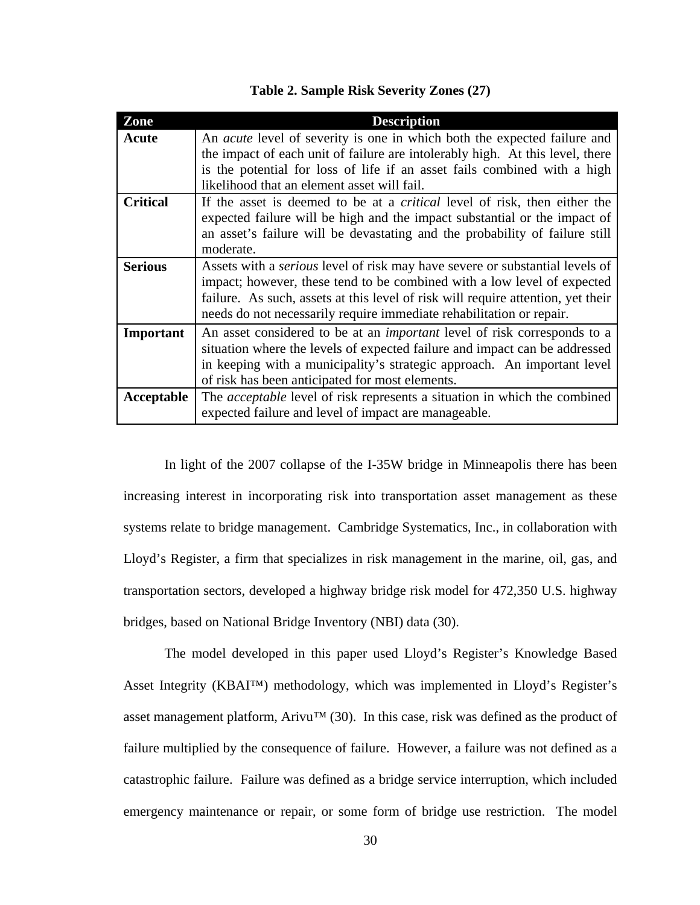| Zone            | <b>Description</b>                                                                  |
|-----------------|-------------------------------------------------------------------------------------|
| Acute           | An <i>acute</i> level of severity is one in which both the expected failure and     |
|                 | the impact of each unit of failure are intolerably high. At this level, there       |
|                 | is the potential for loss of life if an asset fails combined with a high            |
|                 | likelihood that an element asset will fail.                                         |
| <b>Critical</b> | If the asset is deemed to be at a <i>critical</i> level of risk, then either the    |
|                 | expected failure will be high and the impact substantial or the impact of           |
|                 | an asset's failure will be devastating and the probability of failure still         |
|                 | moderate.                                                                           |
| <b>Serious</b>  | Assets with a <i>serious</i> level of risk may have severe or substantial levels of |
|                 | impact; however, these tend to be combined with a low level of expected             |
|                 | failure. As such, assets at this level of risk will require attention, yet their    |
|                 | needs do not necessarily require immediate rehabilitation or repair.                |
| Important       | An asset considered to be at an <i>important</i> level of risk corresponds to a     |
|                 | situation where the levels of expected failure and impact can be addressed          |
|                 | in keeping with a municipality's strategic approach. An important level             |
|                 | of risk has been anticipated for most elements.                                     |
| Acceptable      | The <i>acceptable</i> level of risk represents a situation in which the combined    |
|                 | expected failure and level of impact are manageable.                                |

**Table 2. Sample Risk Severity Zones (27)** 

 In light of the 2007 collapse of the I-35W bridge in Minneapolis there has been increasing interest in incorporating risk into transportation asset management as these systems relate to bridge management. Cambridge Systematics, Inc., in collaboration with Lloyd's Register, a firm that specializes in risk management in the marine, oil, gas, and transportation sectors, developed a highway bridge risk model for 472,350 U.S. highway bridges, based on National Bridge Inventory (NBI) data (30).

 The model developed in this paper used Lloyd's Register's Knowledge Based Asset Integrity (KBAI™) methodology, which was implemented in Lloyd's Register's asset management platform, Arivu<sup>TM</sup> (30). In this case, risk was defined as the product of failure multiplied by the consequence of failure. However, a failure was not defined as a catastrophic failure. Failure was defined as a bridge service interruption, which included emergency maintenance or repair, or some form of bridge use restriction. The model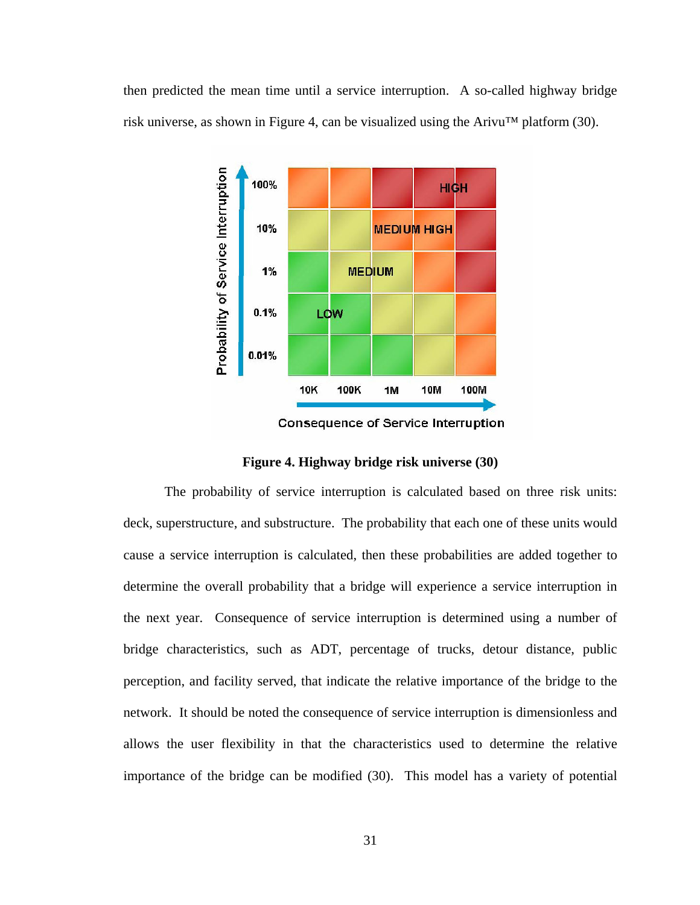then predicted the mean time until a service interruption. A so-called highway bridge risk universe, as shown in Figure 4, can be visualized using the Arivu™ platform (30).



**Consequence of Service Interruption** 

#### **Figure 4. Highway bridge risk universe (30)**

The probability of service interruption is calculated based on three risk units: deck, superstructure, and substructure. The probability that each one of these units would cause a service interruption is calculated, then these probabilities are added together to determine the overall probability that a bridge will experience a service interruption in the next year. Consequence of service interruption is determined using a number of bridge characteristics, such as ADT, percentage of trucks, detour distance, public perception, and facility served, that indicate the relative importance of the bridge to the network. It should be noted the consequence of service interruption is dimensionless and allows the user flexibility in that the characteristics used to determine the relative importance of the bridge can be modified (30). This model has a variety of potential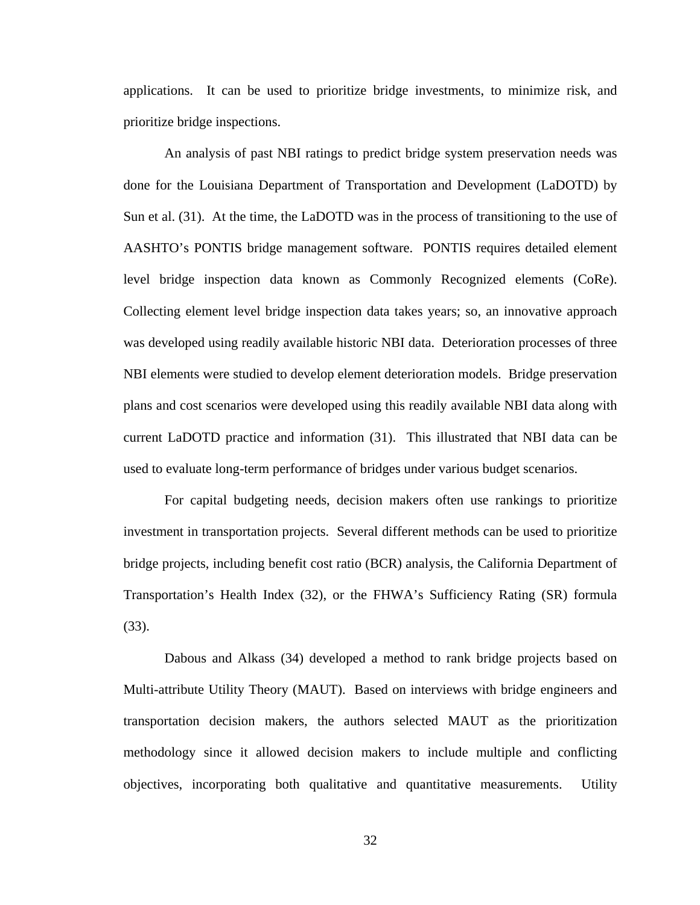applications. It can be used to prioritize bridge investments, to minimize risk, and prioritize bridge inspections.

An analysis of past NBI ratings to predict bridge system preservation needs was done for the Louisiana Department of Transportation and Development (LaDOTD) by Sun et al. (31). At the time, the LaDOTD was in the process of transitioning to the use of AASHTO's PONTIS bridge management software. PONTIS requires detailed element level bridge inspection data known as Commonly Recognized elements (CoRe). Collecting element level bridge inspection data takes years; so, an innovative approach was developed using readily available historic NBI data. Deterioration processes of three NBI elements were studied to develop element deterioration models. Bridge preservation plans and cost scenarios were developed using this readily available NBI data along with current LaDOTD practice and information (31). This illustrated that NBI data can be used to evaluate long-term performance of bridges under various budget scenarios.

For capital budgeting needs, decision makers often use rankings to prioritize investment in transportation projects. Several different methods can be used to prioritize bridge projects, including benefit cost ratio (BCR) analysis, the California Department of Transportation's Health Index (32), or the FHWA's Sufficiency Rating (SR) formula (33).

Dabous and Alkass (34) developed a method to rank bridge projects based on Multi-attribute Utility Theory (MAUT). Based on interviews with bridge engineers and transportation decision makers, the authors selected MAUT as the prioritization methodology since it allowed decision makers to include multiple and conflicting objectives, incorporating both qualitative and quantitative measurements. Utility

32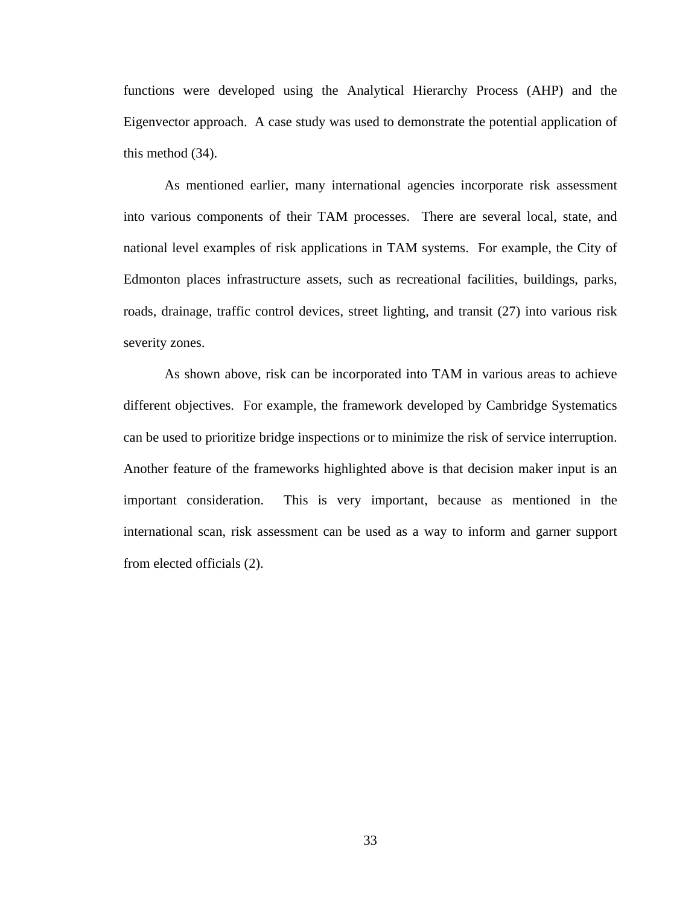functions were developed using the Analytical Hierarchy Process (AHP) and the Eigenvector approach. A case study was used to demonstrate the potential application of this method (34).

As mentioned earlier, many international agencies incorporate risk assessment into various components of their TAM processes. There are several local, state, and national level examples of risk applications in TAM systems. For example, the City of Edmonton places infrastructure assets, such as recreational facilities, buildings, parks, roads, drainage, traffic control devices, street lighting, and transit (27) into various risk severity zones.

As shown above, risk can be incorporated into TAM in various areas to achieve different objectives. For example, the framework developed by Cambridge Systematics can be used to prioritize bridge inspections or to minimize the risk of service interruption. Another feature of the frameworks highlighted above is that decision maker input is an important consideration. This is very important, because as mentioned in the international scan, risk assessment can be used as a way to inform and garner support from elected officials (2).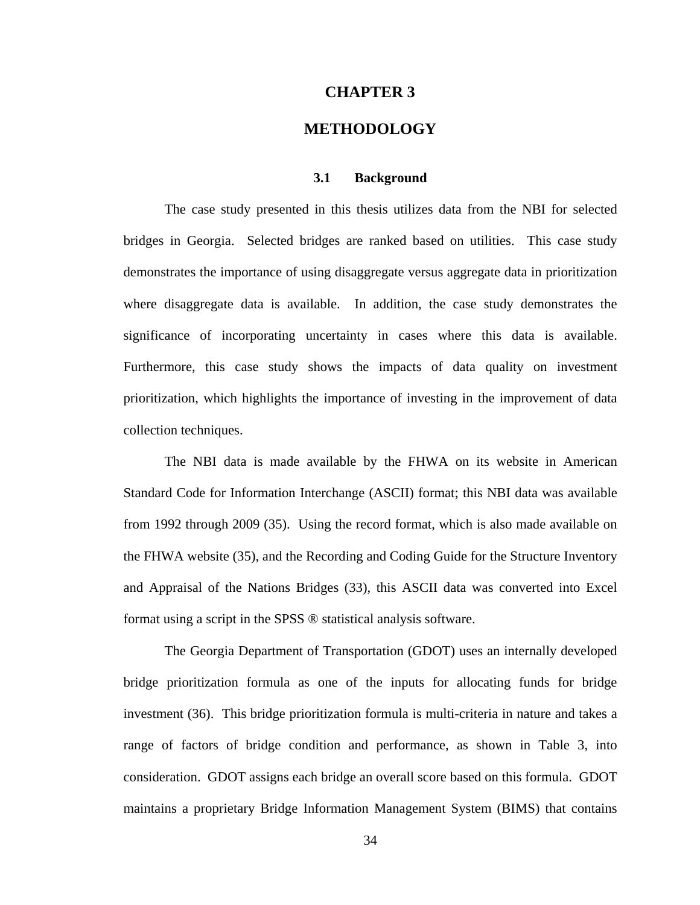#### **CHAPTER 3**

# **METHODOLOGY**

#### **3.1 Background**

The case study presented in this thesis utilizes data from the NBI for selected bridges in Georgia. Selected bridges are ranked based on utilities. This case study demonstrates the importance of using disaggregate versus aggregate data in prioritization where disaggregate data is available. In addition, the case study demonstrates the significance of incorporating uncertainty in cases where this data is available. Furthermore, this case study shows the impacts of data quality on investment prioritization, which highlights the importance of investing in the improvement of data collection techniques.

The NBI data is made available by the FHWA on its website in American Standard Code for Information Interchange (ASCII) format; this NBI data was available from 1992 through 2009 (35). Using the record format, which is also made available on the FHWA website (35), and the Recording and Coding Guide for the Structure Inventory and Appraisal of the Nations Bridges (33), this ASCII data was converted into Excel format using a script in the SPSS ® statistical analysis software.

 The Georgia Department of Transportation (GDOT) uses an internally developed bridge prioritization formula as one of the inputs for allocating funds for bridge investment (36). This bridge prioritization formula is multi-criteria in nature and takes a range of factors of bridge condition and performance, as shown in Table 3, into consideration. GDOT assigns each bridge an overall score based on this formula. GDOT maintains a proprietary Bridge Information Management System (BIMS) that contains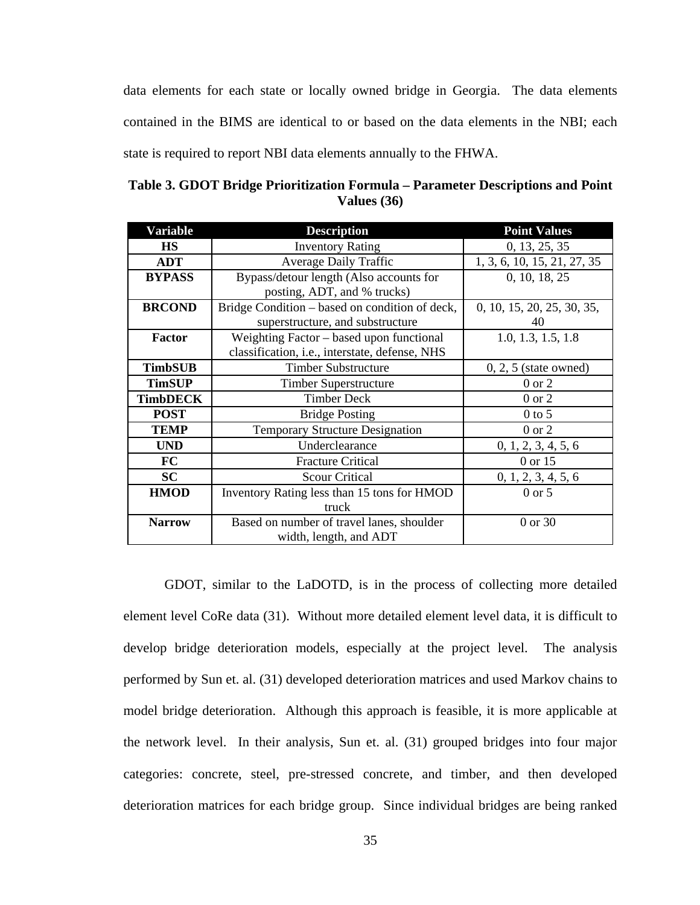data elements for each state or locally owned bridge in Georgia. The data elements contained in the BIMS are identical to or based on the data elements in the NBI; each state is required to report NBI data elements annually to the FHWA.

**Table 3. GDOT Bridge Prioritization Formula – Parameter Descriptions and Point Values (36)** 

| Variable        | <b>Description</b>                             | <b>Point Values</b>         |
|-----------------|------------------------------------------------|-----------------------------|
| <b>HS</b>       | <b>Inventory Rating</b>                        | 0, 13, 25, 35               |
| <b>ADT</b>      | <b>Average Daily Traffic</b>                   | 1, 3, 6, 10, 15, 21, 27, 35 |
| <b>BYPASS</b>   | Bypass/detour length (Also accounts for        | 0, 10, 18, 25               |
|                 | posting, ADT, and % trucks)                    |                             |
| <b>BRCOND</b>   | Bridge Condition – based on condition of deck, | 0, 10, 15, 20, 25, 30, 35,  |
|                 | superstructure, and substructure               | 40                          |
| <b>Factor</b>   | Weighting Factor – based upon functional       | 1.0, 1.3, 1.5, 1.8          |
|                 | classification, i.e., interstate, defense, NHS |                             |
| <b>TimbSUB</b>  | <b>Timber Substructure</b>                     | $0, 2, 5$ (state owned)     |
| <b>TimSUP</b>   | Timber Superstructure                          | $0$ or $2$                  |
| <b>TimbDECK</b> | <b>Timber Deck</b>                             | $0$ or $2$                  |
| <b>POST</b>     | <b>Bridge Posting</b>                          | $0$ to 5                    |
| <b>TEMP</b>     | <b>Temporary Structure Designation</b>         | $0$ or $2$                  |
| <b>UND</b>      | Underclearance                                 | 0, 1, 2, 3, 4, 5, 6         |
| <b>FC</b>       | <b>Fracture Critical</b>                       | 0 or 15                     |
| <b>SC</b>       | <b>Scour Critical</b>                          | 0, 1, 2, 3, 4, 5, 6         |
| <b>HMOD</b>     | Inventory Rating less than 15 tons for HMOD    | $0 \text{ or } 5$           |
|                 | truck                                          |                             |
| <b>Narrow</b>   | Based on number of travel lanes, shoulder      | 0 or 30                     |
|                 | width, length, and ADT                         |                             |

 GDOT, similar to the LaDOTD, is in the process of collecting more detailed element level CoRe data (31). Without more detailed element level data, it is difficult to develop bridge deterioration models, especially at the project level. The analysis performed by Sun et. al. (31) developed deterioration matrices and used Markov chains to model bridge deterioration. Although this approach is feasible, it is more applicable at the network level. In their analysis, Sun et. al. (31) grouped bridges into four major categories: concrete, steel, pre-stressed concrete, and timber, and then developed deterioration matrices for each bridge group. Since individual bridges are being ranked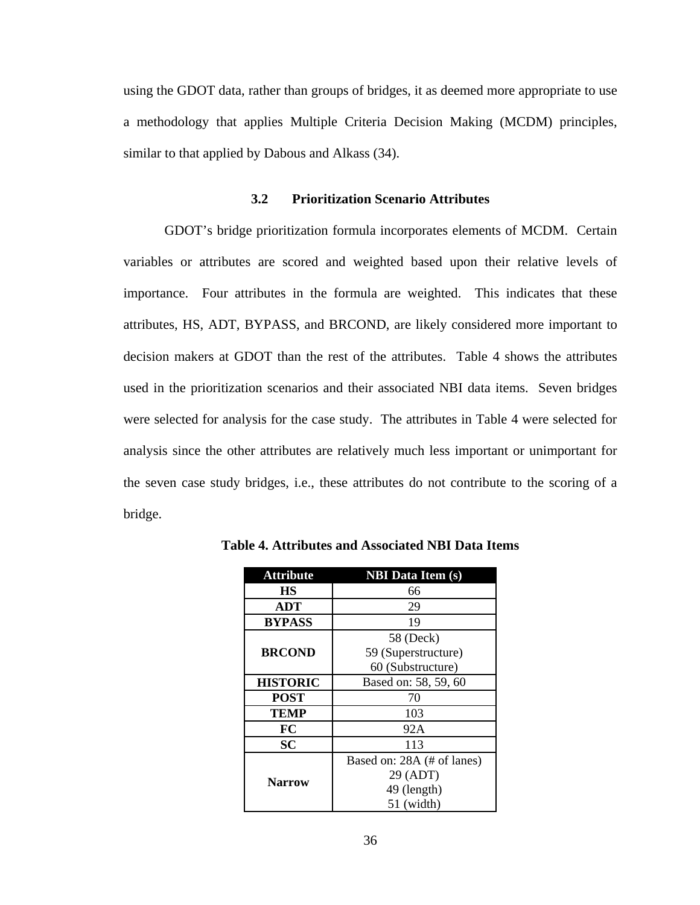using the GDOT data, rather than groups of bridges, it as deemed more appropriate to use a methodology that applies Multiple Criteria Decision Making (MCDM) principles, similar to that applied by Dabous and Alkass (34).

## **3.2 Prioritization Scenario Attributes**

 GDOT's bridge prioritization formula incorporates elements of MCDM. Certain variables or attributes are scored and weighted based upon their relative levels of importance. Four attributes in the formula are weighted. This indicates that these attributes, HS, ADT, BYPASS, and BRCOND, are likely considered more important to decision makers at GDOT than the rest of the attributes. Table 4 shows the attributes used in the prioritization scenarios and their associated NBI data items. Seven bridges were selected for analysis for the case study. The attributes in Table 4 were selected for analysis since the other attributes are relatively much less important or unimportant for the seven case study bridges, i.e., these attributes do not contribute to the scoring of a bridge.

| <b>Attribute</b> | <b>NBI</b> Data Item (s)   |
|------------------|----------------------------|
| HS               | 66                         |
| <b>ADT</b>       | 29                         |
| <b>BYPASS</b>    | 19                         |
|                  | 58 (Deck)                  |
| <b>BRCOND</b>    | 59 (Superstructure)        |
|                  | 60 (Substructure)          |
| <b>HISTORIC</b>  | Based on: 58, 59, 60       |
| <b>POST</b>      | 70                         |
| <b>TEMP</b>      | 103                        |
| FC               | 92A                        |
| <b>SC</b>        | 113                        |
|                  | Based on: 28A (# of lanes) |
| <b>Narrow</b>    | 29 (ADT)                   |
|                  | 49 (length)                |
|                  | 51 (width)                 |

**Table 4. Attributes and Associated NBI Data Items** 

36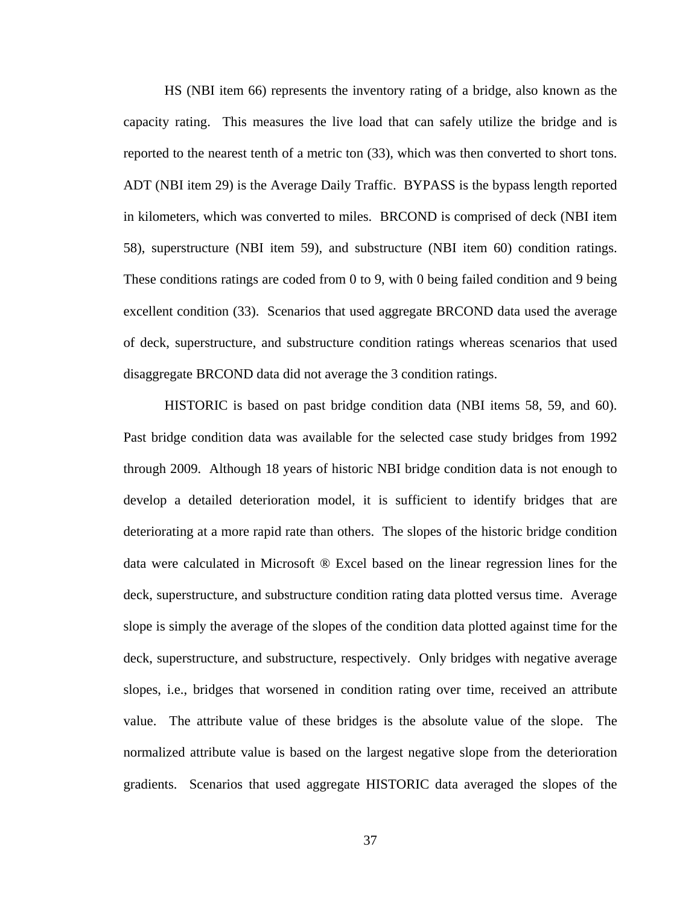HS (NBI item 66) represents the inventory rating of a bridge, also known as the capacity rating. This measures the live load that can safely utilize the bridge and is reported to the nearest tenth of a metric ton (33), which was then converted to short tons. ADT (NBI item 29) is the Average Daily Traffic. BYPASS is the bypass length reported in kilometers, which was converted to miles. BRCOND is comprised of deck (NBI item 58), superstructure (NBI item 59), and substructure (NBI item 60) condition ratings. These conditions ratings are coded from 0 to 9, with 0 being failed condition and 9 being excellent condition (33). Scenarios that used aggregate BRCOND data used the average of deck, superstructure, and substructure condition ratings whereas scenarios that used disaggregate BRCOND data did not average the 3 condition ratings.

 HISTORIC is based on past bridge condition data (NBI items 58, 59, and 60). Past bridge condition data was available for the selected case study bridges from 1992 through 2009. Although 18 years of historic NBI bridge condition data is not enough to develop a detailed deterioration model, it is sufficient to identify bridges that are deteriorating at a more rapid rate than others. The slopes of the historic bridge condition data were calculated in Microsoft ® Excel based on the linear regression lines for the deck, superstructure, and substructure condition rating data plotted versus time. Average slope is simply the average of the slopes of the condition data plotted against time for the deck, superstructure, and substructure, respectively. Only bridges with negative average slopes, i.e., bridges that worsened in condition rating over time, received an attribute value. The attribute value of these bridges is the absolute value of the slope. The normalized attribute value is based on the largest negative slope from the deterioration gradients. Scenarios that used aggregate HISTORIC data averaged the slopes of the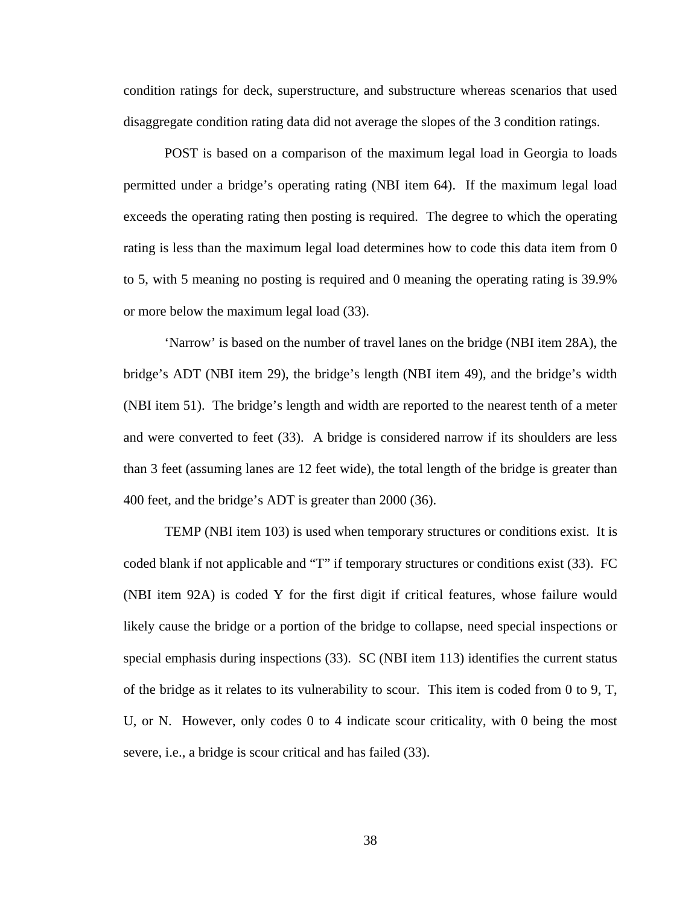condition ratings for deck, superstructure, and substructure whereas scenarios that used disaggregate condition rating data did not average the slopes of the 3 condition ratings.

 POST is based on a comparison of the maximum legal load in Georgia to loads permitted under a bridge's operating rating (NBI item 64). If the maximum legal load exceeds the operating rating then posting is required. The degree to which the operating rating is less than the maximum legal load determines how to code this data item from 0 to 5, with 5 meaning no posting is required and 0 meaning the operating rating is 39.9% or more below the maximum legal load (33).

 'Narrow' is based on the number of travel lanes on the bridge (NBI item 28A), the bridge's ADT (NBI item 29), the bridge's length (NBI item 49), and the bridge's width (NBI item 51). The bridge's length and width are reported to the nearest tenth of a meter and were converted to feet (33). A bridge is considered narrow if its shoulders are less than 3 feet (assuming lanes are 12 feet wide), the total length of the bridge is greater than 400 feet, and the bridge's ADT is greater than 2000 (36).

 TEMP (NBI item 103) is used when temporary structures or conditions exist. It is coded blank if not applicable and "T" if temporary structures or conditions exist (33). FC (NBI item 92A) is coded Y for the first digit if critical features, whose failure would likely cause the bridge or a portion of the bridge to collapse, need special inspections or special emphasis during inspections (33). SC (NBI item 113) identifies the current status of the bridge as it relates to its vulnerability to scour. This item is coded from 0 to 9, T, U, or N. However, only codes 0 to 4 indicate scour criticality, with 0 being the most severe, i.e., a bridge is scour critical and has failed (33).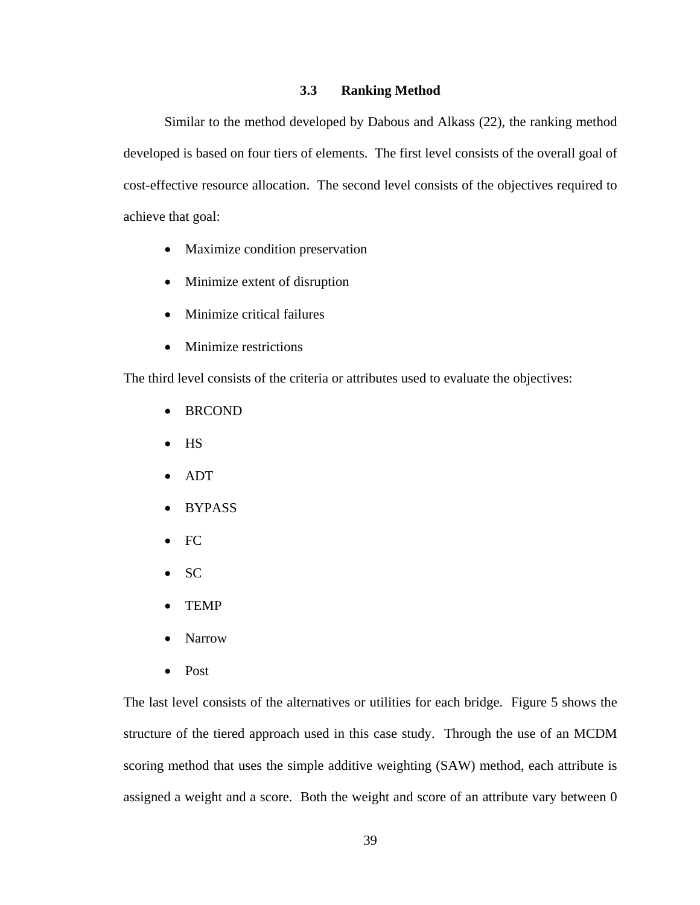## **3.3 Ranking Method**

 Similar to the method developed by Dabous and Alkass (22), the ranking method developed is based on four tiers of elements. The first level consists of the overall goal of cost-effective resource allocation. The second level consists of the objectives required to achieve that goal:

- Maximize condition preservation
- Minimize extent of disruption
- Minimize critical failures
- Minimize restrictions

The third level consists of the criteria or attributes used to evaluate the objectives:

- BRCOND
- HS
- ADT
- BYPASS
- FC
- SC
- TEMP
- Narrow
- Post

The last level consists of the alternatives or utilities for each bridge. Figure 5 shows the structure of the tiered approach used in this case study. Through the use of an MCDM scoring method that uses the simple additive weighting (SAW) method, each attribute is assigned a weight and a score. Both the weight and score of an attribute vary between 0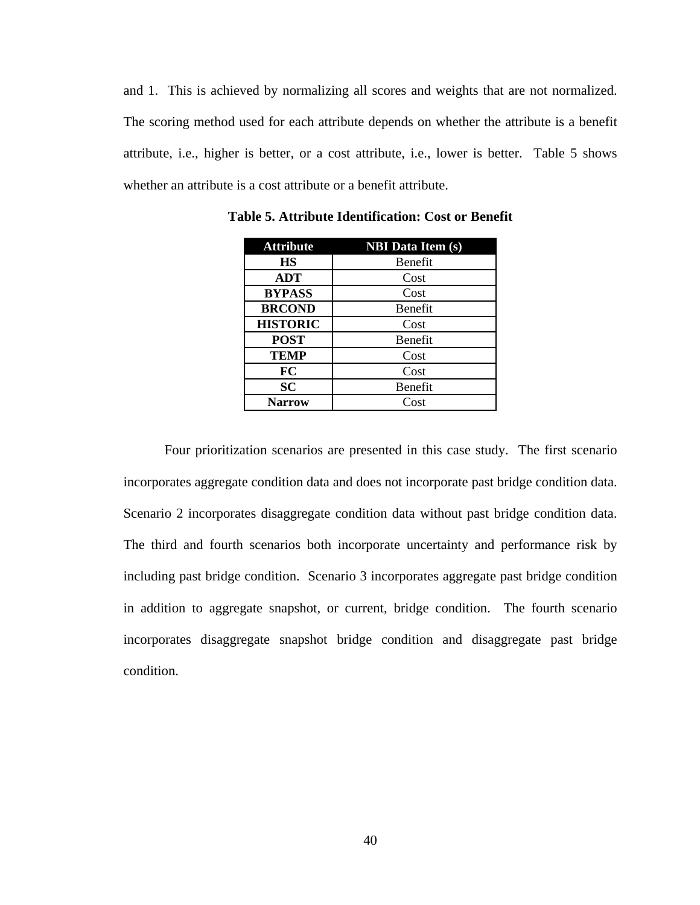and 1. This is achieved by normalizing all scores and weights that are not normalized. The scoring method used for each attribute depends on whether the attribute is a benefit attribute, i.e., higher is better, or a cost attribute, i.e., lower is better. Table 5 shows whether an attribute is a cost attribute or a benefit attribute.

| <b>Attribute</b> | <b>NBI</b> Data Item (s) |
|------------------|--------------------------|
| <b>HS</b>        | Benefit                  |
| <b>ADT</b>       | Cost                     |
| <b>BYPASS</b>    | Cost                     |
| <b>BRCOND</b>    | Benefit                  |
| <b>HISTORIC</b>  | Cost                     |
| <b>POST</b>      | Benefit                  |
| <b>TEMP</b>      | Cost                     |
| FC               | Cost                     |
| <b>SC</b>        | Benefit                  |
| <b>Narrow</b>    | Cost                     |

**Table 5. Attribute Identification: Cost or Benefit** 

 Four prioritization scenarios are presented in this case study. The first scenario incorporates aggregate condition data and does not incorporate past bridge condition data. Scenario 2 incorporates disaggregate condition data without past bridge condition data. The third and fourth scenarios both incorporate uncertainty and performance risk by including past bridge condition. Scenario 3 incorporates aggregate past bridge condition in addition to aggregate snapshot, or current, bridge condition. The fourth scenario incorporates disaggregate snapshot bridge condition and disaggregate past bridge condition.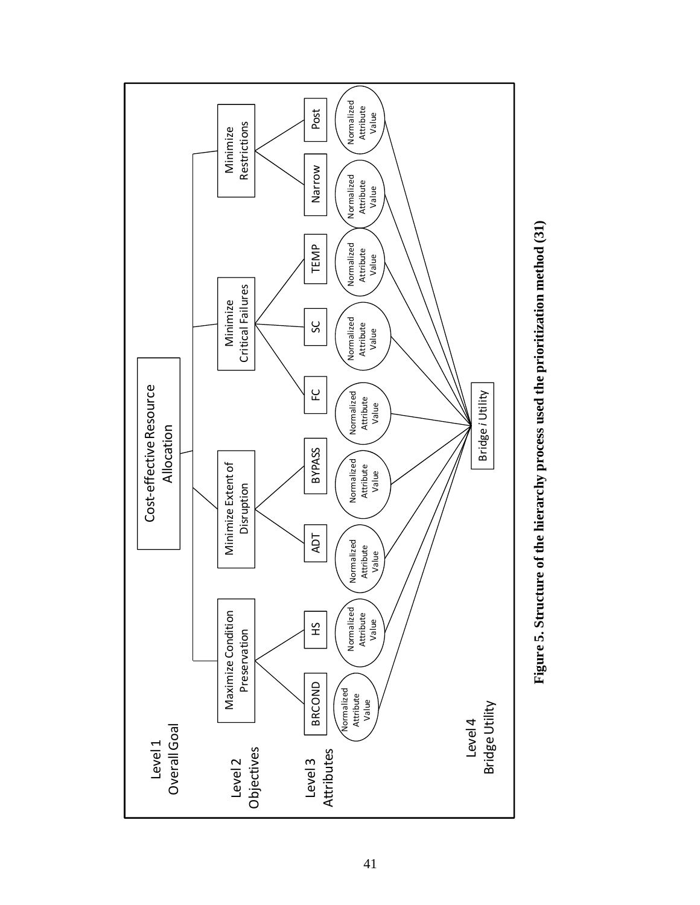

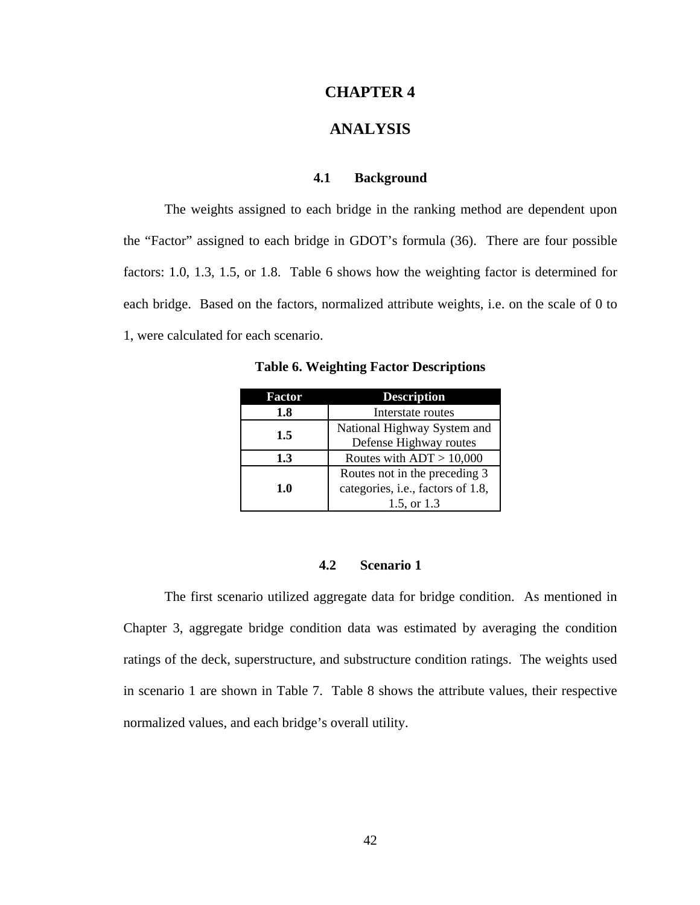## **CHAPTER 4**

# **ANALYSIS**

### **4.1 Background**

 The weights assigned to each bridge in the ranking method are dependent upon the "Factor" assigned to each bridge in GDOT's formula (36). There are four possible factors: 1.0, 1.3, 1.5, or 1.8. Table 6 shows how the weighting factor is determined for each bridge. Based on the factors, normalized attribute weights, i.e. on the scale of 0 to 1, were calculated for each scenario.

| Factor | <b>Description</b>                                                                |
|--------|-----------------------------------------------------------------------------------|
| 1.8    | Interstate routes                                                                 |
| 1.5    | National Highway System and<br>Defense Highway routes                             |
| 1.3    | Routes with $ADT > 10,000$                                                        |
| 1.0    | Routes not in the preceding 3<br>categories, i.e., factors of 1.8,<br>1.5, or 1.3 |

**Table 6. Weighting Factor Descriptions** 

## **4.2 Scenario 1**

The first scenario utilized aggregate data for bridge condition. As mentioned in Chapter 3, aggregate bridge condition data was estimated by averaging the condition ratings of the deck, superstructure, and substructure condition ratings. The weights used in scenario 1 are shown in Table 7. Table 8 shows the attribute values, their respective normalized values, and each bridge's overall utility.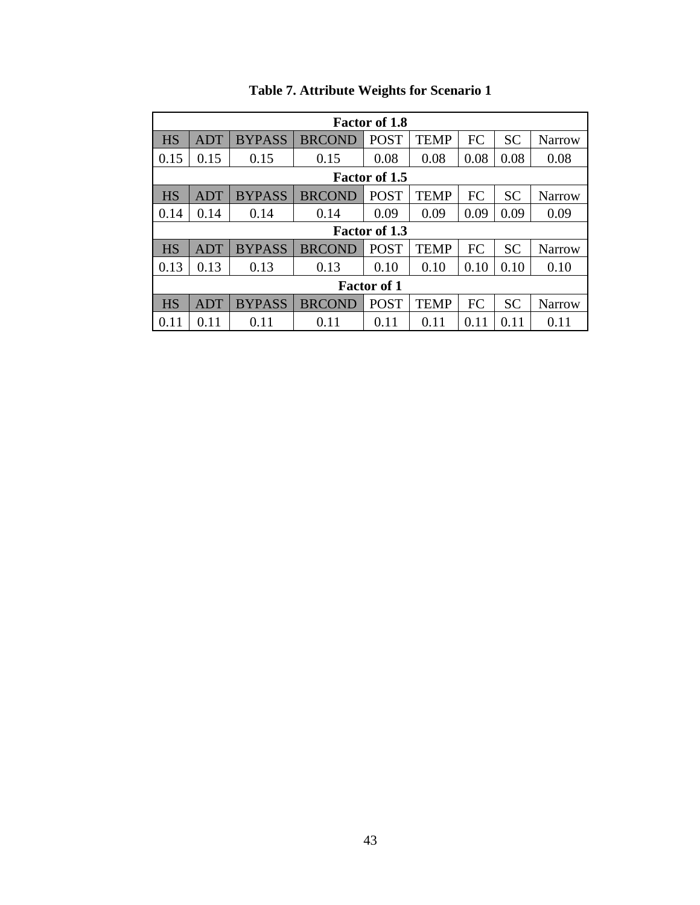|           |            |               |               | <b>Factor of 1.8</b> |             |      |           |               |
|-----------|------------|---------------|---------------|----------------------|-------------|------|-----------|---------------|
| <b>HS</b> | <b>ADT</b> | <b>BYPASS</b> | <b>BRCOND</b> | <b>POST</b>          | <b>TEMP</b> | FC   | <b>SC</b> | <b>Narrow</b> |
| 0.15      | 0.15       | 0.15          | 0.15          | 0.08                 | 0.08        | 0.08 | 0.08      | 0.08          |
|           |            |               |               | <b>Factor of 1.5</b> |             |      |           |               |
| <b>HS</b> | ADT        | <b>BYPASS</b> | <b>BRCOND</b> | <b>POST</b>          | TEMP        | FC   | <b>SC</b> | Narrow        |
| 0.14      | 0.14       | 0.14          | 0.14          | 0.09                 | 0.09        | 0.09 | 0.09      | 0.09          |
|           |            |               |               | <b>Factor of 1.3</b> |             |      |           |               |
| <b>HS</b> | <b>ADT</b> | <b>BYPASS</b> | <b>BRCOND</b> | <b>POST</b>          | TEMP        | FC   | <b>SC</b> | <b>Narrow</b> |
| 0.13      | 0.13       | 0.13          | 0.13          | 0.10                 | 0.10        | 0.10 | 0.10      | 0.10          |
|           |            |               |               | <b>Factor of 1</b>   |             |      |           |               |
| <b>HS</b> | <b>ADT</b> | <b>BYPASS</b> | <b>BRCOND</b> | <b>POST</b>          | <b>TEMP</b> | FC   | <b>SC</b> | <b>Narrow</b> |
| 0.11      | 0.11       | 0.11          | 0.11          | 0.11                 | 0.11        | 0.11 | 0.11      | 0.11          |

# **Table 7. Attribute Weights for Scenario 1**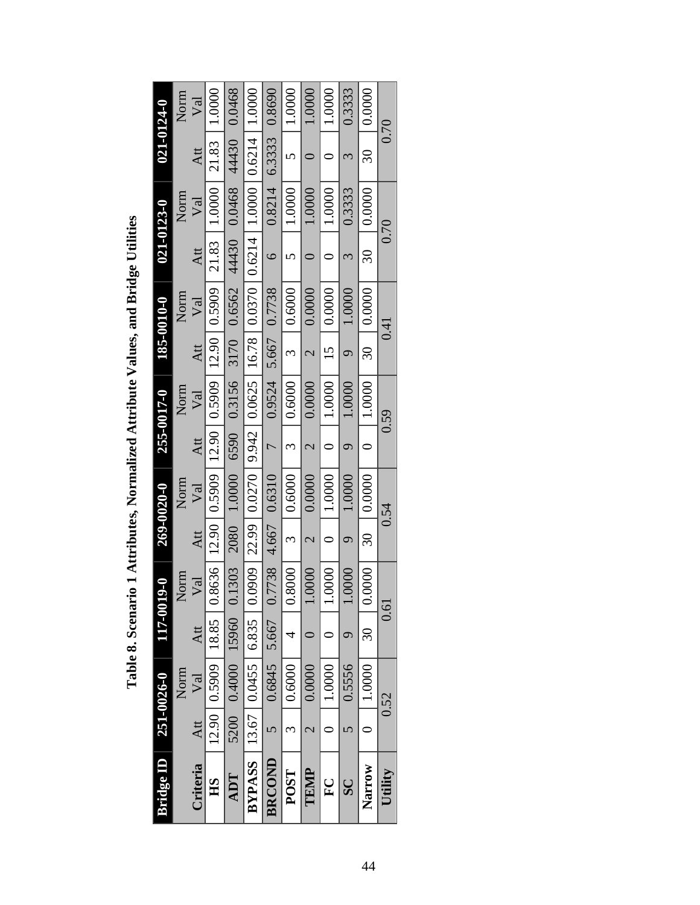Table 8. Scenario 1 Attributes, Normalized Attribute Values, and Bridge Utilities **Table 8. Scenario 1 Attributes, Normalized Attribute Values, and Bridge Utilities** 

| Bridge <b>ID</b>                                |           | 251-0026-0                                                                                           | <b>100-711</b> | $\mathbf{L}$         |                          | 269-0020-0             |                | 255-0017-0 |                          | 185-0010-0                                | $021 - 0123 - 0$         |                           |        | 021-0124-0 |
|-------------------------------------------------|-----------|------------------------------------------------------------------------------------------------------|----------------|----------------------|--------------------------|------------------------|----------------|------------|--------------------------|-------------------------------------------|--------------------------|---------------------------|--------|------------|
|                                                 |           | Norm                                                                                                 |                | Norm                 |                          | Norm                   |                | Norm       |                          | Norm                                      |                          | Norm                      |        | Norm       |
| Criteria                                        | Att       | $\rm{Val}$                                                                                           | Att            | $\sqrt{\mathrm{al}}$ | Att                      | Val                    | Att            | Val        | Att                      | Val                                       | Att                      | Val                       | Att    | $\sqrt{a}$ |
| HS                                              |           | $12.90 \mid 0.5909 \mid 18.85 \mid 0.8636 \mid 12.90 \mid 0.5909 \mid 12.90 \mid 0.5909 \mid 0.5909$ |                |                      |                          |                        |                |            |                          |                                           | 21.83                    | 1.0000                    | 21.83  | 1.0000     |
| ADT                                             |           | 5200 0.4000 15960 0.1303                                                                             |                |                      |                          |                        |                |            |                          | 2080 1.0000 6590 0.3156 3170 0.6562 44430 |                          | 0.0468 44430              |        | 0.0468     |
| <b>BYPASS</b>   13.67   0.0455   6.835   0.0909 |           |                                                                                                      |                |                      |                          | 22.99   0.0270   9.942 |                |            |                          | $0.0625$   16.78   0.0370                 |                          | $0.6214$   1.000   0.6214 |        | 1.0000     |
| <b>BRCOND</b>                                   |           | $0.6845$ 5.667                                                                                       |                | 0.7738               |                          | 4.667 0.6310           | $\overline{C}$ | 0.9524     | 5.667                    | 0.7738                                    | $\circ$                  | 0.8214                    | 6.3333 | 0.8690     |
| <b>POST</b>                                     |           | 0.6000                                                                                               | 4              | 0.8000               | $\epsilon$               | 0.6000                 | 3              | 0.6000     | $\omega$                 | 0.6000                                    | 5                        | 0000                      | 5      | 1.0000     |
| TEMP                                            |           | 0.0000                                                                                               |                | 0000                 | $\overline{\mathcal{C}}$ | 0.0000                 | 2              | 0.0000     | $\overline{\mathcal{C}}$ | 0.0000                                    |                          | $0000$ .                  |        | 0000.      |
| $\Gamma$                                        |           | 1.0000                                                                                               |                | 0000                 |                          | 1.0000                 |                | 1.0000     | $15 \,$                  | 0.0000                                    |                          | 1.0000                    |        | $0000$ .   |
| $\overline{\mathbf{S}}$                         |           | 0.5556                                                                                               | $\sigma$       | 0000                 | $\sigma$                 | 0000                   |                | 0000       | σ                        | 1.0000                                    |                          | 0.3333                    | 3      | 0.3333     |
| Narrow                                          | $\subset$ | 1.0000                                                                                               | $\Im$          | 0000                 | $\overline{30}$          | 0.0000                 | $\subset$      | 1.0000     | $\overline{\mathcal{S}}$ | 0.0000                                    | $\overline{\mathcal{S}}$ | 0.0000                    | $\Im$  | 0.0000     |
| Utility                                         |           | 0.52                                                                                                 |                | 0.61                 |                          | 0.54                   |                | 0.59       |                          | 0.41                                      |                          | 0.70                      |        | 0.70       |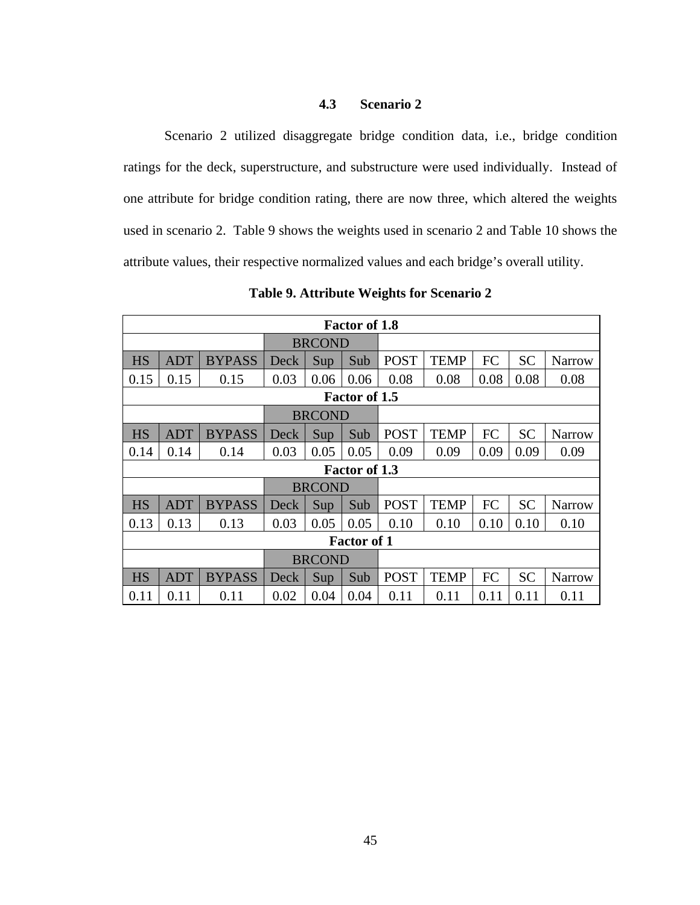## **4.3 Scenario 2**

Scenario 2 utilized disaggregate bridge condition data, i.e., bridge condition ratings for the deck, superstructure, and substructure were used individually. Instead of one attribute for bridge condition rating, there are now three, which altered the weights used in scenario 2. Table 9 shows the weights used in scenario 2 and Table 10 shows the attribute values, their respective normalized values and each bridge's overall utility.

|           |            |               |      |               | <b>Factor of 1.8</b> |             |             |      |           |               |
|-----------|------------|---------------|------|---------------|----------------------|-------------|-------------|------|-----------|---------------|
|           |            |               |      | <b>BRCOND</b> |                      |             |             |      |           |               |
| <b>HS</b> | <b>ADT</b> | <b>BYPASS</b> | Deck | Sup           | Sub                  | <b>POST</b> | <b>TEMP</b> | FC   | <b>SC</b> | <b>Narrow</b> |
| 0.15      | 0.15       | 0.15          | 0.03 | 0.06          | 0.06                 | 0.08        | 0.08        | 0.08 | 0.08      | 0.08          |
|           |            |               |      |               | Factor of 1.5        |             |             |      |           |               |
|           |            |               |      | <b>BRCOND</b> |                      |             |             |      |           |               |
| <b>HS</b> | <b>ADT</b> | <b>BYPASS</b> | Deck | Sup           | Sub                  | <b>POST</b> | <b>TEMP</b> | FC   | <b>SC</b> | <b>Narrow</b> |
| 0.14      | 0.14       | 0.14          | 0.03 | 0.05          | 0.05                 | 0.09        | 0.09        | 0.09 | 0.09      | 0.09          |
|           |            |               |      |               | <b>Factor of 1.3</b> |             |             |      |           |               |
|           |            |               |      | <b>BRCOND</b> |                      |             |             |      |           |               |
| <b>HS</b> | ADT        | <b>BYPASS</b> | Deck | Sup           | Sub                  | <b>POST</b> | <b>TEMP</b> | FC   | <b>SC</b> | Narrow        |
| 0.13      | 0.13       | 0.13          | 0.03 | 0.05          | 0.05                 | 0.10        | 0.10        | 0.10 | 0.10      | 0.10          |
|           |            |               |      |               | <b>Factor of 1</b>   |             |             |      |           |               |
|           |            |               |      | <b>BRCOND</b> |                      |             |             |      |           |               |
| <b>HS</b> | <b>ADT</b> | <b>BYPASS</b> | Deck | Sup           | Sub                  | <b>POST</b> | <b>TEMP</b> | FC   | <b>SC</b> | Narrow        |
| 0.11      | 0.11       | 0.11          | 0.02 | 0.04          | 0.04                 | 0.11        | 0.11        | 0.11 | 0.11      | 0.11          |

**Table 9. Attribute Weights for Scenario 2**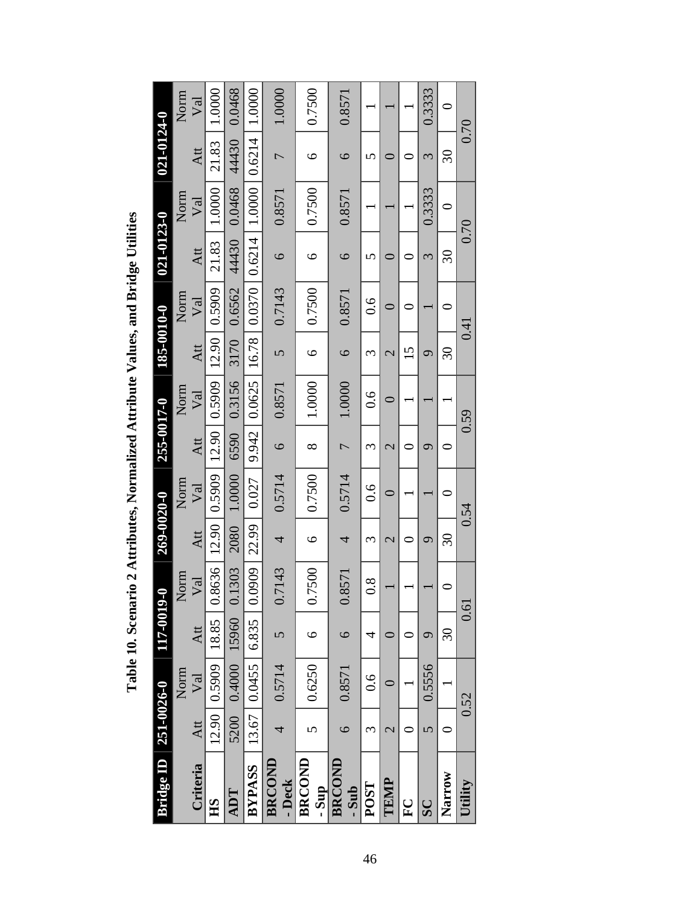| ridge ID                | $251 - 0026 - 0$ |                | 117-0019 | ę                     | 269-0020-0               |                  | 255-0017-0               |            | 185-0010-0      |               | 021-0123-0      |            | 021-0124-0               |            |
|-------------------------|------------------|----------------|----------|-----------------------|--------------------------|------------------|--------------------------|------------|-----------------|---------------|-----------------|------------|--------------------------|------------|
|                         |                  | Norm           |          | Norm                  |                          | Norm             |                          | Norm       |                 | Norm          |                 | Norm       |                          | Norm       |
| Criteria                | Att              | Val            | Att      | $\sqrt{a}$            | Att                      | ${\nabla}$ al    | Att                      | $\sqrt{a}$ | Att             | Val           | Att             | $\rm{Val}$ | Att                      | $\rm{Val}$ |
| $\mathbf{B}$            |                  | 12.90   0.5909 | 18.85    | 8636<br>$\circ$       | 12.90                    | 0.5909           | 12.90                    | 0.5909     | 12.90           | 0.5909        | 21.83           | 1.0000     | 21.83                    | 1.0000     |
| ADT                     | 5200             | 0.4000         | 15960    | 1303<br>$\circ$       | 2080                     | 1.0000           | 6590                     | 0.3156     | 3170            | 0.6562        | 44430           | 0.0468     | 44430                    | 0.0468     |
| <b>BYPASS</b>           | 13.67            | 0.0455         | 6.835    | 0909<br>$\dot{\circ}$ | 22.99                    | 0.027            | 9.942                    | 0.0625     | 16.78           |               | 0.0370   0.6214 | 1.0000     | 0.6214                   | 1.0000     |
| BRCOND<br>- Deck        | 4                | 0.5714         | 5        | .7143                 | 4                        | 0.5714           | $\circ$                  | 0.8571     | $\overline{C}$  | 0.7143        | $\circ$         | 0.8571     | $\overline{\phantom{0}}$ | 1.0000     |
| BRCOND<br>- Sup         | n                | 0.6250         | ৩        | .7500<br>Ö            | $\bullet$                | 0.7500           | ∞                        | 1.0000     | ৩               | 0.7500        | ৩               | 0.7500     | $\circ$                  | 0.7500     |
| BRCOND<br>- Sub         | $\epsilon$       | 0.8571         | $\circ$  | .8571<br>$\circ$      | 4                        | 0.5714           | $\overline{C}$           | 1.0000     | $\circ$         | 0.8571        | $\circ$         | 0.8571     | $\circ$                  | 0.8571     |
| POST                    | 3                | $\frac{6}{1}$  | 4        | $\frac{8}{3}$         | 3                        | $\overline{0.6}$ | 3                        | 0.6        | 3               | $\frac{6}{1}$ | 5               |            | 5                        |            |
| TEMP                    | $\mathcal{C}$    |                |          |                       | $\overline{\mathcal{C}}$ | $\circ$          | $\overline{\mathcal{C}}$ |            | $\mathcal{C}$   |               |                 |            |                          |            |
| $\sum_{i=1}^{n}$        |                  |                |          |                       |                          |                  |                          |            | $\overline{15}$ |               | ⊂               |            |                          |            |
| $\overline{\mathbf{S}}$ | 5                | 0.5556         | ᡋ        |                       | ᢦ                        |                  | ᡋ                        |            | ᢦ               |               | 3               | 0.3333     | 3                        | 0.3333     |
| <b>Narrow</b>           |                  |                | $\Im$    |                       | $\Im$                    | ⊂                |                          |            | $\Im$           |               | $\Im 0$         | ⊂          | $\Im$                    | $\circ$    |
| Utility                 |                  | 0.52           |          | 0.61                  |                          | 0.54             |                          | 0.59       |                 | 0.41          |                 | 0.70       | 0.70                     |            |

Table 10. Scenario 2 Attributes, Normalized Attribute Values, and Bridge Utilities **Table 10. Scenario 2 Attributes, Normalized Attribute Values, and Bridge Utilities**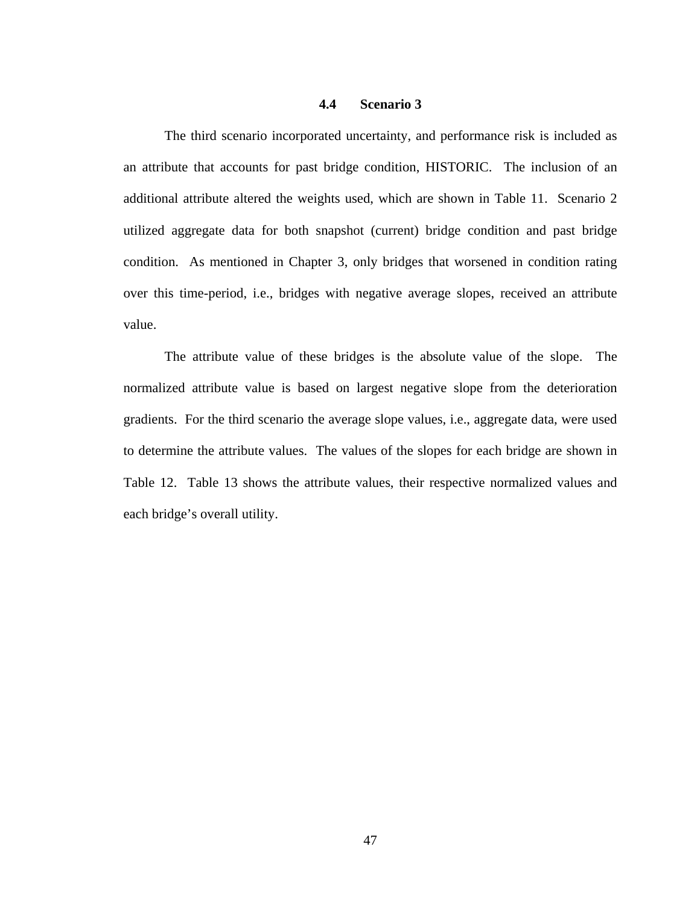#### **4.4 Scenario 3**

The third scenario incorporated uncertainty, and performance risk is included as an attribute that accounts for past bridge condition, HISTORIC. The inclusion of an additional attribute altered the weights used, which are shown in Table 11. Scenario 2 utilized aggregate data for both snapshot (current) bridge condition and past bridge condition. As mentioned in Chapter 3, only bridges that worsened in condition rating over this time-period, i.e., bridges with negative average slopes, received an attribute value.

The attribute value of these bridges is the absolute value of the slope. The normalized attribute value is based on largest negative slope from the deterioration gradients. For the third scenario the average slope values, i.e., aggregate data, were used to determine the attribute values. The values of the slopes for each bridge are shown in Table 12. Table 13 shows the attribute values, their respective normalized values and each bridge's overall utility.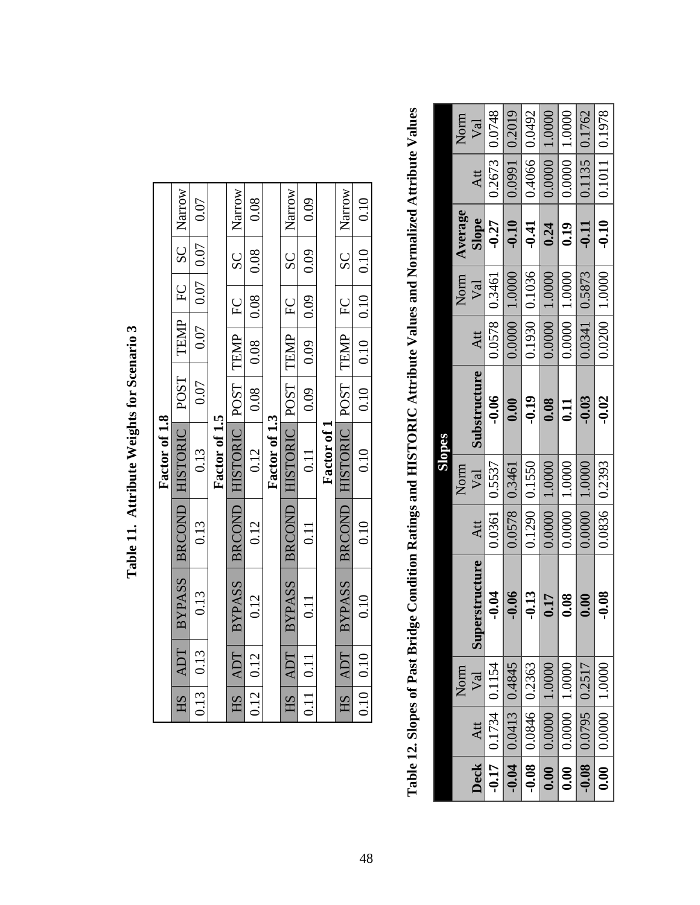|      |                     |               |               | Factor of 1.8                            |      |                             |                |               |        |
|------|---------------------|---------------|---------------|------------------------------------------|------|-----------------------------|----------------|---------------|--------|
| HS   | <b>ADT</b>          | BYPASS        | <b>BRCOND</b> | HISTORIC                                 | POST | TEMP                        | E              | SC            | Narrow |
| 0.13 | 0.13                | 0.13          | 0.13          | 0.13                                     | 0.07 | 0.07                        |                | $0.07$   0.07 | 0.07   |
|      |                     |               |               | Factor of 1.5                            |      |                             |                |               |        |
| HS   | ADT                 | <b>BYPASS</b> | <b>BRCOND</b> | HISTORIC POST TEMP                       |      |                             | $\overline{F}$ | SC            | Narrow |
| 0.12 | 0.12                | 0.12          | 0.12          | 0.12                                     | 0.08 | 0.08                        | 0.08           | 0.08          | 0.08   |
|      |                     |               |               | Factor of 1.3                            |      |                             |                |               |        |
| HS   | ADT                 | BYPASS        |               | BRCOND HISTORIC POST TEMP                |      |                             | EC             | SC<br>S       | Narrow |
|      | $0.11 \,   \, 0.11$ | 0.11          | 0.11          | 0.11                                     | 0.09 | $0.09$                      | $-0.09$        | 0.09          | 0.09   |
|      |                     |               |               | Factor of 1                              |      |                             |                |               |        |
| HS   | ADT                 |               |               | BYPASS   BRCOND   HISTORIC   POST   TEMP |      |                             | L<br>H         | SC<br>S       | Narrow |
|      | $0.10 \mid 0.10$    | 0.10          | 0.10          | 0.10                                     |      | $0.10$   0.10   0.10   0.10 |                |               | 0.10   |

Table 11. Attribute Weights for Scenario 3 **Table 11. Attribute Weights for Scenario 3** 

Table 12. Slopes of Past Bridge Condition Ratings and HISTORIC Attribute Values and Normalized Attribute Values **Table 12. Slopes of Past Bridge Condition Ratings and HISTORIC Attribute Values and Normalized Attribute Values** 

|                   |                         |                   |                |               |                     | Slopes       |        |                     |                |                           |                     |
|-------------------|-------------------------|-------------------|----------------|---------------|---------------------|--------------|--------|---------------------|----------------|---------------------------|---------------------|
|                   |                         | Norm              |                |               | Norm                |              |        | Norm                | <b>Average</b> |                           | Norm                |
| $\bf{Deck}$       | Att                     | Val               | Superstructure | Att           | Val                 | Substructure | Att    | Val                 | Slope          | Att                       | Val                 |
|                   | $-0.17$ 0.1734 0.1154   |                   | $-0.04$        |               | 0.0361 0.5537       | $-0.06$      |        | $0.0578$ 0.3461     | $-0.27$        | $0.2673$ 0.0748           |                     |
| $-0.04$           | 0.0413 0.4845           |                   | $-0.06$        | 0.0578 0.3461 |                     | 0.00         | 0.0000 | 1.0000              | $-0.10$        |                           | 0.0991 0.2019       |
|                   | $-0.08$ 0.0846 0.2363   |                   | $-0.13$        |               | 0.1290 0.1550       | $-0.19$      |        | 0.1930   0.1036     | $-0.41$        | 0.4066 0.0492             |                     |
|                   | $0.00$   0.000   1.0000 |                   | 0.17           |               | $0.0000$   $1.0000$ | 0.08         |        | $0.0000$   $1.0000$ | 0.24           | $\mid 0.0000 \mid 1.0000$ |                     |
| $\overline{0.00}$ |                         | $0.0000$   1.0000 | 0.08           |               | 0.0000 1.0000       | 0.11         |        | $0.0000$   $1.0000$ | 0.19           |                           | $0.0000$   $1.0000$ |
|                   | $-0.08$ 0.0795 0.2517   |                   | 0.00           |               | $0.0000$   1.0000   | $-0.03$      |        | 0.0341 0.5873       | $-0.11$        | 0.1135 0.1762             |                     |
|                   | $0.00$   0.000   1.0000 |                   | $-0.08$        |               | 0.0836   0.2393     | $-0.02$      |        | $0.0200$   1.0000   |                | $-0.10$   0.1011   0.1978 |                     |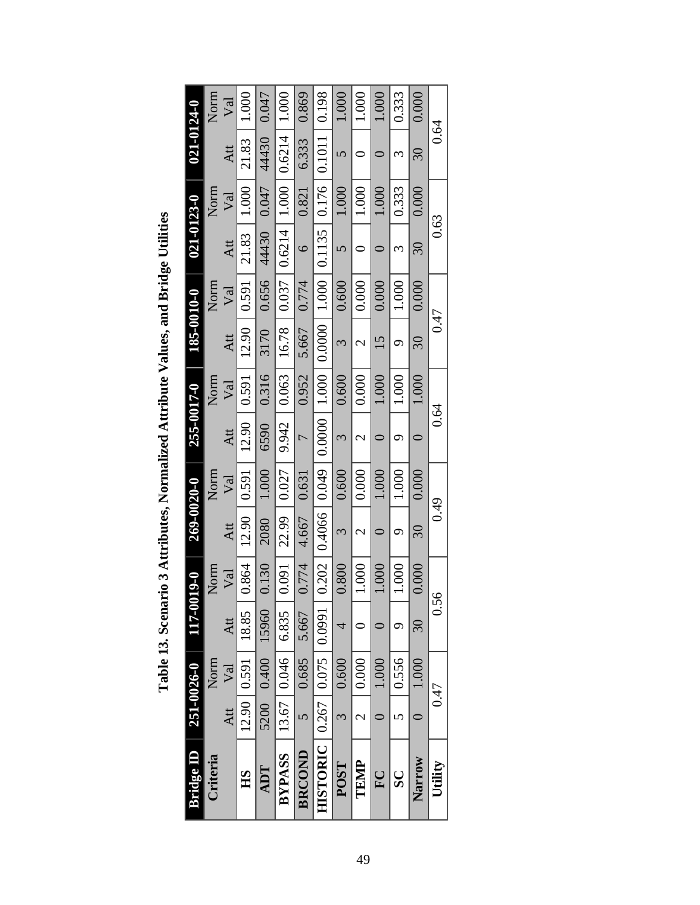| Bridge ID                         | 251-0026-0               |                  | 117-00  | 19-0  | 269-0020-0          |       | 255-0017-0               |       | 185-0010-0 |       | $021 - 0123 - 0$ |       | 021-0124-0         |            |
|-----------------------------------|--------------------------|------------------|---------|-------|---------------------|-------|--------------------------|-------|------------|-------|------------------|-------|--------------------|------------|
| Criteria                          |                          | Norm             |         | Norm  |                     | Norm  |                          | Norm  |            | Norm  |                  | Norm  |                    | Norm       |
|                                   | Att                      | Val              | Att     | Val   | Att                 | Val   | Att                      | Val   | Att        | Val   | Att              | Val   | Att                | $\sqrt{a}$ |
| HS                                |                          | 12.90   0.591    | 18.85   | 0.864 | 12.90               | 0.591 | 12.90                    | 0.591 | 12.90      | 0.591 | 21.83            | 1.000 | 21.83              | 1.000      |
| ADT                               |                          | 5200 0.400 15960 |         | 0.130 | 2080                | 1.000 | 6590                     | 0.316 | 3170       | 0.656 | 44430            | 0.047 | 44430              | 0.047      |
| <b>BYPASS</b>                     |                          | 13.67   0.046    | 6.835   | 0.091 | 22.99               | 0.027 | 9.942                    | 0.063 | 16.78      | 0.037 | 0.6214           | 1.000 | 0.6214             | 1.000      |
| <b>BRCOND</b>                     | $\bullet$                | 0.685            | 5.667   | 0.774 | 4.667               | 0.631 | $\overline{C}$           | 0.952 | 5.667      | 0.774 | $\circ$          | 0.821 | 6.333              | 0.869      |
| HISTORIC   0.267   0.075   0.0991 |                          |                  |         | 0.202 | $0.4066$   0.049    |       | 0.0000                   | 1.000 | 0.0000     | 1.000 | 0.1135           | 0.176 | $\mid 0.1011 \mid$ | 0.198      |
| POST                              | $\omega$                 | 0.600            |         | 0.800 | 3                   | 0.600 | 3                        | 0.600 | 3          | 0.600 | 5                | 1.000 | n                  | 1.000      |
| TEMP                              | $\overline{\mathcal{C}}$ | 0.000            |         | 1.000 | $\mathcal{C}$       | 0.000 | $\overline{\mathcal{C}}$ | 0.000 | 2          | 0.000 |                  | 1.000 |                    | 1.000      |
| $\Gamma$                          |                          | 1.000            |         | 1.000 |                     | 1.000 |                          | 1.000 | 15         | 0.000 |                  | 1.000 |                    | 1.000      |
| $\overline{\mathbf{S}}$           | 5                        | 0.556            | σ       | 1.000 | ᡋ                   | 1.000 | σ                        | 1.000 | Ó          | 1.000 | ო                | 0.333 | ξ                  | 0.333      |
| Narrow                            | $\subset$                | 1.000            | $\Im 0$ | 0.000 | $\overline{\omega}$ | 0.000 |                          | 1.000 | $30\,$     | 0.000 | $\Im 0$          | 0.000 | $\Im 0$            | 0.000      |
| Utility                           | 0.47                     |                  | 0.56    |       | 0.49                |       | 0.64                     |       | 0.47       |       | 0.63             |       | 0.64               |            |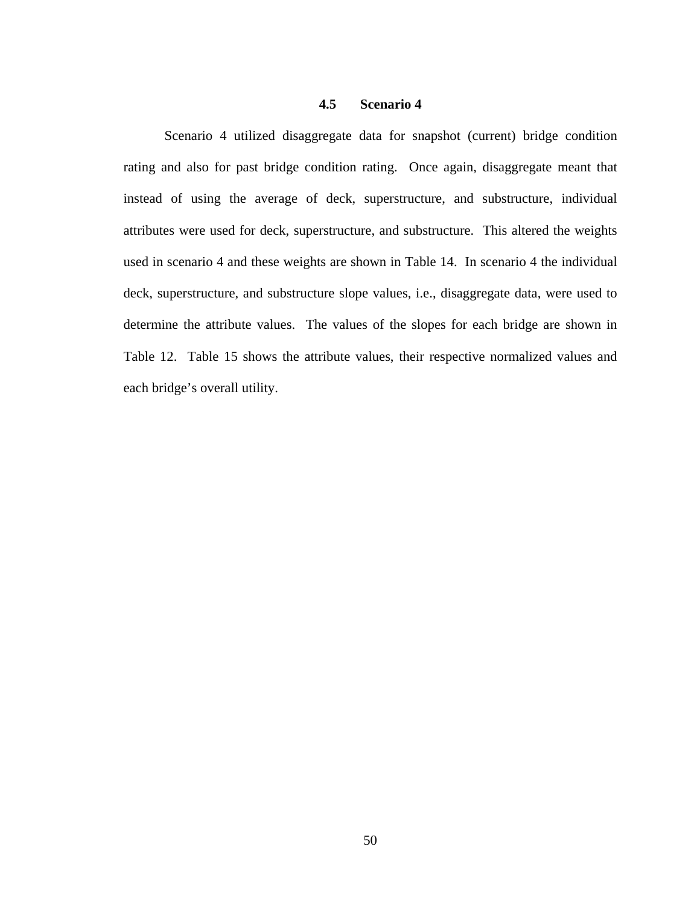#### **4.5 Scenario 4**

Scenario 4 utilized disaggregate data for snapshot (current) bridge condition rating and also for past bridge condition rating. Once again, disaggregate meant that instead of using the average of deck, superstructure, and substructure, individual attributes were used for deck, superstructure, and substructure. This altered the weights used in scenario 4 and these weights are shown in Table 14. In scenario 4 the individual deck, superstructure, and substructure slope values, i.e., disaggregate data, were used to determine the attribute values. The values of the slopes for each bridge are shown in Table 12. Table 15 shows the attribute values, their respective normalized values and each bridge's overall utility.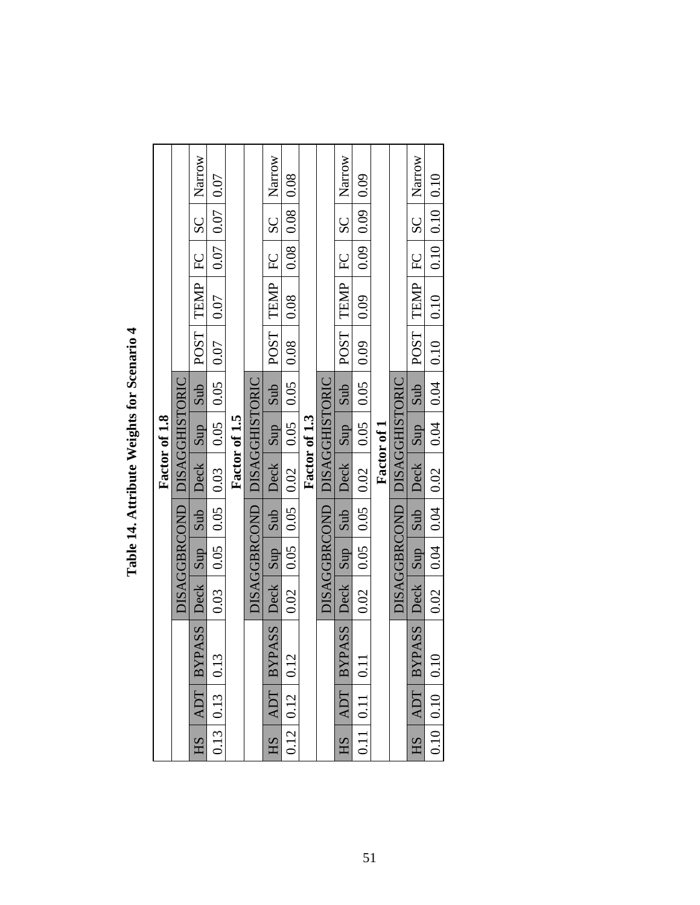|      |                     |                           |      |                     |                 |                               | Factor of 1.8 |      |                   |                   |                |                |        |
|------|---------------------|---------------------------|------|---------------------|-----------------|-------------------------------|---------------|------|-------------------|-------------------|----------------|----------------|--------|
|      |                     |                           |      |                     |                 | DISAGGBRCOND   DISAGGHISTORIC |               |      |                   |                   |                |                |        |
| HS   | ADT                 | SSAS<br>BYP.              |      | Deck Sup Sub        |                 | <b>Deck</b>                   | sup           | Sub  | POST <sup>1</sup> | TEMP              | $\Gamma$       | SC             | Narrow |
| 0.13 | 0.13                | 0.13                      | 0.03 | 0.05                | 0.05            | 0.03                          | 0.05          | 0.05 | 0.07              | 0.07              | 0.07           | 0.07           | 0.07   |
|      |                     |                           |      |                     |                 |                               | Factor of 1.5 |      |                   |                   |                |                |        |
|      |                     |                           |      |                     |                 | DISAGGBRCOND   DISAGGHISTORIC |               |      |                   |                   |                |                |        |
| HS   | <b>ADT</b>          | <b>BYPASS</b>             | Deck | $ $ sup             | Sub             | Deck                          | sup           | Sub  | POST <sub>1</sub> | TEMP              | $\overline{E}$ | SC             | Narrow |
|      | $0.12 \,   \, 0.12$ | 0.12                      | 0.02 | 0.05                | 0.05            | 0.02                          | 0.05          | 0.05 | 0.08              | 0.08              | 0.08           | 0.08           | 0.08   |
|      |                     |                           |      |                     |                 |                               | Factor of 1.3 |      |                   |                   |                |                |        |
|      |                     |                           |      |                     |                 | DISAGGBRCOND   DISAGGHISTORIC |               |      |                   |                   |                |                |        |
| HS   | <b>ADT</b>          | SSA<br><b>BYP</b>         | Deck | Sup                 | sub             | Deck                          | sup           | Sub  | POST <sup>1</sup> | TEMP              | EC             | SC             | Narrow |
| 0.11 | $\vert$ 0.11        | 0.11                      | 0.02 | 0.05                | 0.05            | 0.02                          | 0.05          | 0.05 | 0.09              | 0.09              | 0.09           | 0.09           | 0.09   |
|      |                     |                           |      |                     |                 |                               | Factor of 1   |      |                   |                   |                |                |        |
|      |                     |                           |      | <b>DISAGGBRCOND</b> |                 | DISAGGHISTORIC                |               |      |                   |                   |                |                |        |
| E    | ADT 1               | <b>ASSS</b><br><b>BYP</b> | Deck | Sup                 | Sub             | Deck                          | Sup           | Sub  | POST <sup>1</sup> | TEMP              | E              | $\overline{S}$ | Narrow |
|      | $0.10$ 0.10         | 0.10                      | 0.02 |                     | $0.04$   $0.04$ | 0.02                          | 0.04          | 0.04 | 0.10              | $\overline{0.10}$ | 0.10           | 0.10           | 0.10   |

Table 14. Attribute Weights for Scenario 4 **Table 14. Attribute Weights for Scenario 4**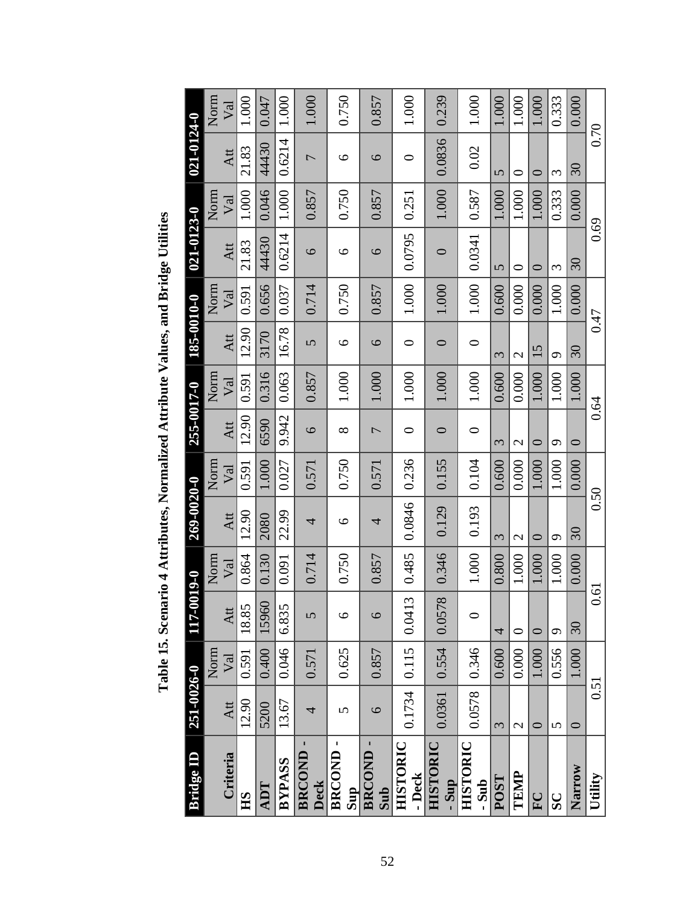| Bridge ID                    | 251-0026-0             |       | 117-0              | 019-0      | 269-0020-0            |            | 255-0017-0               |            | 185-0010-0     |            | 021-0123-0 |            | 021-0124-0     |            |
|------------------------------|------------------------|-------|--------------------|------------|-----------------------|------------|--------------------------|------------|----------------|------------|------------|------------|----------------|------------|
|                              |                        | Norm  |                    | Norm       |                       | Norm       |                          | Norm       |                | Norm       |            | Norm       |                | Norm       |
| Criteria                     | Att                    | Val   | Att                | $\sqrt{a}$ | Att                   | $\sqrt{a}$ | Att                      | $\sqrt{a}$ | Att            | $\sqrt{a}$ | Att        | $\rm{Val}$ | Att            | $\sqrt{a}$ |
| HS                           | 12.90                  | 0.591 | 18.85              | 0.864      | 12.90                 | 0.591      | 12.90                    | 0.591      | 12.90          | 0.591      | 21.83      | 1.000      | 21.83          | 1.000      |
| <b>ADT</b>                   | 5200                   | 0.400 | 15960              | 0.130      | 2080                  | 1.000      | 6590                     | 0.316      | 3170           | 0.656      | 44430      | 0.046      | 44430          | 0.047      |
| BYPASS                       | 13.67                  | 0.046 | 6.835              | 0.091      | 22.99                 | 0.027      | 9.942                    | 0.063      | 16.78          | 0.037      | 0.6214     | 1.000      | 0.6214         | 1.000      |
| <b>BRCOND</b><br><b>Deck</b> | 4                      | 0.571 | 5                  | 0.714      | 4                     | 0.571      | $\circ$                  | 0.857      | $\overline{S}$ | 0.714      | $\circ$    | 0.857      | $\overline{ }$ | 1.000      |
| BRCOND-<br>Sup               | 5                      | 0.625 | $\circ$            | 0.750      | $\circ$               | 0.750      | $\infty$                 | 1.000      | $\circ$        | 0.750      | $\circ$    | 0.750      | 9              | 0.750      |
| BRCOND-<br>Sub               | 6                      | 0.857 | 6                  | 0.857      | 4                     | 0.571      | $\overline{\phantom{0}}$ | 1.000      | $\circ$        | 0.857      | 6          | 0.857      | $\circ$        | 0.857      |
| <b>HISTORIC</b><br>- Deck    | 0.1734                 | 0.115 | 0.0413             | 0.485      | 0.0846                | 0.236      | $\circ$                  | 1.000      | $\circ$        | 1.000      | 0.0795     | 0.251      | ○              | 1.000      |
| HISTORIC<br>- Sup            | 0.0361                 | 0.554 | $\infty$<br>0.0578 | 0.346      | 0.129                 | 0.155      | $\circ$                  | 1.000      | $\circ$        | 1.000      | $\circ$    | 1.000      | 0.0836         | 0.239      |
| HISTORIC<br>- Sub            | 0.0578                 | 0.346 | $\circ$            | 1.000      | 0.193                 | 0.104      | $\circ$                  | 1.000      | $\circ$        | 1.000      | 0.0341     | 0.587      | 0.02           | 1.000      |
| POST                         | $\tilde{\mathfrak{c}}$ | 0.600 | 4                  | 0.800      | $\tilde{\phantom{0}}$ | 0.600      | 3                        | 0.600      | 3              | 0.600      | 5          | 1.000      | 5              | 1.000      |
| TEMP                         | $\mathcal{L}$          | 0.000 | $\circ$            | 1.000      | 2                     | 0.000      | 2                        | 0.000      | $\mathbf{C}$   | 0.000      | $\circ$    | 1.000      | $\circ$        | 1.000      |
| $\overline{F}$               | $\circ$                | 1.000 | 0                  | 1.000      | $\circ$               | 1.000      | 0                        | 1.000      | 15             | 0.000      | 0          | 1.000      | 0              | 1.000      |
| $\overline{\mathbf{S}}$      | $\sigma$               | 0.556 | $\circ$            | 1.000      | $\sigma$              | 1.000      | $\sigma$                 | 1.000      | $\sigma$       | 1.000      | 3          | 0.333      | 3              | 0.333      |
| Narrow                       | $\circ$                | 1.000 | 30                 | 0.000      | 30                    | 0.000      | $\circ$                  | 1.000      | 30             | 0.000      | $30\,$     | 0.000      | $30\,$         | 0.000      |
| Utility                      | 0.51                   |       | 0.61               |            | 0.50                  |            | 0.64                     |            | 0.47           |            | 0.69       |            | 0.70           |            |

Table 15. Scenario 4 Attributes, Normalized Attribute Values, and Bridge Utilities **Table 15. Scenario 4 Attributes, Normalized Attribute Values, and Bridge Utilities**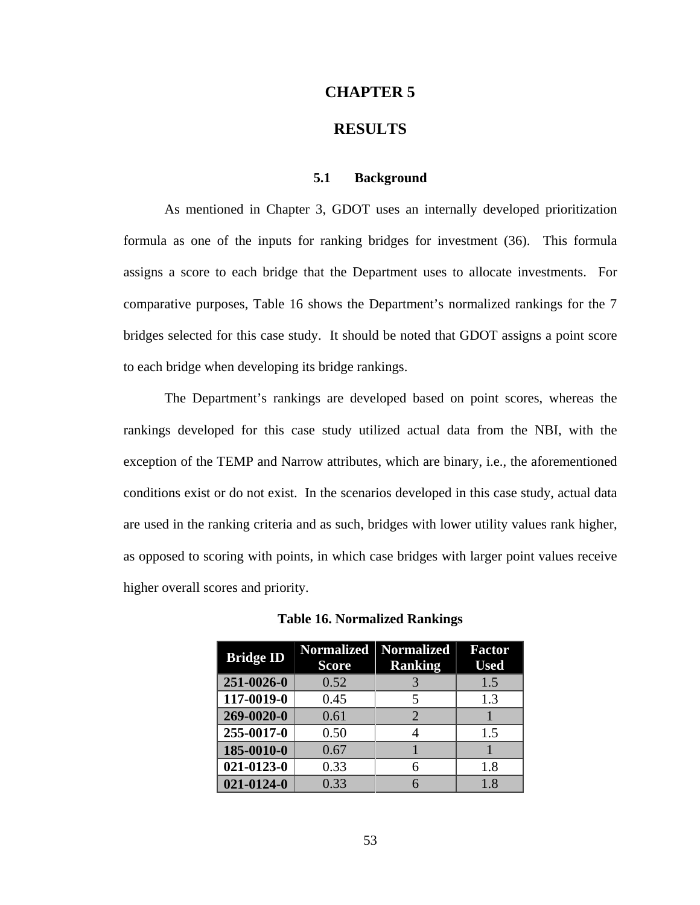#### **CHAPTER 5**

# **RESULTS**

### **5.1 Background**

As mentioned in Chapter 3, GDOT uses an internally developed prioritization formula as one of the inputs for ranking bridges for investment (36). This formula assigns a score to each bridge that the Department uses to allocate investments. For comparative purposes, Table 16 shows the Department's normalized rankings for the 7 bridges selected for this case study. It should be noted that GDOT assigns a point score to each bridge when developing its bridge rankings.

The Department's rankings are developed based on point scores, whereas the rankings developed for this case study utilized actual data from the NBI, with the exception of the TEMP and Narrow attributes, which are binary, i.e., the aforementioned conditions exist or do not exist. In the scenarios developed in this case study, actual data are used in the ranking criteria and as such, bridges with lower utility values rank higher, as opposed to scoring with points, in which case bridges with larger point values receive higher overall scores and priority.

| <b>Bridge ID</b> | <b>Score</b> | Normalized Normalized<br><b>Ranking</b> | <b>Factor</b><br><b>Used</b> |
|------------------|--------------|-----------------------------------------|------------------------------|
| 251-0026-0       | 0.52         | 3                                       | 1.5                          |
| 117-0019-0       | 0.45         | 5                                       | 1.3                          |
| 269-0020-0       | 0.61         | $\mathcal{D}_{\cdot}$                   |                              |
| 255-0017-0       | 0.50         | 4                                       | 1.5                          |
| 185-0010-0       | 0.67         |                                         |                              |
| $021 - 0123 - 0$ | 0.33         | 6                                       | 1.8                          |
| $021 - 0124 - 0$ | 0.33         |                                         | 1.8                          |

**Table 16. Normalized Rankings**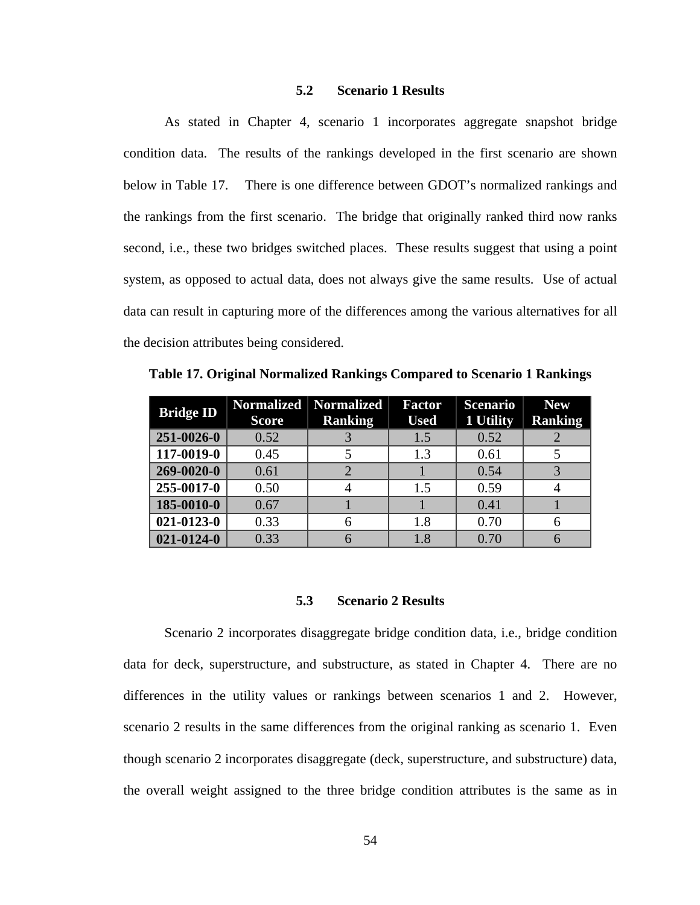# **5.2 Scenario 1 Results**

As stated in Chapter 4, scenario 1 incorporates aggregate snapshot bridge condition data. The results of the rankings developed in the first scenario are shown below in Table 17. There is one difference between GDOT's normalized rankings and the rankings from the first scenario. The bridge that originally ranked third now ranks second, i.e., these two bridges switched places. These results suggest that using a point system, as opposed to actual data, does not always give the same results. Use of actual data can result in capturing more of the differences among the various alternatives for all the decision attributes being considered.

| <b>Bridge ID</b> | Normalized   Normalized<br><b>Score</b> | <b>Ranking</b> | <b>Factor</b><br><b>Used</b> | <b>Scenario</b><br>1 Utility | <b>New</b><br><b>Ranking</b> |
|------------------|-----------------------------------------|----------------|------------------------------|------------------------------|------------------------------|
| 251-0026-0       | 0.52                                    |                | 1.5                          | 0.52                         |                              |
| 117-0019-0       | 0.45                                    |                | 1.3                          | 0.61                         |                              |
| 269-0020-0       | 0.61                                    |                |                              | 0.54                         |                              |
| 255-0017-0       | 0.50                                    |                | 1.5                          | 0.59                         |                              |
| 185-0010-0       | 0.67                                    |                |                              | 0.41                         |                              |
| $021 - 0123 - 0$ | 0.33                                    |                | 1.8                          | 0.70                         |                              |
| $021 - 0124 - 0$ | 0.33                                    |                | 1.8                          | 0.70                         |                              |

**Table 17. Original Normalized Rankings Compared to Scenario 1 Rankings** 

#### **5.3 Scenario 2 Results**

Scenario 2 incorporates disaggregate bridge condition data, i.e., bridge condition data for deck, superstructure, and substructure, as stated in Chapter 4. There are no differences in the utility values or rankings between scenarios 1 and 2. However, scenario 2 results in the same differences from the original ranking as scenario 1. Even though scenario 2 incorporates disaggregate (deck, superstructure, and substructure) data, the overall weight assigned to the three bridge condition attributes is the same as in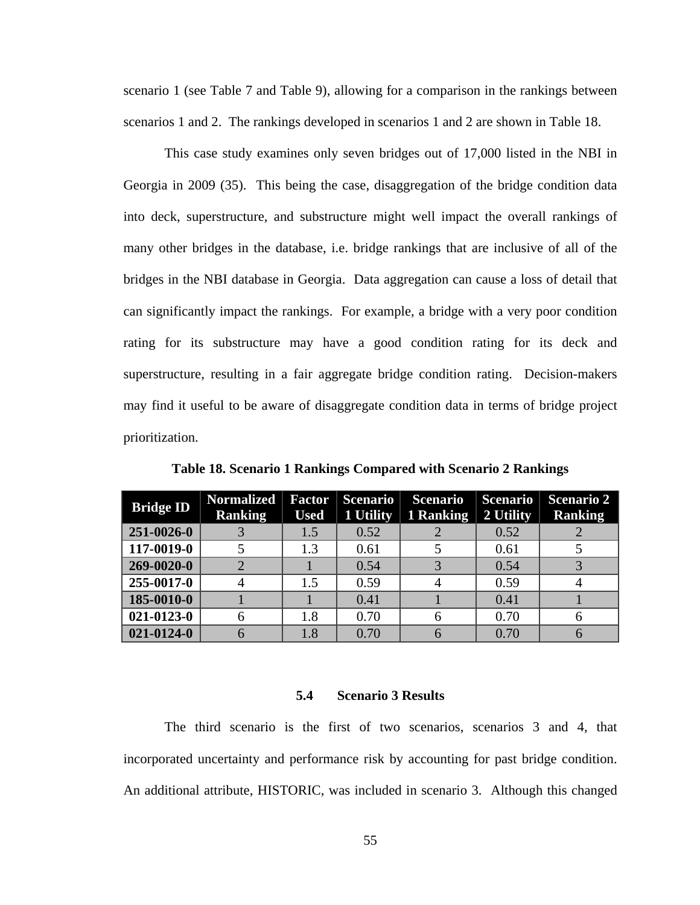scenario 1 (see Table 7 and Table 9), allowing for a comparison in the rankings between scenarios 1 and 2. The rankings developed in scenarios 1 and 2 are shown in Table 18.

This case study examines only seven bridges out of 17,000 listed in the NBI in Georgia in 2009 (35). This being the case, disaggregation of the bridge condition data into deck, superstructure, and substructure might well impact the overall rankings of many other bridges in the database, i.e. bridge rankings that are inclusive of all of the bridges in the NBI database in Georgia. Data aggregation can cause a loss of detail that can significantly impact the rankings. For example, a bridge with a very poor condition rating for its substructure may have a good condition rating for its deck and superstructure, resulting in a fair aggregate bridge condition rating. Decision-makers may find it useful to be aware of disaggregate condition data in terms of bridge project prioritization.

| <b>Bridge ID</b> | <b>Normalized</b><br><b>Ranking</b> | <b>Factor</b><br><b>Used</b> | <b>Scenario</b><br>1 Utility | <b>Scenario</b><br>1 Ranking | <b>Scenario</b><br>2 Utility | <b>Scenario 2</b><br><b>Ranking</b> |
|------------------|-------------------------------------|------------------------------|------------------------------|------------------------------|------------------------------|-------------------------------------|
| 251-0026-0       |                                     | 1.5                          | 0.52                         |                              | 0.52                         |                                     |
| 117-0019-0       |                                     | 1.3                          | 0.61                         |                              | 0.61                         |                                     |
| 269-0020-0       |                                     |                              | 0.54                         |                              | 0.54                         |                                     |
| 255-0017-0       |                                     | 1.5                          | 0.59                         |                              | 0.59                         |                                     |
| 185-0010-0       |                                     |                              | 0.41                         |                              | 0.41                         |                                     |
| $021 - 0123 - 0$ |                                     | 1.8                          | 0.70                         |                              | 0.70                         | h                                   |
| $021 - 0124 - 0$ |                                     | $1.8\,$                      | 0.70                         |                              | 0.70                         |                                     |

**Table 18. Scenario 1 Rankings Compared with Scenario 2 Rankings** 

#### **5.4 Scenario 3 Results**

The third scenario is the first of two scenarios, scenarios 3 and 4, that incorporated uncertainty and performance risk by accounting for past bridge condition. An additional attribute, HISTORIC, was included in scenario 3. Although this changed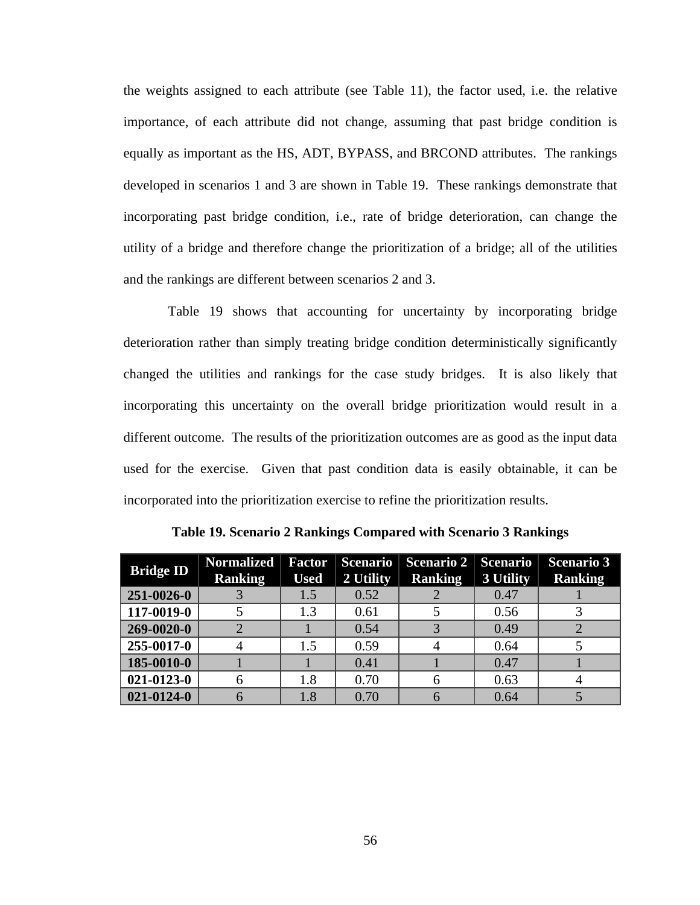the weights assigned to each attribute (see Table 11), the factor used, i.e. the relative importance, of each attribute did not change, assuming that past bridge condition is equally as important as the HS, ADT, BYPASS, and BRCOND attributes. The rankings developed in scenarios 1 and 3 are shown in Table 19. These rankings demonstrate that incorporating past bridge condition, i.e., rate of bridge deterioration, can change the utility of a bridge and therefore change the prioritization of a bridge; all of the utilities and the rankings are different between scenarios 2 and 3.

 Table 19 shows that accounting for uncertainty by incorporating bridge deterioration rather than simply treating bridge condition deterministically significantly changed the utilities and rankings for the case study bridges. It is also likely that incorporating this uncertainty on the overall bridge prioritization would result in a different outcome. The results of the prioritization outcomes are as good as the input data used for the exercise. Given that past condition data is easily obtainable, it can be incorporated into the prioritization exercise to refine the prioritization results.

| <b>Bridge ID</b> | <b>Normalized</b><br><b>Ranking</b> | <b>Factor</b><br><b>Used</b> | <b>Scenario</b><br>2 Utility | Scenario 2   Scenario<br><b>Ranking</b> | 3 Utility | <b>Scenario 3</b><br><b>Ranking</b> |
|------------------|-------------------------------------|------------------------------|------------------------------|-----------------------------------------|-----------|-------------------------------------|
| 251-0026-0       |                                     | 1.5                          | 0.52                         |                                         | 0.47      |                                     |
| 117-0019-0       |                                     | 1.3                          | 0.61                         |                                         | 0.56      |                                     |
| 269-0020-0       |                                     |                              | 0.54                         |                                         | 0.49      |                                     |
| 255-0017-0       |                                     | 1.5                          | 0.59                         |                                         | 0.64      |                                     |
| 185-0010-0       |                                     |                              | 0.41                         |                                         | 0.47      |                                     |
| $021 - 0123 - 0$ |                                     | 1.8                          | 0.70                         |                                         | 0.63      |                                     |
| $021 - 0124 - 0$ |                                     | $1.8\,$                      | 0.70                         |                                         | 0.64      |                                     |

**Table 19. Scenario 2 Rankings Compared with Scenario 3 Rankings**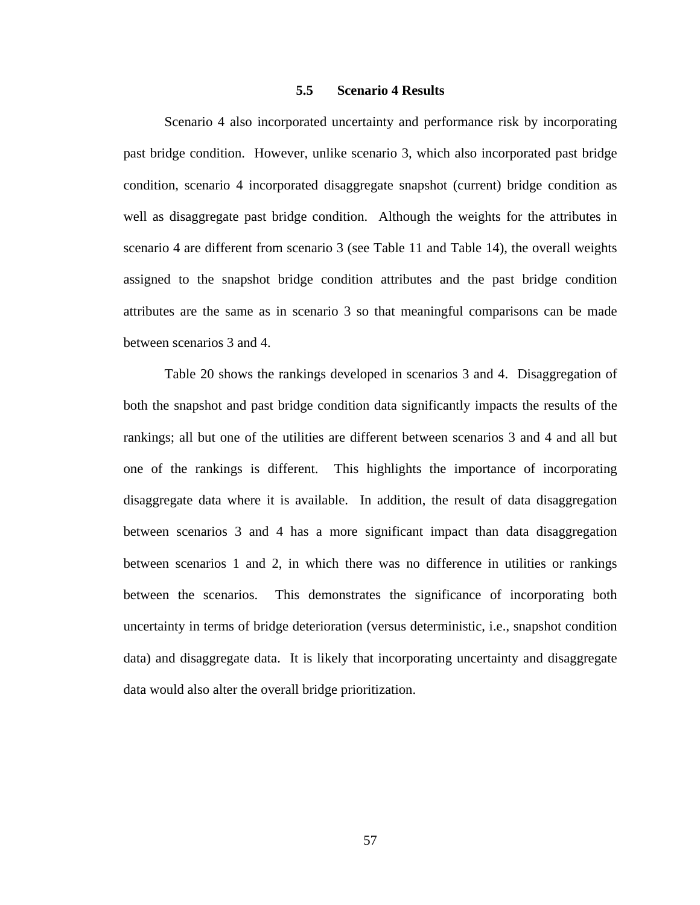## **5.5 Scenario 4 Results**

Scenario 4 also incorporated uncertainty and performance risk by incorporating past bridge condition. However, unlike scenario 3, which also incorporated past bridge condition, scenario 4 incorporated disaggregate snapshot (current) bridge condition as well as disaggregate past bridge condition. Although the weights for the attributes in scenario 4 are different from scenario 3 (see Table 11 and Table 14), the overall weights assigned to the snapshot bridge condition attributes and the past bridge condition attributes are the same as in scenario 3 so that meaningful comparisons can be made between scenarios 3 and 4.

Table 20 shows the rankings developed in scenarios 3 and 4. Disaggregation of both the snapshot and past bridge condition data significantly impacts the results of the rankings; all but one of the utilities are different between scenarios 3 and 4 and all but one of the rankings is different. This highlights the importance of incorporating disaggregate data where it is available. In addition, the result of data disaggregation between scenarios 3 and 4 has a more significant impact than data disaggregation between scenarios 1 and 2, in which there was no difference in utilities or rankings between the scenarios. This demonstrates the significance of incorporating both uncertainty in terms of bridge deterioration (versus deterministic, i.e., snapshot condition data) and disaggregate data. It is likely that incorporating uncertainty and disaggregate data would also alter the overall bridge prioritization.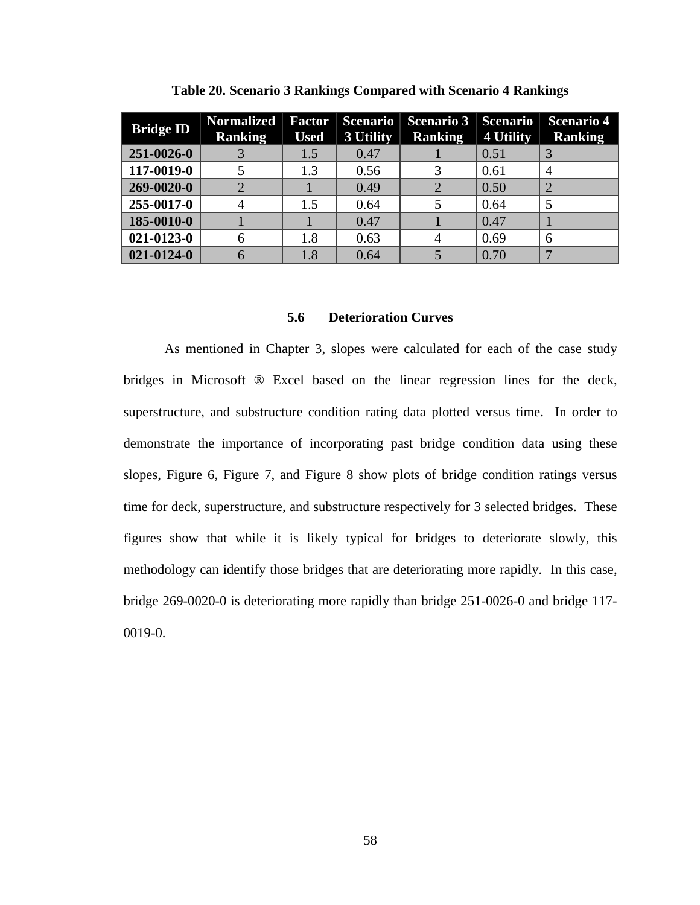| <b>Bridge ID</b> | <b>Normalized</b><br><b>Ranking</b> | <b>Factor</b><br><b>Used</b> | <b>Scenario</b><br>3 Utility | <b>Scenario 3</b><br><b>Ranking</b> | <b>Scenario</b><br>4 Utility | <b>Scenario 4</b><br><b>Ranking</b> |
|------------------|-------------------------------------|------------------------------|------------------------------|-------------------------------------|------------------------------|-------------------------------------|
| 251-0026-0       |                                     | 1.5                          | 0.47                         |                                     | 0.51                         |                                     |
| 117-0019-0       |                                     | 1.3                          | 0.56                         |                                     | 0.61                         | 4                                   |
| $269 - 0020 - 0$ |                                     |                              | 0.49                         |                                     | 0.50                         |                                     |
| 255-0017-0       |                                     | 1.5                          | 0.64                         |                                     | 0.64                         |                                     |
| 185-0010-0       |                                     |                              | 0.47                         |                                     | 0.47                         |                                     |
| $021 - 0123 - 0$ | 6                                   | 1.8                          | 0.63                         |                                     | 0.69                         | 6                                   |
| $021 - 0124 - 0$ |                                     | 1.8                          | 0.64                         |                                     | 0.70                         | 7                                   |

**Table 20. Scenario 3 Rankings Compared with Scenario 4 Rankings** 

#### **5.6 Deterioration Curves**

As mentioned in Chapter 3, slopes were calculated for each of the case study bridges in Microsoft ® Excel based on the linear regression lines for the deck, superstructure, and substructure condition rating data plotted versus time. In order to demonstrate the importance of incorporating past bridge condition data using these slopes, Figure 6, Figure 7, and Figure 8 show plots of bridge condition ratings versus time for deck, superstructure, and substructure respectively for 3 selected bridges. These figures show that while it is likely typical for bridges to deteriorate slowly, this methodology can identify those bridges that are deteriorating more rapidly. In this case, bridge 269-0020-0 is deteriorating more rapidly than bridge 251-0026-0 and bridge 117- 0019-0.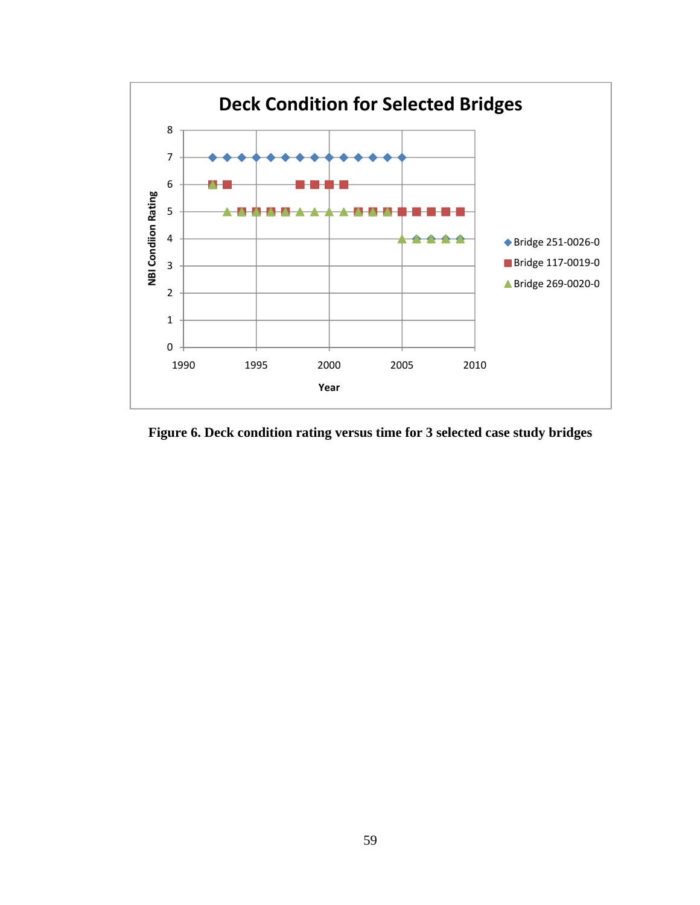

**Figure 6. Deck condition rating versus time for 3 selected case study bridges**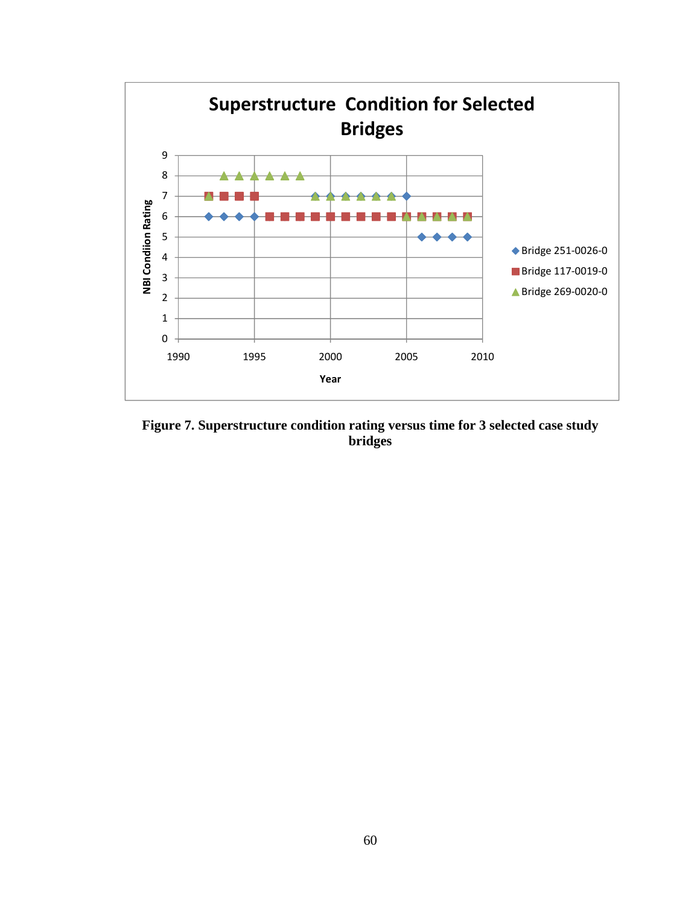

**Figure 7. Superstructure condition rating versus time for 3 selected case study bridges**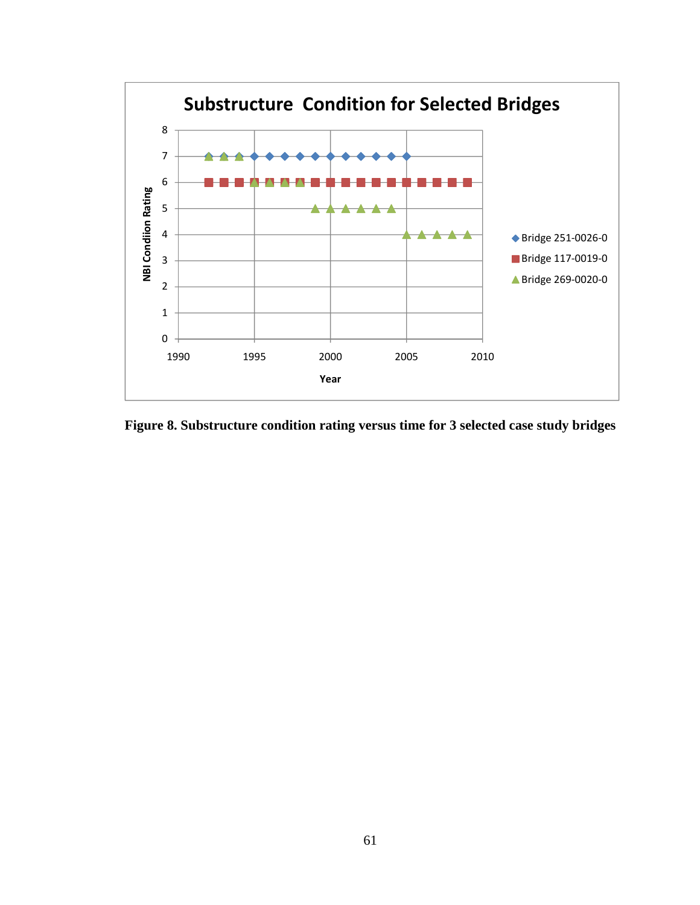

**Figure 8. Substructure condition rating versus time for 3 selected case study bridges**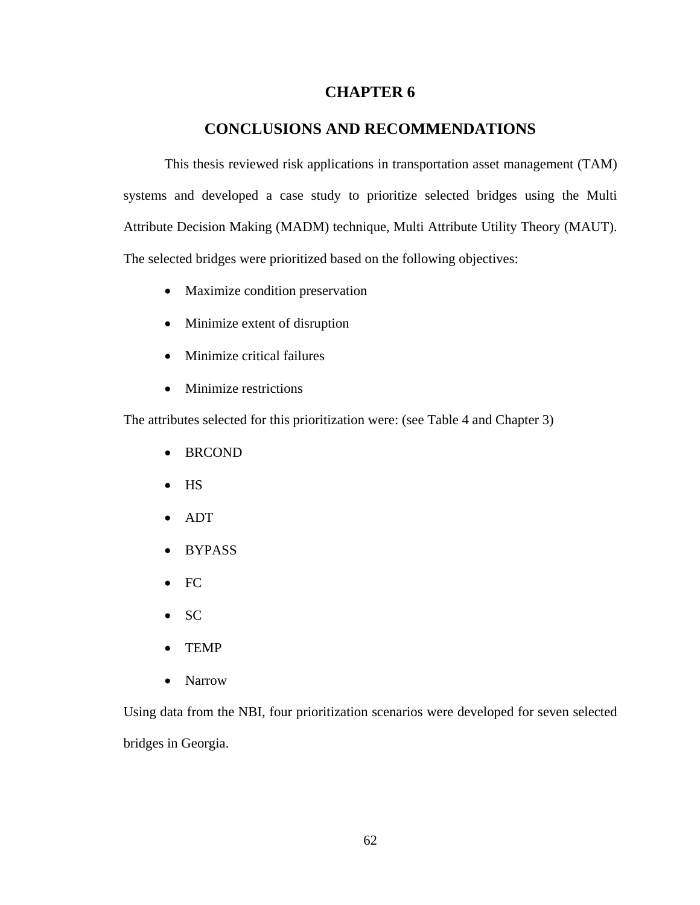# **CHAPTER 6**

## **CONCLUSIONS AND RECOMMENDATIONS**

This thesis reviewed risk applications in transportation asset management (TAM) systems and developed a case study to prioritize selected bridges using the Multi Attribute Decision Making (MADM) technique, Multi Attribute Utility Theory (MAUT). The selected bridges were prioritized based on the following objectives:

- Maximize condition preservation
- Minimize extent of disruption
- Minimize critical failures
- Minimize restrictions

The attributes selected for this prioritization were: (see Table 4 and Chapter 3)

- BRCOND
- HS
- ADT
- BYPASS
- FC
- SC
- TEMP
- Narrow

Using data from the NBI, four prioritization scenarios were developed for seven selected bridges in Georgia.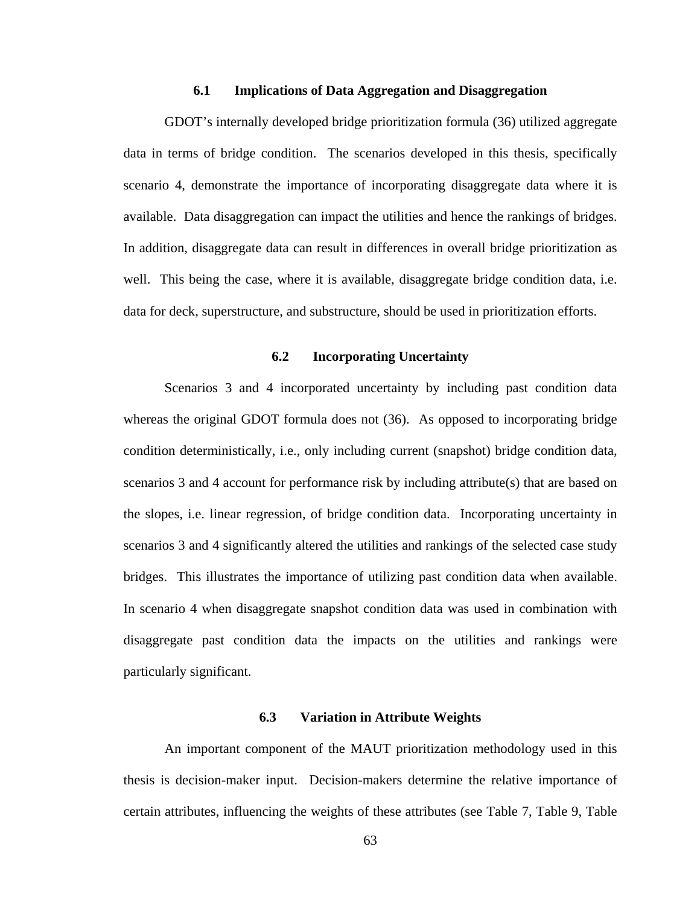### **6.1 Implications of Data Aggregation and Disaggregation**

GDOT's internally developed bridge prioritization formula (36) utilized aggregate data in terms of bridge condition. The scenarios developed in this thesis, specifically scenario 4, demonstrate the importance of incorporating disaggregate data where it is available. Data disaggregation can impact the utilities and hence the rankings of bridges. In addition, disaggregate data can result in differences in overall bridge prioritization as well. This being the case, where it is available, disaggregate bridge condition data, i.e. data for deck, superstructure, and substructure, should be used in prioritization efforts.

## **6.2 Incorporating Uncertainty**

Scenarios 3 and 4 incorporated uncertainty by including past condition data whereas the original GDOT formula does not (36). As opposed to incorporating bridge condition deterministically, i.e., only including current (snapshot) bridge condition data, scenarios 3 and 4 account for performance risk by including attribute(s) that are based on the slopes, i.e. linear regression, of bridge condition data. Incorporating uncertainty in scenarios 3 and 4 significantly altered the utilities and rankings of the selected case study bridges. This illustrates the importance of utilizing past condition data when available. In scenario 4 when disaggregate snapshot condition data was used in combination with disaggregate past condition data the impacts on the utilities and rankings were particularly significant.

## **6.3 Variation in Attribute Weights**

An important component of the MAUT prioritization methodology used in this thesis is decision-maker input. Decision-makers determine the relative importance of certain attributes, influencing the weights of these attributes (see Table 7, Table 9, Table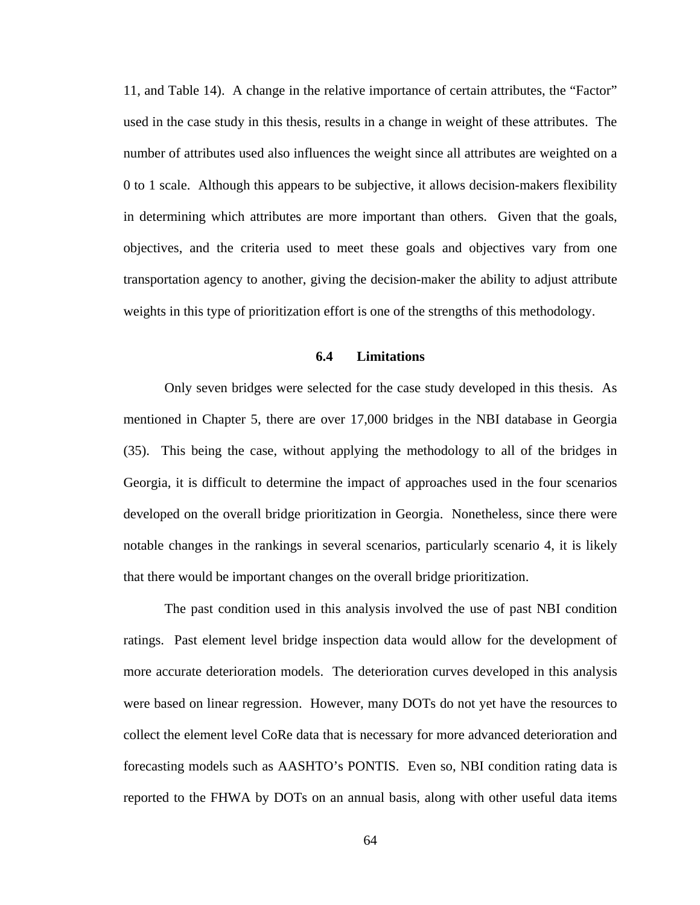11, and Table 14). A change in the relative importance of certain attributes, the "Factor" used in the case study in this thesis, results in a change in weight of these attributes. The number of attributes used also influences the weight since all attributes are weighted on a 0 to 1 scale. Although this appears to be subjective, it allows decision-makers flexibility in determining which attributes are more important than others. Given that the goals, objectives, and the criteria used to meet these goals and objectives vary from one transportation agency to another, giving the decision-maker the ability to adjust attribute weights in this type of prioritization effort is one of the strengths of this methodology.

#### **6.4 Limitations**

Only seven bridges were selected for the case study developed in this thesis. As mentioned in Chapter 5, there are over 17,000 bridges in the NBI database in Georgia (35). This being the case, without applying the methodology to all of the bridges in Georgia, it is difficult to determine the impact of approaches used in the four scenarios developed on the overall bridge prioritization in Georgia. Nonetheless, since there were notable changes in the rankings in several scenarios, particularly scenario 4, it is likely that there would be important changes on the overall bridge prioritization.

The past condition used in this analysis involved the use of past NBI condition ratings. Past element level bridge inspection data would allow for the development of more accurate deterioration models. The deterioration curves developed in this analysis were based on linear regression. However, many DOTs do not yet have the resources to collect the element level CoRe data that is necessary for more advanced deterioration and forecasting models such as AASHTO's PONTIS. Even so, NBI condition rating data is reported to the FHWA by DOTs on an annual basis, along with other useful data items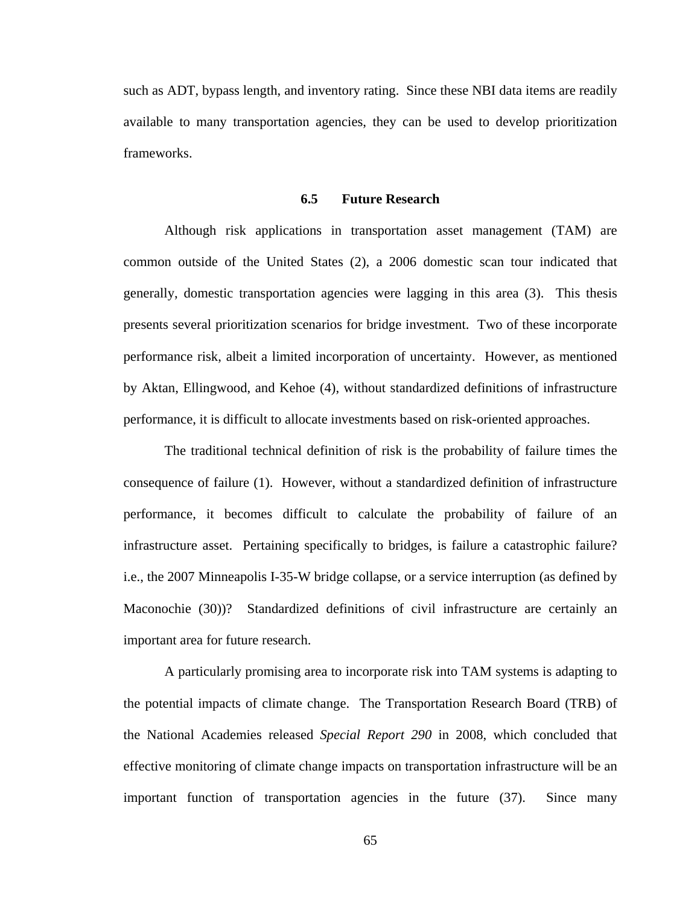such as ADT, bypass length, and inventory rating. Since these NBI data items are readily available to many transportation agencies, they can be used to develop prioritization frameworks.

#### **6.5 Future Research**

 Although risk applications in transportation asset management (TAM) are common outside of the United States (2), a 2006 domestic scan tour indicated that generally, domestic transportation agencies were lagging in this area (3). This thesis presents several prioritization scenarios for bridge investment. Two of these incorporate performance risk, albeit a limited incorporation of uncertainty. However, as mentioned by Aktan, Ellingwood, and Kehoe (4), without standardized definitions of infrastructure performance, it is difficult to allocate investments based on risk-oriented approaches.

 The traditional technical definition of risk is the probability of failure times the consequence of failure (1). However, without a standardized definition of infrastructure performance, it becomes difficult to calculate the probability of failure of an infrastructure asset. Pertaining specifically to bridges, is failure a catastrophic failure? i.e., the 2007 Minneapolis I-35-W bridge collapse, or a service interruption (as defined by Maconochie (30))? Standardized definitions of civil infrastructure are certainly an important area for future research.

A particularly promising area to incorporate risk into TAM systems is adapting to the potential impacts of climate change. The Transportation Research Board (TRB) of the National Academies released *Special Report 290* in 2008, which concluded that effective monitoring of climate change impacts on transportation infrastructure will be an important function of transportation agencies in the future (37). Since many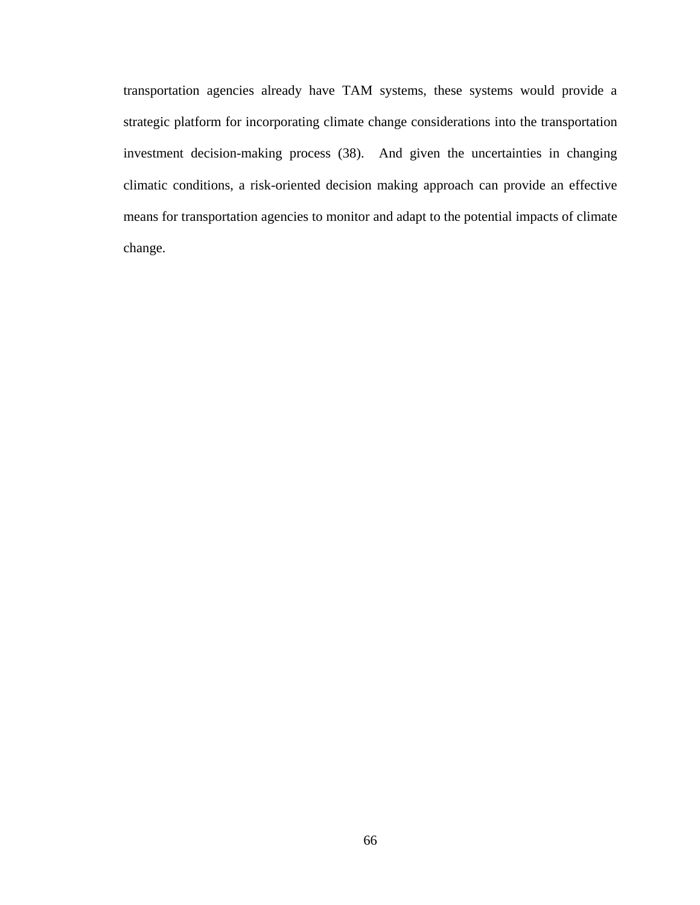transportation agencies already have TAM systems, these systems would provide a strategic platform for incorporating climate change considerations into the transportation investment decision-making process (38). And given the uncertainties in changing climatic conditions, a risk-oriented decision making approach can provide an effective means for transportation agencies to monitor and adapt to the potential impacts of climate change.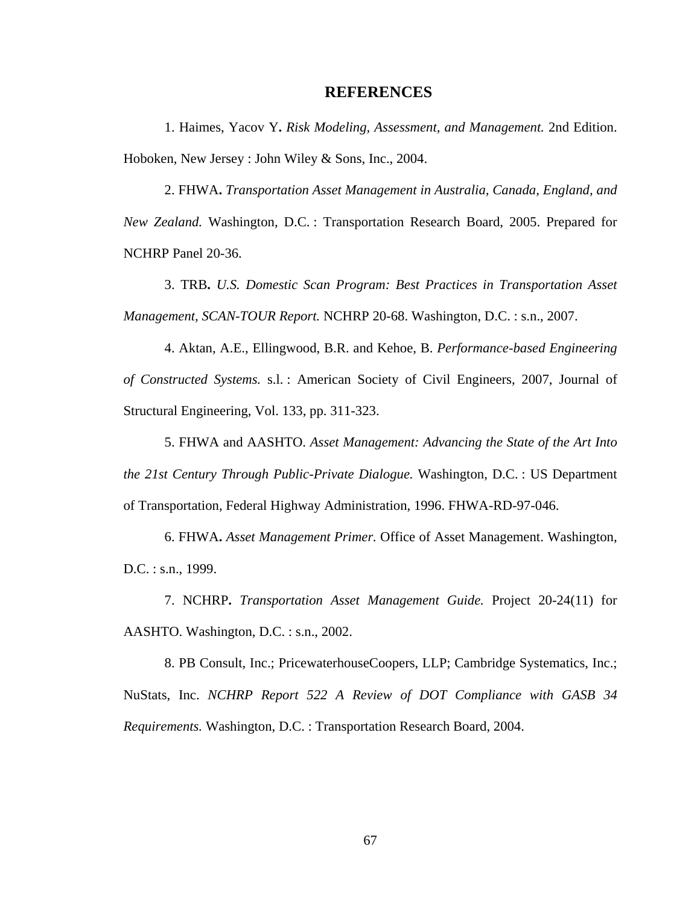## **REFERENCES**

1. Haimes, Yacov Y**.** *Risk Modeling, Assessment, and Management.* 2nd Edition. Hoboken, New Jersey : John Wiley & Sons, Inc., 2004.

2. FHWA**.** *Transportation Asset Management in Australia, Canada, England, and New Zealand.* Washington, D.C. : Transportation Research Board, 2005. Prepared for NCHRP Panel 20-36.

3. TRB**.** *U.S. Domestic Scan Program: Best Practices in Transportation Asset Management, SCAN-TOUR Report.* NCHRP 20-68. Washington, D.C. : s.n., 2007.

4. Aktan, A.E., Ellingwood, B.R. and Kehoe, B. *Performance-based Engineering of Constructed Systems.* s.l. : American Society of Civil Engineers, 2007, Journal of Structural Engineering, Vol. 133, pp. 311-323.

5. FHWA and AASHTO. *Asset Management: Advancing the State of the Art Into the 21st Century Through Public-Private Dialogue.* Washington, D.C. : US Department of Transportation, Federal Highway Administration, 1996. FHWA-RD-97-046.

6. FHWA**.** *Asset Management Primer.* Office of Asset Management. Washington, D.C. : s.n., 1999.

7. NCHRP**.** *Transportation Asset Management Guide.* Project 20-24(11) for AASHTO. Washington, D.C. : s.n., 2002.

8. PB Consult, Inc.; PricewaterhouseCoopers, LLP; Cambridge Systematics, Inc.; NuStats, Inc. *NCHRP Report 522 A Review of DOT Compliance with GASB 34 Requirements.* Washington, D.C. : Transportation Research Board, 2004.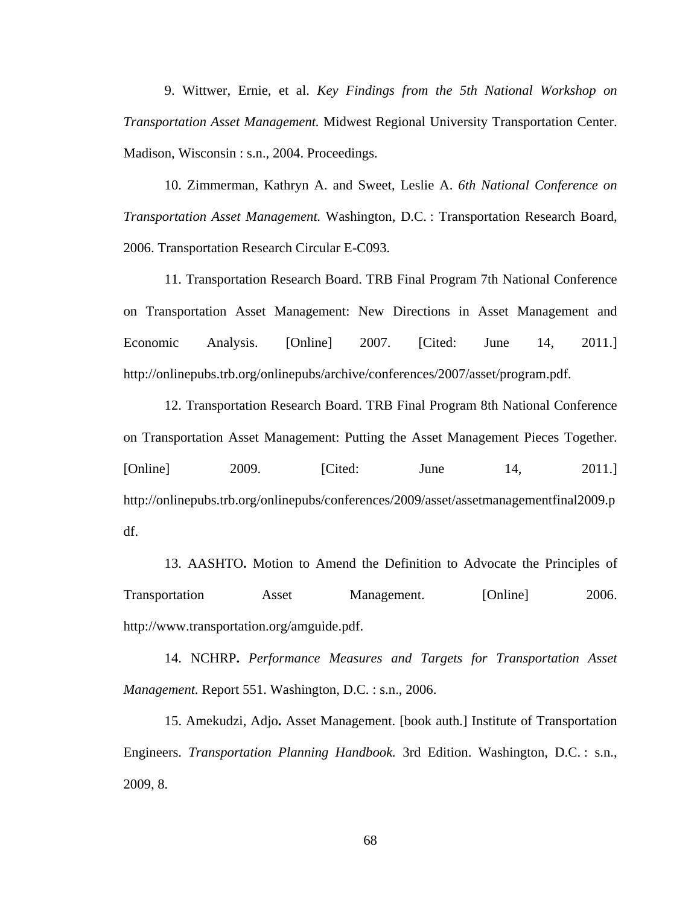9. Wittwer, Ernie, et al. *Key Findings from the 5th National Workshop on Transportation Asset Management.* Midwest Regional University Transportation Center. Madison, Wisconsin : s.n., 2004. Proceedings.

10. Zimmerman, Kathryn A. and Sweet, Leslie A. *6th National Conference on Transportation Asset Management.* Washington, D.C. : Transportation Research Board, 2006. Transportation Research Circular E-C093.

11. Transportation Research Board. TRB Final Program 7th National Conference on Transportation Asset Management: New Directions in Asset Management and Economic Analysis. [Online] 2007. [Cited: June 14, 2011.] http://onlinepubs.trb.org/onlinepubs/archive/conferences/2007/asset/program.pdf.

12. Transportation Research Board. TRB Final Program 8th National Conference on Transportation Asset Management: Putting the Asset Management Pieces Together. [Online] 2009. [Cited: June 14, 2011.] http://onlinepubs.trb.org/onlinepubs/conferences/2009/asset/assetmanagementfinal2009.p df.

13. AASHTO**.** Motion to Amend the Definition to Advocate the Principles of Transportation Asset Management. [Online] 2006. http://www.transportation.org/amguide.pdf.

14. NCHRP**.** *Performance Measures and Targets for Transportation Asset Management.* Report 551. Washington, D.C. : s.n., 2006.

15. Amekudzi, Adjo**.** Asset Management. [book auth.] Institute of Transportation Engineers. *Transportation Planning Handbook.* 3rd Edition. Washington, D.C. : s.n., 2009, 8.

68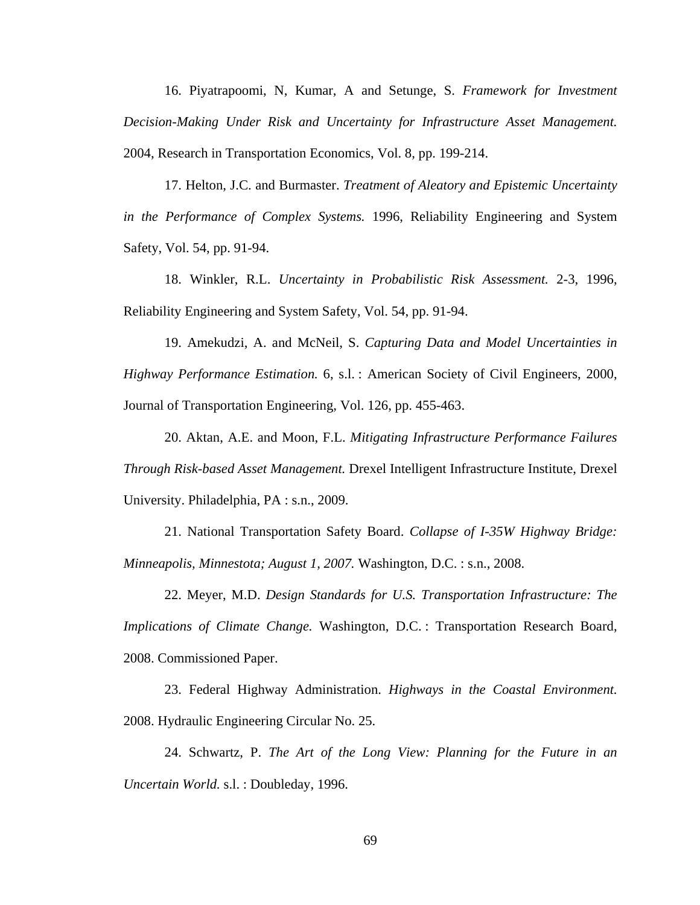16. Piyatrapoomi, N, Kumar, A and Setunge, S. *Framework for Investment Decision-Making Under Risk and Uncertainty for Infrastructure Asset Management.*  2004, Research in Transportation Economics, Vol. 8, pp. 199-214.

17. Helton, J.C. and Burmaster. *Treatment of Aleatory and Epistemic Uncertainty in the Performance of Complex Systems.* 1996, Reliability Engineering and System Safety, Vol. 54, pp. 91-94.

18. Winkler, R.L. *Uncertainty in Probabilistic Risk Assessment.* 2-3, 1996, Reliability Engineering and System Safety, Vol. 54, pp. 91-94.

19. Amekudzi, A. and McNeil, S. *Capturing Data and Model Uncertainties in Highway Performance Estimation.* 6, s.l. : American Society of Civil Engineers, 2000, Journal of Transportation Engineering, Vol. 126, pp. 455-463.

20. Aktan, A.E. and Moon, F.L. *Mitigating Infrastructure Performance Failures Through Risk-based Asset Management.* Drexel Intelligent Infrastructure Institute, Drexel University. Philadelphia, PA : s.n., 2009.

21. National Transportation Safety Board. *Collapse of I-35W Highway Bridge: Minneapolis, Minnestota; August 1, 2007.* Washington, D.C. : s.n., 2008.

22. Meyer, M.D. *Design Standards for U.S. Transportation Infrastructure: The Implications of Climate Change.* Washington, D.C. : Transportation Research Board, 2008. Commissioned Paper.

23. Federal Highway Administration. *Highways in the Coastal Environment.*  2008. Hydraulic Engineering Circular No. 25.

24. Schwartz, P. *The Art of the Long View: Planning for the Future in an Uncertain World.* s.l. : Doubleday, 1996.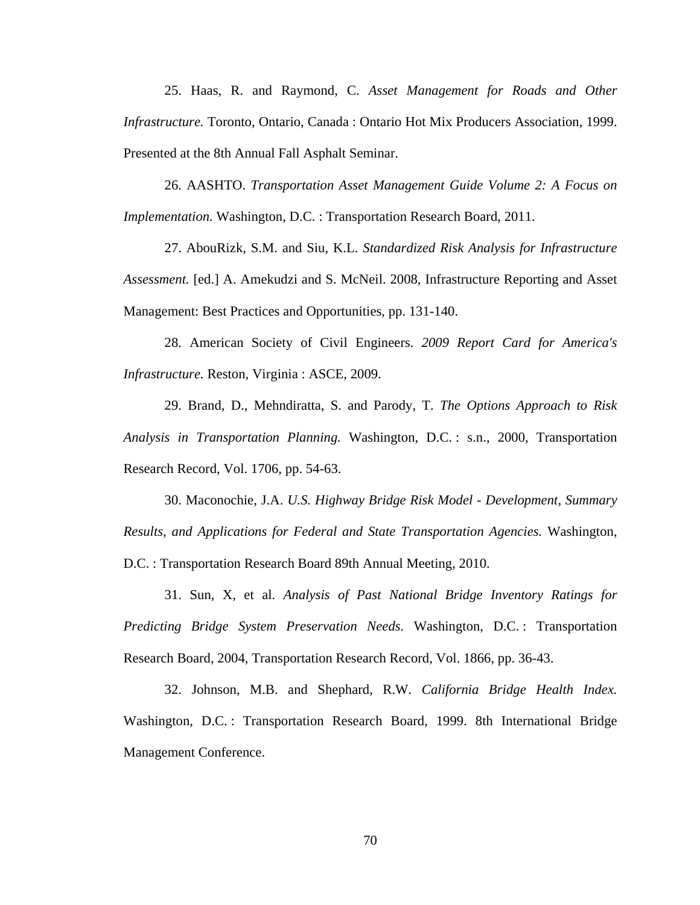25. Haas, R. and Raymond, C. *Asset Management for Roads and Other Infrastructure.* Toronto, Ontario, Canada : Ontario Hot Mix Producers Association, 1999. Presented at the 8th Annual Fall Asphalt Seminar.

26. AASHTO. *Transportation Asset Management Guide Volume 2: A Focus on Implementation.* Washington, D.C. : Transportation Research Board, 2011.

27. AbouRizk, S.M. and Siu, K.L. *Standardized Risk Analysis for Infrastructure Assessment.* [ed.] A. Amekudzi and S. McNeil. 2008, Infrastructure Reporting and Asset Management: Best Practices and Opportunities, pp. 131-140.

28. American Society of Civil Engineers. *2009 Report Card for America's Infrastructure.* Reston, Virginia : ASCE, 2009.

29. Brand, D., Mehndiratta, S. and Parody, T. *The Options Approach to Risk Analysis in Transportation Planning.* Washington, D.C. : s.n., 2000, Transportation Research Record, Vol. 1706, pp. 54-63.

30. Maconochie, J.A. *U.S. Highway Bridge Risk Model - Development, Summary Results, and Applications for Federal and State Transportation Agencies.* Washington, D.C. : Transportation Research Board 89th Annual Meeting, 2010.

31. Sun, X, et al. *Analysis of Past National Bridge Inventory Ratings for Predicting Bridge System Preservation Needs.* Washington, D.C. : Transportation Research Board, 2004, Transportation Research Record, Vol. 1866, pp. 36-43.

32. Johnson, M.B. and Shephard, R.W. *California Bridge Health Index.*  Washington, D.C. : Transportation Research Board, 1999. 8th International Bridge Management Conference.